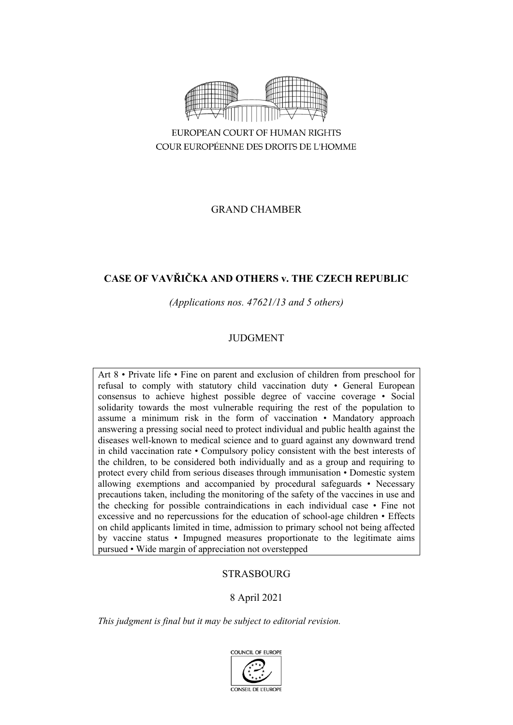

GRAND CHAMBER

# **CASE OF VAVŘIČKA AND OTHERS v. THE CZECH REPUBLIC**

*(Applications nos. 47621/13 and 5 others)*

# JUDGMENT

Art 8 • Private life • Fine on parent and exclusion of children from preschool for refusal to comply with statutory child vaccination duty • General European consensus to achieve highest possible degree of vaccine coverage • Social solidarity towards the most vulnerable requiring the rest of the population to assume a minimum risk in the form of vaccination • Mandatory approach answering a pressing social need to protect individual and public health against the diseases well-known to medical science and to guard against any downward trend in child vaccination rate • Compulsory policy consistent with the best interests of the children, to be considered both individually and as a group and requiring to protect every child from serious diseases through immunisation • Domestic system allowing exemptions and accompanied by procedural safeguards • Necessary precautions taken, including the monitoring of the safety of the vaccines in use and the checking for possible contraindications in each individual case • Fine not excessive and no repercussions for the education of school-age children • Effects on child applicants limited in time, admission to primary school not being affected by vaccine status • Impugned measures proportionate to the legitimate aims pursued • Wide margin of appreciation not overstepped

# STRASBOURG

# 8 April 2021

*This judgment is final but it may be subject to editorial revision.*

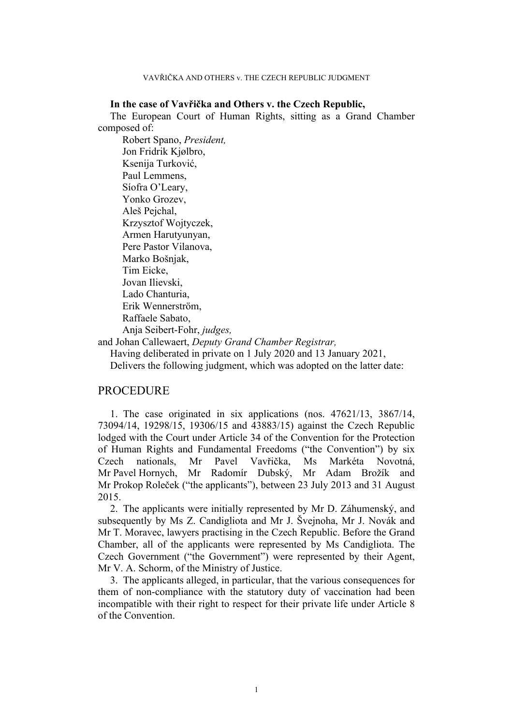# **In the case of Vavřička and Others v. the Czech Republic,**

The European Court of Human Rights, sitting as a Grand Chamber composed of:

Robert Spano, *President,* Jon Fridrik Kjølbro, Ksenija Turković, Paul Lemmens, Síofra O'Leary, Yonko Grozev, Aleš Pejchal, Krzysztof Wojtyczek, Armen Harutyunyan, Pere Pastor Vilanova, Marko Bošnjak, Tim Eicke, Jovan Ilievski, Lado Chanturia, Erik Wennerström, Raffaele Sabato, Anja Seibert-Fohr, *judges,*

and Johan Callewaert, *Deputy Grand Chamber Registrar,*

Having deliberated in private on 1 July 2020 and 13 January 2021,

Delivers the following judgment, which was adopted on the latter date:

# PROCEDURE

1. The case originated in six applications (nos. 47621/13, 3867/14, 73094/14, 19298/15, 19306/15 and 43883/15) against the Czech Republic lodged with the Court under Article 34 of the Convention for the Protection of Human Rights and Fundamental Freedoms ("the Convention") by six Czech nationals, Mr Pavel Vavřička, Ms Markéta Novotná, Mr Pavel Hornych, Mr Radomír Dubský, Mr Adam Brožík and Mr Prokop Roleček ("the applicants"), between 23 July 2013 and 31 August 2015.

2. The applicants were initially represented by Mr D. Záhumenský, and subsequently by Ms Z. Candigliota and Mr J. Švejnoha, Mr J. Novák and Mr T. Moravec, lawyers practising in the Czech Republic. Before the Grand Chamber, all of the applicants were represented by Ms Candigliota. The Czech Government ("the Government") were represented by their Agent, Mr V. A. Schorm, of the Ministry of Justice.

3. The applicants alleged, in particular, that the various consequences for them of non-compliance with the statutory duty of vaccination had been incompatible with their right to respect for their private life under Article 8 of the Convention.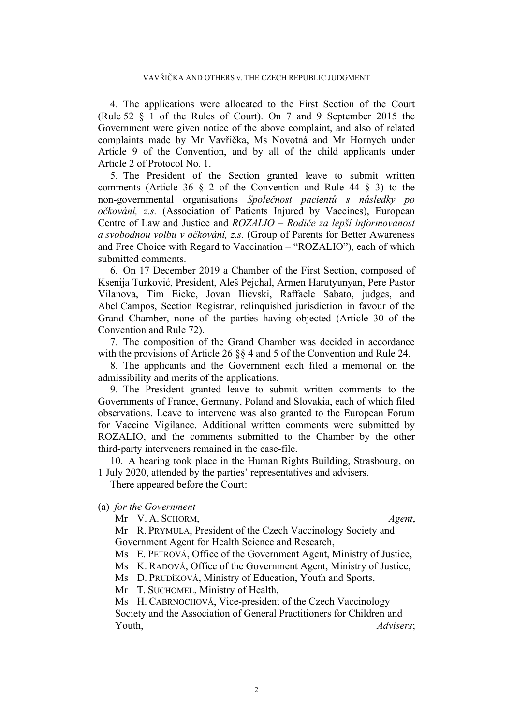4. The applications were allocated to the First Section of the Court (Rule 52 § 1 of the Rules of Court). On 7 and 9 September 2015 the Government were given notice of the above complaint, and also of related complaints made by Mr Vavřička, Ms Novotná and Mr Hornych under Article 9 of the Convention, and by all of the child applicants under Article 2 of Protocol No. 1.

5. The President of the Section granted leave to submit written comments (Article 36 § 2 of the Convention and Rule 44 § 3) to the non-governmental organisations *Společnost pacientů s následky po očkování, z.s.* (Association of Patients Injured by Vaccines), European Centre of Law and Justice and *ROZALIO – Rodiče za lepší informovanost a svobodnou volbu v očkování, z.s.* (Group of Parents for Better Awareness and Free Choice with Regard to Vaccination – "ROZALIO"), each of which submitted comments.

6. On 17 December 2019 a Chamber of the First Section, composed of Ksenija Turković, President, Aleš Pejchal, Armen Harutyunyan, Pere Pastor Vilanova, Tim Eicke, Jovan Ilievski, Raffaele Sabato, judges, and Abel Campos, Section Registrar, relinquished jurisdiction in favour of the Grand Chamber, none of the parties having objected (Article 30 of the Convention and Rule 72).

7. The composition of the Grand Chamber was decided in accordance with the provisions of Article 26 §§ 4 and 5 of the Convention and Rule 24.

8. The applicants and the Government each filed a memorial on the admissibility and merits of the applications.

9. The President granted leave to submit written comments to the Governments of France, Germany, Poland and Slovakia, each of which filed observations. Leave to intervene was also granted to the European Forum for Vaccine Vigilance. Additional written comments were submitted by ROZALIO, and the comments submitted to the Chamber by the other third-party interveners remained in the case-file.

10. A hearing took place in the Human Rights Building, Strasbourg, on 1 July 2020, attended by the parties' representatives and advisers.

There appeared before the Court:

# (a) *for the Government*

Mr V. A. SCHORM, *Agent*,

Mr R. PRYMULA, President of the Czech Vaccinology Society and Government Agent for Health Science and Research,

Ms E. PETROVÁ, Office of the Government Agent, Ministry of Justice,

Ms K. RADOVÁ, Office of the Government Agent, Ministry of Justice,

Ms D. PRUDÍKOVÁ, Ministry of Education, Youth and Sports,

Mr T. SUCHOMEL, Ministry of Health,

Ms H. CABRNOCHOVÁ, Vice-president of the Czech Vaccinology Society and the Association of General Practitioners for Children and Youth, *Advisers*;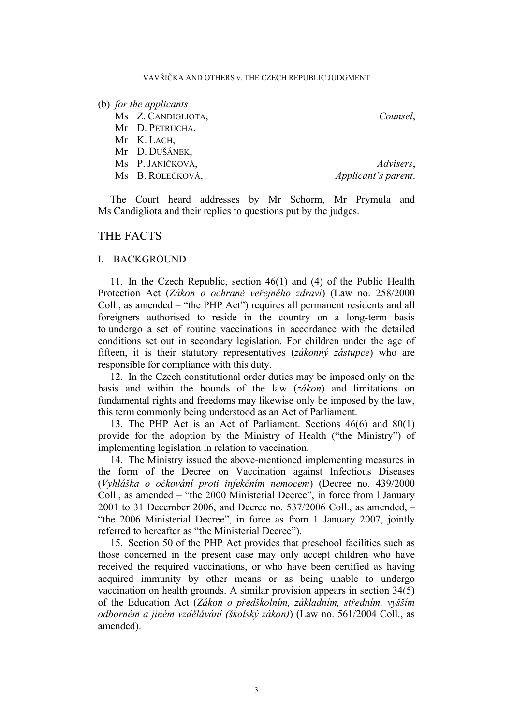### (b) *for the applicants*

Ms Z. CANDIGLIOTA, *Counsel*,

Mr D. PETRUCHA,

Mr K. LACH,

Mr D. DUŠÁNEK,

Ms P. JANÍČKOVÁ, *Advisers*, Ms B. ROLEČKOVÁ, *Applicant's parent*.

The Court heard addresses by Mr Schorm, Mr Prymula and Ms Candigliota and their replies to questions put by the judges.

# THE FACTS

# I. BACKGROUND

11. In the Czech Republic, section 46(1) and (4) of the Public Health Protection Act (*Zákon o ochraně veřejného zdraví*) (Law no. 258/2000 Coll., as amended – "the PHP Act") requires all permanent residents and all foreigners authorised to reside in the country on a long-term basis to undergo a set of routine vaccinations in accordance with the detailed conditions set out in secondary legislation. For children under the age of fifteen, it is their statutory representatives (*zákonný zástupce*) who are responsible for compliance with this duty.

12. In the Czech constitutional order duties may be imposed only on the basis and within the bounds of the law (*zákon*) and limitations on fundamental rights and freedoms may likewise only be imposed by the law, this term commonly being understood as an Act of Parliament.

13. The PHP Act is an Act of Parliament. Sections 46(6) and 80(1) provide for the adoption by the Ministry of Health ("the Ministry") of implementing legislation in relation to vaccination.

14. The Ministry issued the above-mentioned implementing measures in the form of the Decree on Vaccination against Infectious Diseases (*Vyhláška o očkování proti infekčním nemocem*) (Decree no. 439/2000 Coll., as amended – "the 2000 Ministerial Decree", in force from l January 2001 to 31 December 2006, and Decree no. 537/2006 Coll., as amended, – "the 2006 Ministerial Decree", in force as from 1 January 2007, jointly referred to hereafter as "the Ministerial Decree").

15. Section 50 of the PHP Act provides that preschool facilities such as those concerned in the present case may only accept children who have received the required vaccinations, or who have been certified as having acquired immunity by other means or as being unable to undergo vaccination on health grounds. A similar provision appears in section 34(5) of the Education Act (*Zákon o předškolním, základním, středním, vyšším odborném a jiném vzdělávání (školský zákon)*) (Law no. 561/2004 Coll., as amended).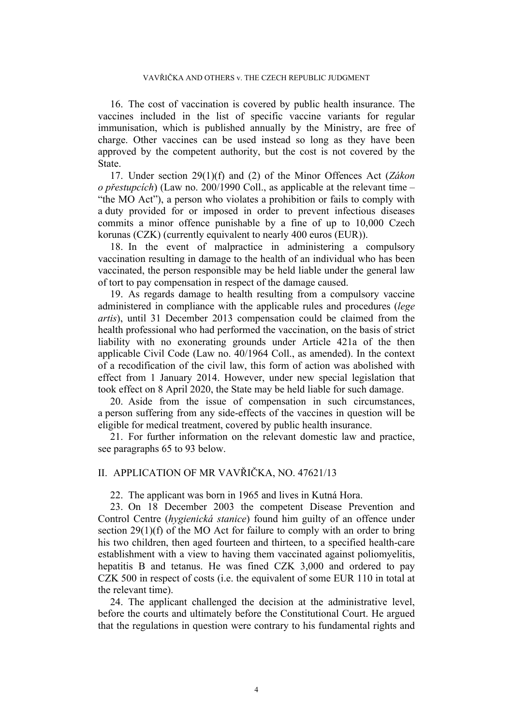16. The cost of vaccination is covered by public health insurance. The vaccines included in the list of specific vaccine variants for regular immunisation, which is published annually by the Ministry, are free of charge. Other vaccines can be used instead so long as they have been approved by the competent authority, but the cost is not covered by the State.

17. Under section 29(1)(f) and (2) of the Minor Offences Act (*Zákon o přestupcích*) (Law no. 200/1990 Coll., as applicable at the relevant time – "the MO Act"), a person who violates a prohibition or fails to comply with a duty provided for or imposed in order to prevent infectious diseases commits a minor offence punishable by a fine of up to 10,000 Czech korunas (CZK) (currently equivalent to nearly 400 euros (EUR)).

18. In the event of malpractice in administering a compulsory vaccination resulting in damage to the health of an individual who has been vaccinated, the person responsible may be held liable under the general law of tort to pay compensation in respect of the damage caused.

19. As regards damage to health resulting from a compulsory vaccine administered in compliance with the applicable rules and procedures (*lege artis*), until 31 December 2013 compensation could be claimed from the health professional who had performed the vaccination, on the basis of strict liability with no exonerating grounds under Article 421a of the then applicable Civil Code (Law no. 40/1964 Coll., as amended). In the context of a recodification of the civil law, this form of action was abolished with effect from 1 January 2014. However, under new special legislation that took effect on 8 April 2020, the State may be held liable for such damage.

20. Aside from the issue of compensation in such circumstances, a person suffering from any side-effects of the vaccines in question will be eligible for medical treatment, covered by public health insurance.

21. For further information on the relevant domestic law and practice, see paragraphs [65](#page-12-0) to [93](#page-19-0) below.

# II. APPLICATION OF MR VAVŘIČKA, NO. 47621/13

22. The applicant was born in 1965 and lives in Kutná Hora.

23. On 18 December 2003 the competent Disease Prevention and Control Centre (*hygienická stanice*) found him guilty of an offence under section 29(1)(f) of the MO Act for failure to comply with an order to bring his two children, then aged fourteen and thirteen, to a specified health-care establishment with a view to having them vaccinated against poliomyelitis, hepatitis B and tetanus. He was fined CZK 3,000 and ordered to pay CZK 500 in respect of costs (i.e. the equivalent of some EUR 110 in total at the relevant time).

24. The applicant challenged the decision at the administrative level, before the courts and ultimately before the Constitutional Court. He argued that the regulations in question were contrary to his fundamental rights and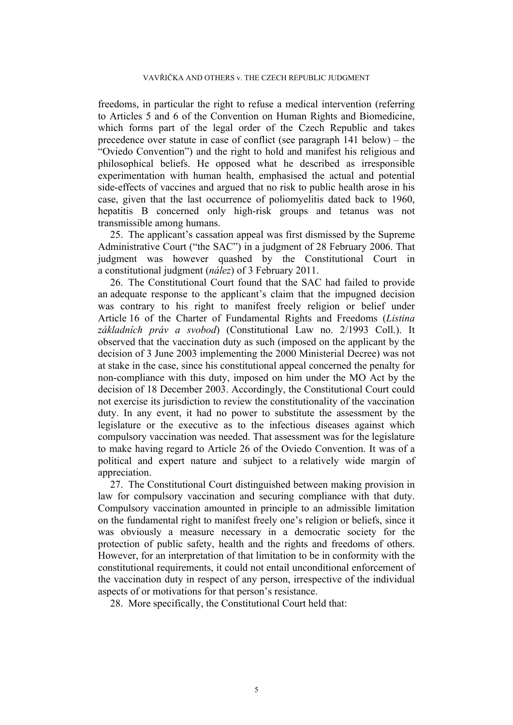freedoms, in particular the right to refuse a medical intervention (referring to Articles 5 and 6 of the Convention on Human Rights and Biomedicine, which forms part of the legal order of the Czech Republic and takes precedence over statute in case of conflict (see paragraph [141](#page-31-0) below) – the "Oviedo Convention") and the right to hold and manifest his religious and philosophical beliefs. He opposed what he described as irresponsible experimentation with human health, emphasised the actual and potential side-effects of vaccines and argued that no risk to public health arose in his case, given that the last occurrence of poliomyelitis dated back to 1960, hepatitis B concerned only high-risk groups and tetanus was not transmissible among humans.

25. The applicant's cassation appeal was first dismissed by the Supreme Administrative Court ("the SAC") in a judgment of 28 February 2006. That judgment was however quashed by the Constitutional Court in a constitutional judgment (*nález*) of 3 February 2011.

26. The Constitutional Court found that the SAC had failed to provide an adequate response to the applicant's claim that the impugned decision was contrary to his right to manifest freely religion or belief under Article 16 of the Charter of Fundamental Rights and Freedoms (*Listina základních práv a svobod*) (Constitutional Law no. 2/1993 Coll.). It observed that the vaccination duty as such (imposed on the applicant by the decision of 3 June 2003 implementing the 2000 Ministerial Decree) was not at stake in the case, since his constitutional appeal concerned the penalty for non-compliance with this duty, imposed on him under the MO Act by the decision of 18 December 2003. Accordingly, the Constitutional Court could not exercise its jurisdiction to review the constitutionality of the vaccination duty. In any event, it had no power to substitute the assessment by the legislature or the executive as to the infectious diseases against which compulsory vaccination was needed. That assessment was for the legislature to make having regard to Article 26 of the Oviedo Convention. It was of a political and expert nature and subject to a relatively wide margin of appreciation.

27. The Constitutional Court distinguished between making provision in law for compulsory vaccination and securing compliance with that duty. Compulsory vaccination amounted in principle to an admissible limitation on the fundamental right to manifest freely one's religion or beliefs, since it was obviously a measure necessary in a democratic society for the protection of public safety, health and the rights and freedoms of others. However, for an interpretation of that limitation to be in conformity with the constitutional requirements, it could not entail unconditional enforcement of the vaccination duty in respect of any person, irrespective of the individual aspects of or motivations for that person's resistance.

<span id="page-5-0"></span>28. More specifically, the Constitutional Court held that: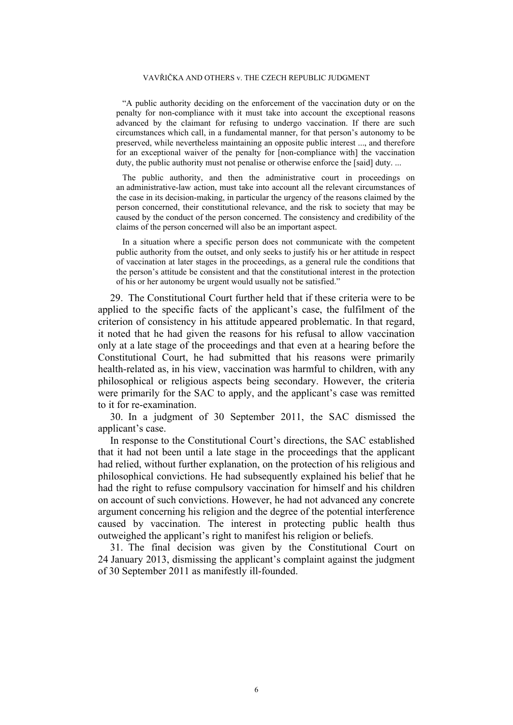### VAVŘIČKA AND OTHERS v. THE CZECH REPUBLIC JUDGMENT

"A public authority deciding on the enforcement of the vaccination duty or on the penalty for non-compliance with it must take into account the exceptional reasons advanced by the claimant for refusing to undergo vaccination. If there are such circumstances which call, in a fundamental manner, for that person's autonomy to be preserved, while nevertheless maintaining an opposite public interest ..., and therefore for an exceptional waiver of the penalty for [non-compliance with] the vaccination duty, the public authority must not penalise or otherwise enforce the [said] duty. ...

The public authority, and then the administrative court in proceedings on an administrative-law action, must take into account all the relevant circumstances of the case in its decision-making, in particular the urgency of the reasons claimed by the person concerned, their constitutional relevance, and the risk to society that may be caused by the conduct of the person concerned. The consistency and credibility of the claims of the person concerned will also be an important aspect.

In a situation where a specific person does not communicate with the competent public authority from the outset, and only seeks to justify his or her attitude in respect of vaccination at later stages in the proceedings, as a general rule the conditions that the person's attitude be consistent and that the constitutional interest in the protection of his or her autonomy be urgent would usually not be satisfied."

29. The Constitutional Court further held that if these criteria were to be applied to the specific facts of the applicant's case, the fulfilment of the criterion of consistency in his attitude appeared problematic. In that regard, it noted that he had given the reasons for his refusal to allow vaccination only at a late stage of the proceedings and that even at a hearing before the Constitutional Court, he had submitted that his reasons were primarily health-related as, in his view, vaccination was harmful to children, with any philosophical or religious aspects being secondary. However, the criteria were primarily for the SAC to apply, and the applicant's case was remitted to it for re-examination.

30. In a judgment of 30 September 2011, the SAC dismissed the applicant's case.

In response to the Constitutional Court's directions, the SAC established that it had not been until a late stage in the proceedings that the applicant had relied, without further explanation, on the protection of his religious and philosophical convictions. He had subsequently explained his belief that he had the right to refuse compulsory vaccination for himself and his children on account of such convictions. However, he had not advanced any concrete argument concerning his religion and the degree of the potential interference caused by vaccination. The interest in protecting public health thus outweighed the applicant's right to manifest his religion or beliefs.

31. The final decision was given by the Constitutional Court on 24 January 2013, dismissing the applicant's complaint against the judgment of 30 September 2011 as manifestly ill-founded.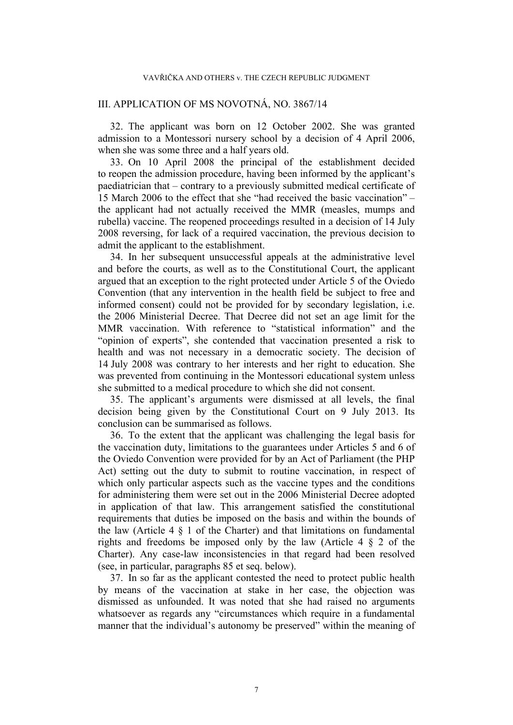# III. APPLICATION OF MS NOVOTNÁ, NO. 3867/14

32. The applicant was born on 12 October 2002. She was granted admission to a Montessori nursery school by a decision of 4 April 2006, when she was some three and a half years old.

33. On 10 April 2008 the principal of the establishment decided to reopen the admission procedure, having been informed by the applicant's paediatrician that – contrary to a previously submitted medical certificate of 15 March 2006 to the effect that she "had received the basic vaccination" – the applicant had not actually received the MMR (measles, mumps and rubella) vaccine. The reopened proceedings resulted in a decision of 14 July 2008 reversing, for lack of a required vaccination, the previous decision to admit the applicant to the establishment.

34. In her subsequent unsuccessful appeals at the administrative level and before the courts, as well as to the Constitutional Court, the applicant argued that an exception to the right protected under Article 5 of the Oviedo Convention (that any intervention in the health field be subject to free and informed consent) could not be provided for by secondary legislation, i.e. the 2006 Ministerial Decree. That Decree did not set an age limit for the MMR vaccination. With reference to "statistical information" and the "opinion of experts", she contended that vaccination presented a risk to health and was not necessary in a democratic society. The decision of 14 July 2008 was contrary to her interests and her right to education. She was prevented from continuing in the Montessori educational system unless she submitted to a medical procedure to which she did not consent.

35. The applicant's arguments were dismissed at all levels, the final decision being given by the Constitutional Court on 9 July 2013. Its conclusion can be summarised as follows.

36. To the extent that the applicant was challenging the legal basis for the vaccination duty, limitations to the guarantees under Articles 5 and 6 of the Oviedo Convention were provided for by an Act of Parliament (the PHP Act) setting out the duty to submit to routine vaccination, in respect of which only particular aspects such as the vaccine types and the conditions for administering them were set out in the 2006 Ministerial Decree adopted in application of that law. This arrangement satisfied the constitutional requirements that duties be imposed on the basis and within the bounds of the law (Article  $4 \tS 1$  of the Charter) and that limitations on fundamental rights and freedoms be imposed only by the law (Article 4 § 2 of the Charter). Any case-law inconsistencies in that regard had been resolved (see, in particular, paragraphs [85](#page-15-0) et seq. below).

37. In so far as the applicant contested the need to protect public health by means of the vaccination at stake in her case, the objection was dismissed as unfounded. It was noted that she had raised no arguments whatsoever as regards any "circumstances which require in a fundamental manner that the individual's autonomy be preserved" within the meaning of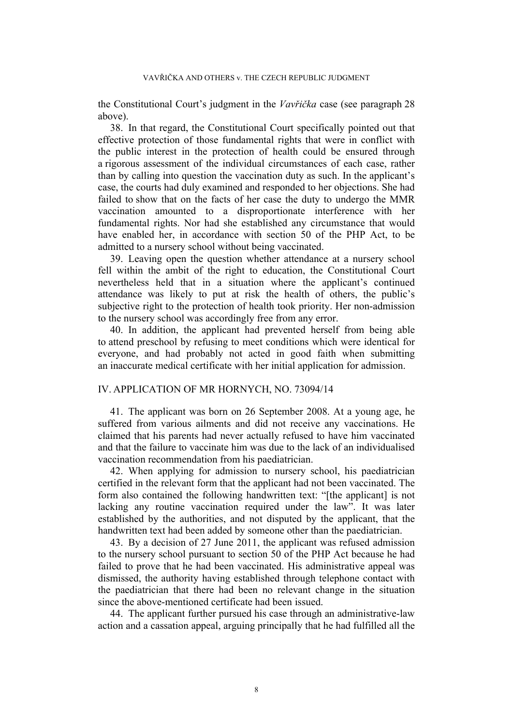the Constitutional Court's judgment in the *Vavřička* case (see paragraph [28](#page-5-0) above).

38. In that regard, the Constitutional Court specifically pointed out that effective protection of those fundamental rights that were in conflict with the public interest in the protection of health could be ensured through a rigorous assessment of the individual circumstances of each case, rather than by calling into question the vaccination duty as such. In the applicant's case, the courts had duly examined and responded to her objections. She had failed to show that on the facts of her case the duty to undergo the MMR vaccination amounted to a disproportionate interference with her fundamental rights. Nor had she established any circumstance that would have enabled her, in accordance with section 50 of the PHP Act, to be admitted to a nursery school without being vaccinated.

39. Leaving open the question whether attendance at a nursery school fell within the ambit of the right to education, the Constitutional Court nevertheless held that in a situation where the applicant's continued attendance was likely to put at risk the health of others, the public's subjective right to the protection of health took priority. Her non-admission to the nursery school was accordingly free from any error.

40. In addition, the applicant had prevented herself from being able to attend preschool by refusing to meet conditions which were identical for everyone, and had probably not acted in good faith when submitting an inaccurate medical certificate with her initial application for admission.

# IV. APPLICATION OF MR HORNYCH, NO. 73094/14

41. The applicant was born on 26 September 2008. At a young age, he suffered from various ailments and did not receive any vaccinations. He claimed that his parents had never actually refused to have him vaccinated and that the failure to vaccinate him was due to the lack of an individualised vaccination recommendation from his paediatrician.

42. When applying for admission to nursery school, his paediatrician certified in the relevant form that the applicant had not been vaccinated. The form also contained the following handwritten text: "[the applicant] is not lacking any routine vaccination required under the law". It was later established by the authorities, and not disputed by the applicant, that the handwritten text had been added by someone other than the paediatrician.

43. By a decision of 27 June 2011, the applicant was refused admission to the nursery school pursuant to section 50 of the PHP Act because he had failed to prove that he had been vaccinated. His administrative appeal was dismissed, the authority having established through telephone contact with the paediatrician that there had been no relevant change in the situation since the above-mentioned certificate had been issued.

44. The applicant further pursued his case through an administrative-law action and a cassation appeal, arguing principally that he had fulfilled all the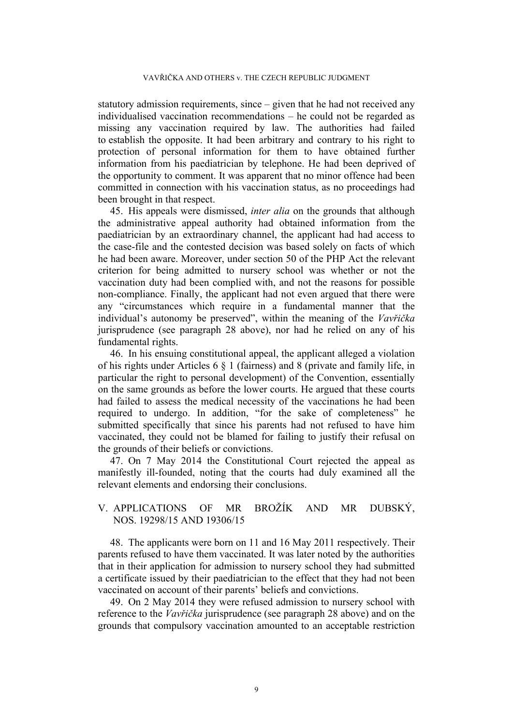statutory admission requirements, since – given that he had not received any individualised vaccination recommendations – he could not be regarded as missing any vaccination required by law. The authorities had failed to establish the opposite. It had been arbitrary and contrary to his right to protection of personal information for them to have obtained further information from his paediatrician by telephone. He had been deprived of the opportunity to comment. It was apparent that no minor offence had been committed in connection with his vaccination status, as no proceedings had been brought in that respect.

45. His appeals were dismissed, *inter alia* on the grounds that although the administrative appeal authority had obtained information from the paediatrician by an extraordinary channel, the applicant had had access to the case-file and the contested decision was based solely on facts of which he had been aware. Moreover, under section 50 of the PHP Act the relevant criterion for being admitted to nursery school was whether or not the vaccination duty had been complied with, and not the reasons for possible non-compliance. Finally, the applicant had not even argued that there were any "circumstances which require in a fundamental manner that the individual's autonomy be preserved", within the meaning of the *Vavřička* jurisprudence (see paragraph [28](#page-5-0) above), nor had he relied on any of his fundamental rights.

46. In his ensuing constitutional appeal, the applicant alleged a violation of his rights under Articles 6 § 1 (fairness) and 8 (private and family life, in particular the right to personal development) of the Convention, essentially on the same grounds as before the lower courts. He argued that these courts had failed to assess the medical necessity of the vaccinations he had been required to undergo. In addition, "for the sake of completeness" he submitted specifically that since his parents had not refused to have him vaccinated, they could not be blamed for failing to justify their refusal on the grounds of their beliefs or convictions.

47. On 7 May 2014 the Constitutional Court rejected the appeal as manifestly ill-founded, noting that the courts had duly examined all the relevant elements and endorsing their conclusions.

# V. APPLICATIONS OF MR BROŽÍK AND MR DUBSKÝ, NOS. 19298/15 AND 19306/15

48. The applicants were born on 11 and 16 May 2011 respectively. Their parents refused to have them vaccinated. It was later noted by the authorities that in their application for admission to nursery school they had submitted a certificate issued by their paediatrician to the effect that they had not been vaccinated on account of their parents' beliefs and convictions.

49. On 2 May 2014 they were refused admission to nursery school with reference to the *Vavřička* jurisprudence (see paragraph [28](#page-5-0) above) and on the grounds that compulsory vaccination amounted to an acceptable restriction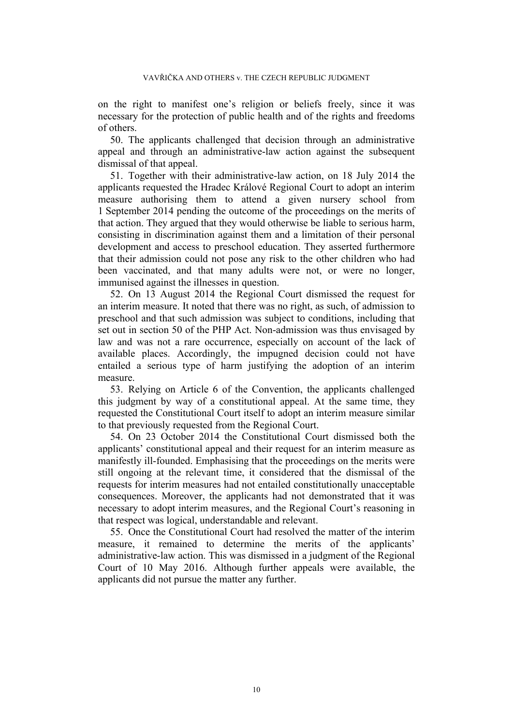on the right to manifest one's religion or beliefs freely, since it was necessary for the protection of public health and of the rights and freedoms of others.

50. The applicants challenged that decision through an administrative appeal and through an administrative-law action against the subsequent dismissal of that appeal.

51. Together with their administrative-law action, on 18 July 2014 the applicants requested the Hradec Králové Regional Court to adopt an interim measure authorising them to attend a given nursery school from 1 September 2014 pending the outcome of the proceedings on the merits of that action. They argued that they would otherwise be liable to serious harm, consisting in discrimination against them and a limitation of their personal development and access to preschool education. They asserted furthermore that their admission could not pose any risk to the other children who had been vaccinated, and that many adults were not, or were no longer, immunised against the illnesses in question.

52. On 13 August 2014 the Regional Court dismissed the request for an interim measure. It noted that there was no right, as such, of admission to preschool and that such admission was subject to conditions, including that set out in section 50 of the PHP Act. Non-admission was thus envisaged by law and was not a rare occurrence, especially on account of the lack of available places. Accordingly, the impugned decision could not have entailed a serious type of harm justifying the adoption of an interim measure.

53. Relying on Article 6 of the Convention, the applicants challenged this judgment by way of a constitutional appeal. At the same time, they requested the Constitutional Court itself to adopt an interim measure similar to that previously requested from the Regional Court.

54. On 23 October 2014 the Constitutional Court dismissed both the applicants' constitutional appeal and their request for an interim measure as manifestly ill-founded. Emphasising that the proceedings on the merits were still ongoing at the relevant time, it considered that the dismissal of the requests for interim measures had not entailed constitutionally unacceptable consequences. Moreover, the applicants had not demonstrated that it was necessary to adopt interim measures, and the Regional Court's reasoning in that respect was logical, understandable and relevant.

55. Once the Constitutional Court had resolved the matter of the interim measure, it remained to determine the merits of the applicants' administrative-law action. This was dismissed in a judgment of the Regional Court of 10 May 2016. Although further appeals were available, the applicants did not pursue the matter any further.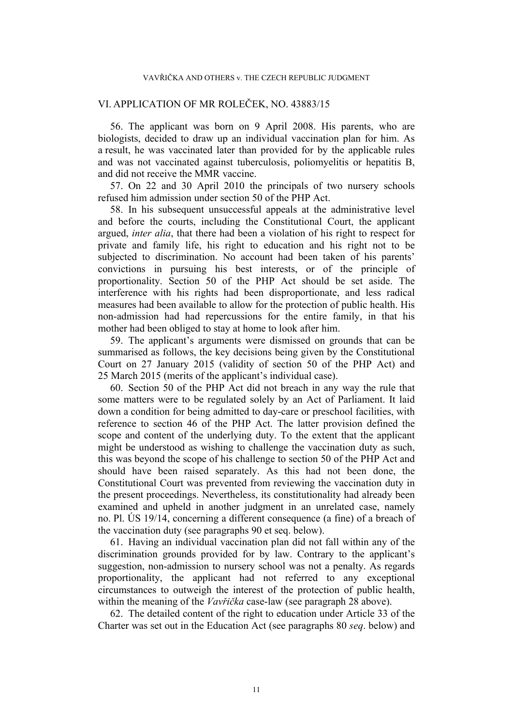# VI. APPLICATION OF MR ROLEČEK, NO. 43883/15

56. The applicant was born on 9 April 2008. His parents, who are biologists, decided to draw up an individual vaccination plan for him. As a result, he was vaccinated later than provided for by the applicable rules and was not vaccinated against tuberculosis, poliomyelitis or hepatitis B, and did not receive the MMR vaccine.

57. On 22 and 30 April 2010 the principals of two nursery schools refused him admission under section 50 of the PHP Act.

58. In his subsequent unsuccessful appeals at the administrative level and before the courts, including the Constitutional Court, the applicant argued, *inter alia*, that there had been a violation of his right to respect for private and family life, his right to education and his right not to be subjected to discrimination. No account had been taken of his parents' convictions in pursuing his best interests, or of the principle of proportionality. Section 50 of the PHP Act should be set aside. The interference with his rights had been disproportionate, and less radical measures had been available to allow for the protection of public health. His non-admission had had repercussions for the entire family, in that his mother had been obliged to stay at home to look after him.

59. The applicant's arguments were dismissed on grounds that can be summarised as follows, the key decisions being given by the Constitutional Court on 27 January 2015 (validity of section 50 of the PHP Act) and 25 March 2015 (merits of the applicant's individual case).

60. Section 50 of the PHP Act did not breach in any way the rule that some matters were to be regulated solely by an Act of Parliament. It laid down a condition for being admitted to day-care or preschool facilities, with reference to section 46 of the PHP Act. The latter provision defined the scope and content of the underlying duty. To the extent that the applicant might be understood as wishing to challenge the vaccination duty as such, this was beyond the scope of his challenge to section 50 of the PHP Act and should have been raised separately. As this had not been done, the Constitutional Court was prevented from reviewing the vaccination duty in the present proceedings. Nevertheless, its constitutionality had already been examined and upheld in another judgment in an unrelated case, namely no. Pl. ÚS 19/14, concerning a different consequence (a fine) of a breach of the vaccination duty (see paragraphs [90](#page-17-0) et seq. below).

61. Having an individual vaccination plan did not fall within any of the discrimination grounds provided for by law. Contrary to the applicant's suggestion, non-admission to nursery school was not a penalty. As regards proportionality, the applicant had not referred to any exceptional circumstances to outweigh the interest of the protection of public health, within the meaning of the *Vavřička* case-law (see paragraph [28](#page-5-0) above).

62. The detailed content of the right to education under Article 33 of the Charter was set out in the Education Act (see paragraphs [80](#page-14-0) *seq*. below) and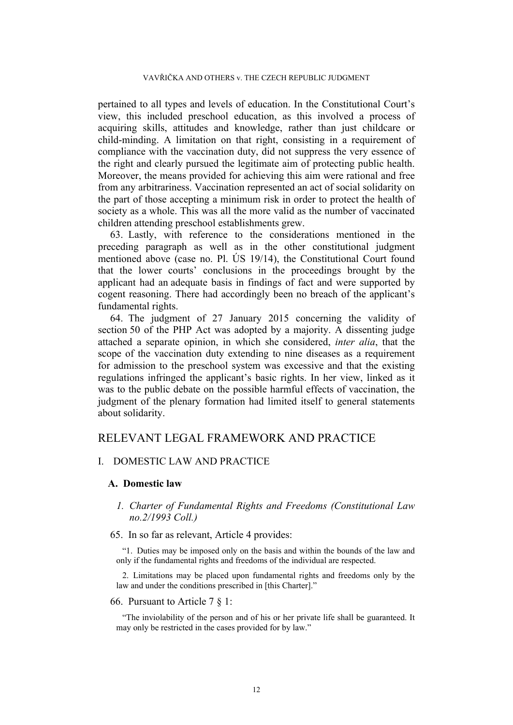pertained to all types and levels of education. In the Constitutional Court's view, this included preschool education, as this involved a process of acquiring skills, attitudes and knowledge, rather than just childcare or child-minding. A limitation on that right, consisting in a requirement of compliance with the vaccination duty, did not suppress the very essence of the right and clearly pursued the legitimate aim of protecting public health. Moreover, the means provided for achieving this aim were rational and free from any arbitrariness. Vaccination represented an act of social solidarity on the part of those accepting a minimum risk in order to protect the health of society as a whole. This was all the more valid as the number of vaccinated children attending preschool establishments grew.

63. Lastly, with reference to the considerations mentioned in the preceding paragraph as well as in the other constitutional judgment mentioned above (case no. Pl. ÚS 19/14), the Constitutional Court found that the lower courts' conclusions in the proceedings brought by the applicant had an adequate basis in findings of fact and were supported by cogent reasoning. There had accordingly been no breach of the applicant's fundamental rights.

64. The judgment of 27 January 2015 concerning the validity of section 50 of the PHP Act was adopted by a majority. A dissenting judge attached a separate opinion, in which she considered, *inter alia*, that the scope of the vaccination duty extending to nine diseases as a requirement for admission to the preschool system was excessive and that the existing regulations infringed the applicant's basic rights. In her view, linked as it was to the public debate on the possible harmful effects of vaccination, the judgment of the plenary formation had limited itself to general statements about solidarity.

# RELEVANT LEGAL FRAMEWORK AND PRACTICE

# I. DOMESTIC LAW AND PRACTICE

### **A. Domestic law**

# *1. Charter of Fundamental Rights and Freedoms (Constitutional Law no.2/1993 Coll.)*

# <span id="page-12-0"></span>65. In so far as relevant, Article 4 provides:

"1. Duties may be imposed only on the basis and within the bounds of the law and only if the fundamental rights and freedoms of the individual are respected.

2. Limitations may be placed upon fundamental rights and freedoms only by the law and under the conditions prescribed in [this Charter]."

#### 66. Pursuant to Article 7 § 1:

"The inviolability of the person and of his or her private life shall be guaranteed. It may only be restricted in the cases provided for by law."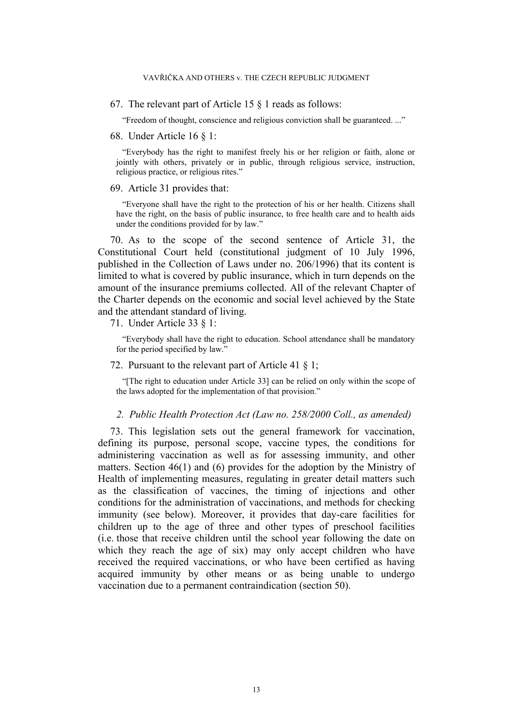67. The relevant part of Article 15 § 1 reads as follows:

"Freedom of thought, conscience and religious conviction shall be guaranteed. ..."

### 68. Under Article 16 § 1:

"Everybody has the right to manifest freely his or her religion or faith, alone or jointly with others, privately or in public, through religious service, instruction, religious practice, or religious rites."

### 69. Article 31 provides that:

"Everyone shall have the right to the protection of his or her health. Citizens shall have the right, on the basis of public insurance, to free health care and to health aids under the conditions provided for by law."

70. As to the scope of the second sentence of Article 31, the Constitutional Court held (constitutional judgment of 10 July 1996, published in the Collection of Laws under no. 206/1996) that its content is limited to what is covered by public insurance, which in turn depends on the amount of the insurance premiums collected. All of the relevant Chapter of the Charter depends on the economic and social level achieved by the State and the attendant standard of living.

71. Under Article 33 § 1:

"Everybody shall have the right to education. School attendance shall be mandatory for the period specified by law."

### 72. Pursuant to the relevant part of Article 41 § 1;

"[The right to education under Article 33] can be relied on only within the scope of the laws adopted for the implementation of that provision."

# *2. Public Health Protection Act (Law no. 258/2000 Coll., as amended)*

<span id="page-13-0"></span>73. This legislation sets out the general framework for vaccination, defining its purpose, personal scope, vaccine types, the conditions for administering vaccination as well as for assessing immunity, and other matters. Section 46(1) and (6) provides for the adoption by the Ministry of Health of implementing measures, regulating in greater detail matters such as the classification of vaccines, the timing of injections and other conditions for the administration of vaccinations, and methods for checking immunity (see below). Moreover, it provides that day-care facilities for children up to the age of three and other types of preschool facilities (i.e. those that receive children until the school year following the date on which they reach the age of six) may only accept children who have received the required vaccinations, or who have been certified as having acquired immunity by other means or as being unable to undergo vaccination due to a permanent contraindication (section 50).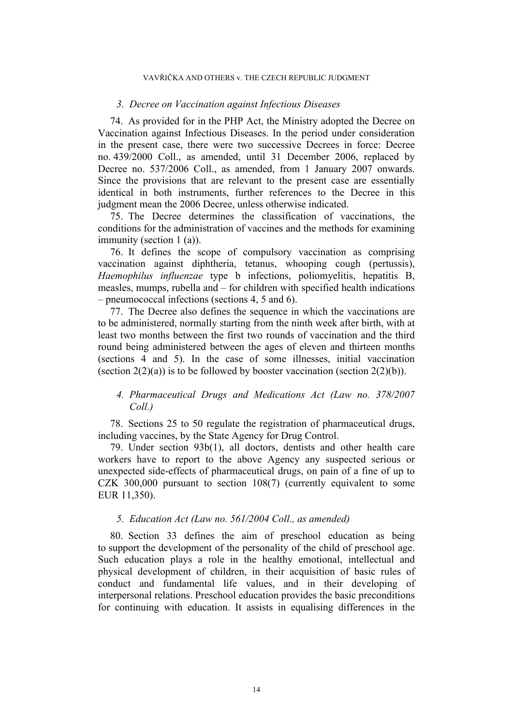### VAVŘIČKA AND OTHERS v. THE CZECH REPUBLIC JUDGMENT

### *3. Decree on Vaccination against Infectious Diseases*

74. As provided for in the PHP Act, the Ministry adopted the Decree on Vaccination against Infectious Diseases. In the period under consideration in the present case, there were two successive Decrees in force: Decree no. 439/2000 Coll., as amended, until 31 December 2006, replaced by Decree no. 537/2006 Coll., as amended, from 1 January 2007 onwards. Since the provisions that are relevant to the present case are essentially identical in both instruments, further references to the Decree in this judgment mean the 2006 Decree, unless otherwise indicated.

75. The Decree determines the classification of vaccinations, the conditions for the administration of vaccines and the methods for examining immunity (section 1 (a)).

76. It defines the scope of compulsory vaccination as comprising vaccination against diphtheria, tetanus, whooping cough (pertussis), *Haemophilus influenzae* type b infections, poliomyelitis, hepatitis B, measles, mumps, rubella and – for children with specified health indications – pneumococcal infections (sections 4, 5 and 6).

77. The Decree also defines the sequence in which the vaccinations are to be administered, normally starting from the ninth week after birth, with at least two months between the first two rounds of vaccination and the third round being administered between the ages of eleven and thirteen months (sections 4 and 5). In the case of some illnesses, initial vaccination (section  $2(2)(a)$ ) is to be followed by booster vaccination (section  $2(2)(b)$ ).

# *4. Pharmaceutical Drugs and Medications Act (Law no. 378/2007 Coll.)*

78. Sections 25 to 50 regulate the registration of pharmaceutical drugs, including vaccines, by the State Agency for Drug Control.

79. Under section 93b(1), all doctors, dentists and other health care workers have to report to the above Agency any suspected serious or unexpected side-effects of pharmaceutical drugs, on pain of a fine of up to CZK 300,000 pursuant to section 108(7) (currently equivalent to some EUR 11,350).

# *5. Education Act (Law no. 561/2004 Coll., as amended)*

<span id="page-14-0"></span>80. Section 33 defines the aim of preschool education as being to support the development of the personality of the child of preschool age. Such education plays a role in the healthy emotional, intellectual and physical development of children, in their acquisition of basic rules of conduct and fundamental life values, and in their developing of interpersonal relations. Preschool education provides the basic preconditions for continuing with education. It assists in equalising differences in the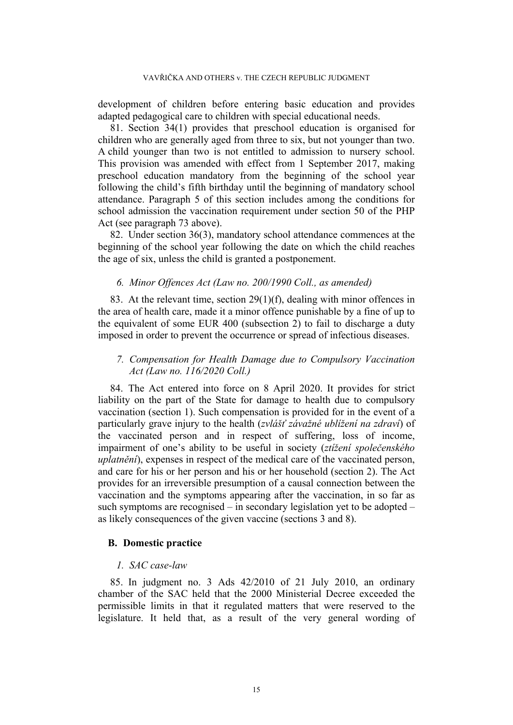development of children before entering basic education and provides adapted pedagogical care to children with special educational needs.

81. Section 34(1) provides that preschool education is organised for children who are generally aged from three to six, but not younger than two. A child younger than two is not entitled to admission to nursery school. This provision was amended with effect from 1 September 2017, making preschool education mandatory from the beginning of the school year following the child's fifth birthday until the beginning of mandatory school attendance. Paragraph 5 of this section includes among the conditions for school admission the vaccination requirement under section 50 of the PHP Act (see paragraph [73](#page-13-0) above).

82. Under section 36(3), mandatory school attendance commences at the beginning of the school year following the date on which the child reaches the age of six, unless the child is granted a postponement.

# *6. Minor Offences Act (Law no. 200/1990 Coll., as amended)*

83. At the relevant time, section 29(1)(f), dealing with minor offences in the area of health care, made it a minor offence punishable by a fine of up to the equivalent of some EUR 400 (subsection 2) to fail to discharge a duty imposed in order to prevent the occurrence or spread of infectious diseases.

# *7. Compensation for Health Damage due to Compulsory Vaccination Act (Law no. 116/2020 Coll.)*

84. The Act entered into force on 8 April 2020. It provides for strict liability on the part of the State for damage to health due to compulsory vaccination (section 1). Such compensation is provided for in the event of a particularly grave injury to the health (*zvlášť závažné ublížení na zdraví*) of the vaccinated person and in respect of suffering, loss of income, impairment of one's ability to be useful in society (*ztížení společenského uplatnění*), expenses in respect of the medical care of the vaccinated person, and care for his or her person and his or her household (section 2). The Act provides for an irreversible presumption of a causal connection between the vaccination and the symptoms appearing after the vaccination, in so far as such symptoms are recognised – in secondary legislation yet to be adopted – as likely consequences of the given vaccine (sections 3 and 8).

# **B. Domestic practice**

### *1. SAC case-law*

<span id="page-15-0"></span>85. In judgment no. 3 Ads 42/2010 of 21 July 2010, an ordinary chamber of the SAC held that the 2000 Ministerial Decree exceeded the permissible limits in that it regulated matters that were reserved to the legislature. It held that, as a result of the very general wording of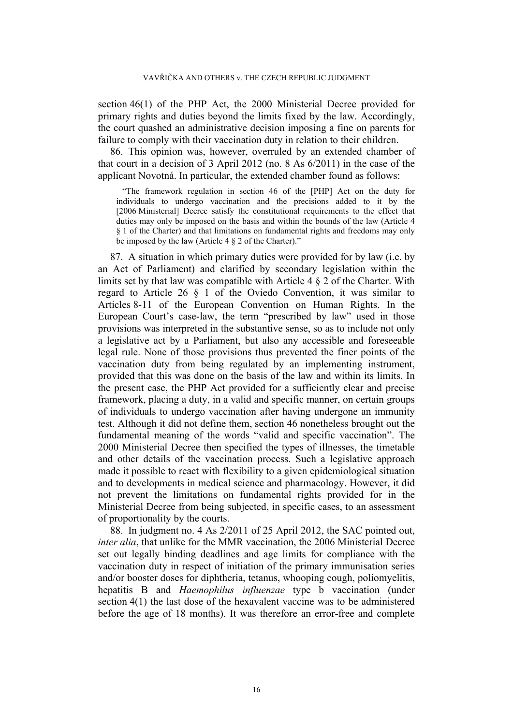section 46(1) of the PHP Act, the 2000 Ministerial Decree provided for primary rights and duties beyond the limits fixed by the law. Accordingly, the court quashed an administrative decision imposing a fine on parents for failure to comply with their vaccination duty in relation to their children.

<span id="page-16-0"></span>86. This opinion was, however, overruled by an extended chamber of that court in a decision of 3 April 2012 (no. 8 As 6/2011) in the case of the applicant Novotná. In particular, the extended chamber found as follows:

"The framework regulation in section 46 of the [PHP] Act on the duty for individuals to undergo vaccination and the precisions added to it by the [2006 Ministerial] Decree satisfy the constitutional requirements to the effect that duties may only be imposed on the basis and within the bounds of the law (Article 4 § 1 of the Charter) and that limitations on fundamental rights and freedoms may only be imposed by the law (Article  $4 \S 2$  of the Charter)."

87. A situation in which primary duties were provided for by law (i.e. by an Act of Parliament) and clarified by secondary legislation within the limits set by that law was compatible with Article 4 § 2 of the Charter. With regard to Article 26 § 1 of the Oviedo Convention, it was similar to Articles 8-11 of the European Convention on Human Rights. In the European Court's case-law, the term "prescribed by law" used in those provisions was interpreted in the substantive sense, so as to include not only a legislative act by a Parliament, but also any accessible and foreseeable legal rule. None of those provisions thus prevented the finer points of the vaccination duty from being regulated by an implementing instrument, provided that this was done on the basis of the law and within its limits. In the present case, the PHP Act provided for a sufficiently clear and precise framework, placing a duty, in a valid and specific manner, on certain groups of individuals to undergo vaccination after having undergone an immunity test. Although it did not define them, section 46 nonetheless brought out the fundamental meaning of the words "valid and specific vaccination". The 2000 Ministerial Decree then specified the types of illnesses, the timetable and other details of the vaccination process. Such a legislative approach made it possible to react with flexibility to a given epidemiological situation and to developments in medical science and pharmacology. However, it did not prevent the limitations on fundamental rights provided for in the Ministerial Decree from being subjected, in specific cases, to an assessment of proportionality by the courts.

88. In judgment no. 4 As 2/2011 of 25 April 2012, the SAC pointed out, *inter alia*, that unlike for the MMR vaccination, the 2006 Ministerial Decree set out legally binding deadlines and age limits for compliance with the vaccination duty in respect of initiation of the primary immunisation series and/or booster doses for diphtheria, tetanus, whooping cough, poliomyelitis, hepatitis B and *Haemophilus influenzae* type b vaccination (under section 4(1) the last dose of the hexavalent vaccine was to be administered before the age of 18 months). It was therefore an error-free and complete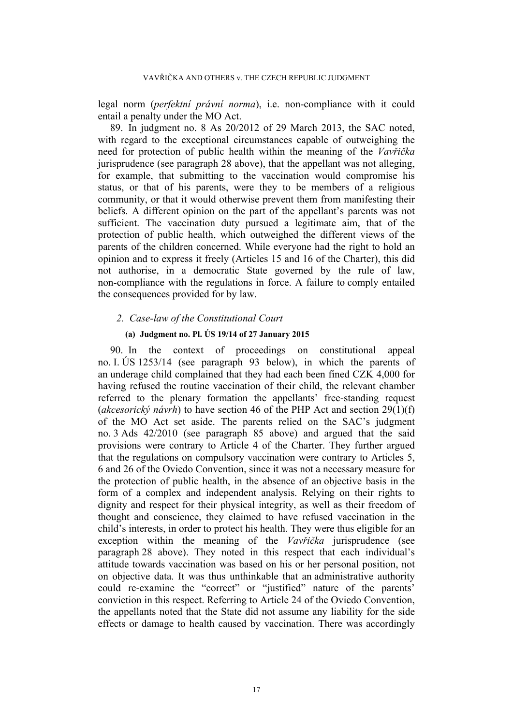legal norm (*perfektní právní norma*), i.e. non-compliance with it could entail a penalty under the MO Act.

89. In judgment no. 8 As 20/2012 of 29 March 2013, the SAC noted, with regard to the exceptional circumstances capable of outweighing the need for protection of public health within the meaning of the *Vavřička* jurisprudence (see paragraph [28](#page-5-0) above), that the appellant was not alleging, for example, that submitting to the vaccination would compromise his status, or that of his parents, were they to be members of a religious community, or that it would otherwise prevent them from manifesting their beliefs. A different opinion on the part of the appellant's parents was not sufficient. The vaccination duty pursued a legitimate aim, that of the protection of public health, which outweighed the different views of the parents of the children concerned. While everyone had the right to hold an opinion and to express it freely (Articles 15 and 16 of the Charter), this did not authorise, in a democratic State governed by the rule of law, non-compliance with the regulations in force. A failure to comply entailed the consequences provided for by law.

# *2. Case-law of the Constitutional Court*

# **(a) Judgment no. Pl. ÚS 19/14 of 27 January 2015**

<span id="page-17-0"></span>90. In the context of proceedings on constitutional appeal no. I. ÚS 1253/14 (see paragraph [93](#page-19-0) below), in which the parents of an underage child complained that they had each been fined CZK 4,000 for having refused the routine vaccination of their child, the relevant chamber referred to the plenary formation the appellants' free-standing request (*akcesorický návrh*) to have section 46 of the PHP Act and section 29(1)(f) of the MO Act set aside. The parents relied on the SAC's judgment no. 3 Ads 42/2010 (see paragraph [85](#page-15-0) above) and argued that the said provisions were contrary to Article 4 of the Charter. They further argued that the regulations on compulsory vaccination were contrary to Articles 5, 6 and 26 of the Oviedo Convention, since it was not a necessary measure for the protection of public health, in the absence of an objective basis in the form of a complex and independent analysis. Relying on their rights to dignity and respect for their physical integrity, as well as their freedom of thought and conscience, they claimed to have refused vaccination in the child's interests, in order to protect his health. They were thus eligible for an exception within the meaning of the *Vavřička* jurisprudence (see paragraph [28](#page-5-0) above). They noted in this respect that each individual's attitude towards vaccination was based on his or her personal position, not on objective data. It was thus unthinkable that an administrative authority could re-examine the "correct" or "justified" nature of the parents' conviction in this respect. Referring to Article 24 of the Oviedo Convention, the appellants noted that the State did not assume any liability for the side effects or damage to health caused by vaccination. There was accordingly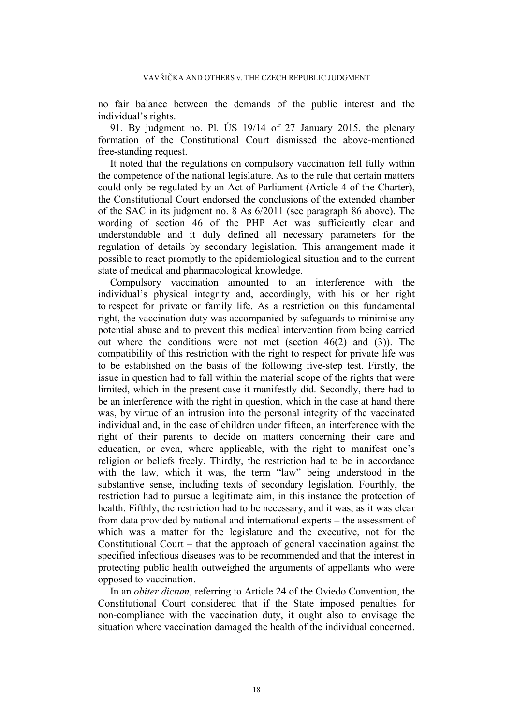no fair balance between the demands of the public interest and the individual's rights.

91. By judgment no. Pl. ÚS 19/14 of 27 January 2015, the plenary formation of the Constitutional Court dismissed the above-mentioned free-standing request.

It noted that the regulations on compulsory vaccination fell fully within the competence of the national legislature. As to the rule that certain matters could only be regulated by an Act of Parliament (Article 4 of the Charter), the Constitutional Court endorsed the conclusions of the extended chamber of the SAC in its judgment no. 8 As 6/2011 (see paragraph [86](#page-16-0) above). The wording of section 46 of the PHP Act was sufficiently clear and understandable and it duly defined all necessary parameters for the regulation of details by secondary legislation. This arrangement made it possible to react promptly to the epidemiological situation and to the current state of medical and pharmacological knowledge.

Compulsory vaccination amounted to an interference with the individual's physical integrity and, accordingly, with his or her right to respect for private or family life. As a restriction on this fundamental right, the vaccination duty was accompanied by safeguards to minimise any potential abuse and to prevent this medical intervention from being carried out where the conditions were not met (section 46(2) and (3)). The compatibility of this restriction with the right to respect for private life was to be established on the basis of the following five-step test. Firstly, the issue in question had to fall within the material scope of the rights that were limited, which in the present case it manifestly did. Secondly, there had to be an interference with the right in question, which in the case at hand there was, by virtue of an intrusion into the personal integrity of the vaccinated individual and, in the case of children under fifteen, an interference with the right of their parents to decide on matters concerning their care and education, or even, where applicable, with the right to manifest one's religion or beliefs freely. Thirdly, the restriction had to be in accordance with the law, which it was, the term "law" being understood in the substantive sense, including texts of secondary legislation. Fourthly, the restriction had to pursue a legitimate aim, in this instance the protection of health. Fifthly, the restriction had to be necessary, and it was, as it was clear from data provided by national and international experts – the assessment of which was a matter for the legislature and the executive, not for the Constitutional Court – that the approach of general vaccination against the specified infectious diseases was to be recommended and that the interest in protecting public health outweighed the arguments of appellants who were opposed to vaccination.

In an *obiter dictum*, referring to Article 24 of the Oviedo Convention, the Constitutional Court considered that if the State imposed penalties for non-compliance with the vaccination duty, it ought also to envisage the situation where vaccination damaged the health of the individual concerned.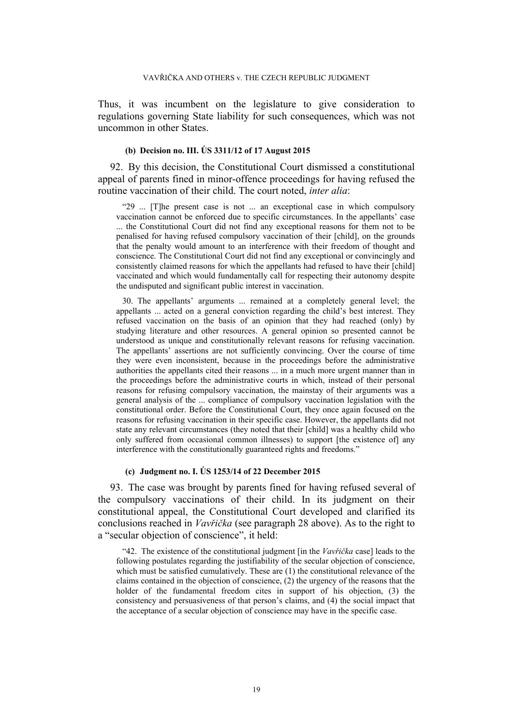Thus, it was incumbent on the legislature to give consideration to regulations governing State liability for such consequences, which was not uncommon in other States.

# **(b) Decision no. III. ÚS 3311/12 of 17 August 2015**

92. By this decision, the Constitutional Court dismissed a constitutional appeal of parents fined in minor-offence proceedings for having refused the routine vaccination of their child. The court noted, *inter alia*:

"29 ... [T]he present case is not ... an exceptional case in which compulsory vaccination cannot be enforced due to specific circumstances. In the appellants' case ... the Constitutional Court did not find any exceptional reasons for them not to be penalised for having refused compulsory vaccination of their [child], on the grounds that the penalty would amount to an interference with their freedom of thought and conscience. The Constitutional Court did not find any exceptional or convincingly and consistently claimed reasons for which the appellants had refused to have their [child] vaccinated and which would fundamentally call for respecting their autonomy despite the undisputed and significant public interest in vaccination.

30. The appellants' arguments ... remained at a completely general level; the appellants ... acted on a general conviction regarding the child's best interest. They refused vaccination on the basis of an opinion that they had reached (only) by studying literature and other resources. A general opinion so presented cannot be understood as unique and constitutionally relevant reasons for refusing vaccination. The appellants' assertions are not sufficiently convincing. Over the course of time they were even inconsistent, because in the proceedings before the administrative authorities the appellants cited their reasons ... in a much more urgent manner than in the proceedings before the administrative courts in which, instead of their personal reasons for refusing compulsory vaccination, the mainstay of their arguments was a general analysis of the ... compliance of compulsory vaccination legislation with the constitutional order. Before the Constitutional Court, they once again focused on the reasons for refusing vaccination in their specific case. However, the appellants did not state any relevant circumstances (they noted that their [child] was a healthy child who only suffered from occasional common illnesses) to support [the existence of] any interference with the constitutionally guaranteed rights and freedoms."

#### **(c) Judgment no. I. ÚS 1253/14 of 22 December 2015**

<span id="page-19-0"></span>93. The case was brought by parents fined for having refused several of the compulsory vaccinations of their child. In its judgment on their constitutional appeal, the Constitutional Court developed and clarified its conclusions reached in *Vavřička* (see paragraph [28](#page-5-0) above). As to the right to a "secular objection of conscience", it held:

"42. The existence of the constitutional judgment [in the *Vavřička* case] leads to the following postulates regarding the justifiability of the secular objection of conscience, which must be satisfied cumulatively. These are  $(1)$  the constitutional relevance of the claims contained in the objection of conscience, (2) the urgency of the reasons that the holder of the fundamental freedom cites in support of his objection, (3) the consistency and persuasiveness of that person's claims, and (4) the social impact that the acceptance of a secular objection of conscience may have in the specific case.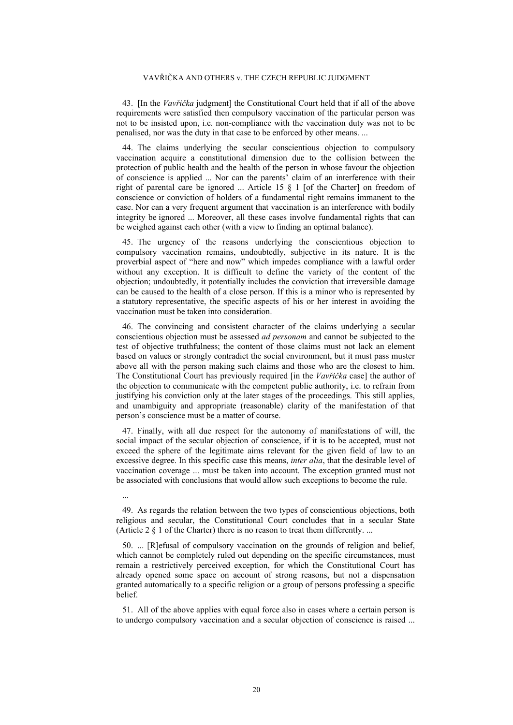#### VAVŘIČKA AND OTHERS v. THE CZECH REPUBLIC JUDGMENT

43. [In the *Vavřička* judgment] the Constitutional Court held that if all of the above requirements were satisfied then compulsory vaccination of the particular person was not to be insisted upon, i.e. non-compliance with the vaccination duty was not to be penalised, nor was the duty in that case to be enforced by other means. ...

44. The claims underlying the secular conscientious objection to compulsory vaccination acquire a constitutional dimension due to the collision between the protection of public health and the health of the person in whose favour the objection of conscience is applied ... Nor can the parents' claim of an interference with their right of parental care be ignored ... Article 15 § 1 [of the Charter] on freedom of conscience or conviction of holders of a fundamental right remains immanent to the case. Nor can a very frequent argument that vaccination is an interference with bodily integrity be ignored ... Moreover, all these cases involve fundamental rights that can be weighed against each other (with a view to finding an optimal balance).

45. The urgency of the reasons underlying the conscientious objection to compulsory vaccination remains, undoubtedly, subjective in its nature. It is the proverbial aspect of "here and now" which impedes compliance with a lawful order without any exception. It is difficult to define the variety of the content of the objection; undoubtedly, it potentially includes the conviction that irreversible damage can be caused to the health of a close person. If this is a minor who is represented by a statutory representative, the specific aspects of his or her interest in avoiding the vaccination must be taken into consideration.

46. The convincing and consistent character of the claims underlying a secular conscientious objection must be assessed *ad personam* and cannot be subjected to the test of objective truthfulness; the content of those claims must not lack an element based on values or strongly contradict the social environment, but it must pass muster above all with the person making such claims and those who are the closest to him. The Constitutional Court has previously required [in the *Vavřička* case] the author of the objection to communicate with the competent public authority, i.e. to refrain from justifying his conviction only at the later stages of the proceedings. This still applies, and unambiguity and appropriate (reasonable) clarity of the manifestation of that person's conscience must be a matter of course.

47. Finally, with all due respect for the autonomy of manifestations of will, the social impact of the secular objection of conscience, if it is to be accepted, must not exceed the sphere of the legitimate aims relevant for the given field of law to an excessive degree. In this specific case this means, *inter alia*, that the desirable level of vaccination coverage ... must be taken into account. The exception granted must not be associated with conclusions that would allow such exceptions to become the rule.

49. As regards the relation between the two types of conscientious objections, both religious and secular, the Constitutional Court concludes that in a secular State (Article 2 § 1 of the Charter) there is no reason to treat them differently. ...

...

50. ... [R]efusal of compulsory vaccination on the grounds of religion and belief, which cannot be completely ruled out depending on the specific circumstances, must remain a restrictively perceived exception, for which the Constitutional Court has already opened some space on account of strong reasons, but not a dispensation granted automatically to a specific religion or a group of persons professing a specific belief.

51. All of the above applies with equal force also in cases where a certain person is to undergo compulsory vaccination and a secular objection of conscience is raised ...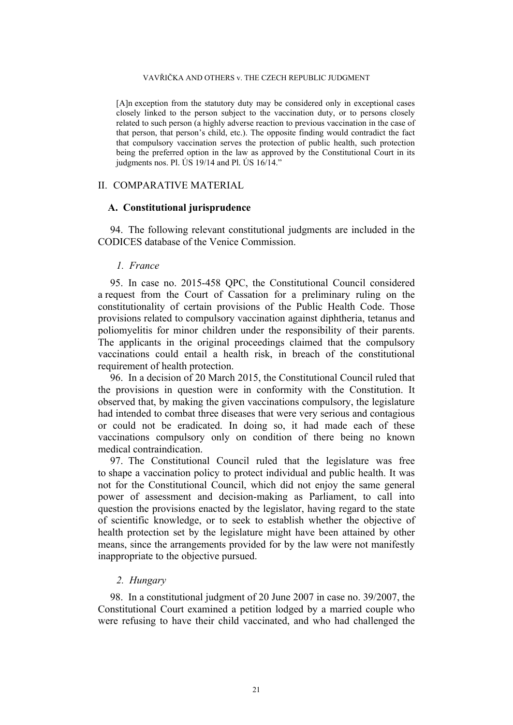#### VAVŘIČKA AND OTHERS v. THE CZECH REPUBLIC JUDGMENT

[A]n exception from the statutory duty may be considered only in exceptional cases closely linked to the person subject to the vaccination duty, or to persons closely related to such person (a highly adverse reaction to previous vaccination in the case of that person, that person's child, etc.). The opposite finding would contradict the fact that compulsory vaccination serves the protection of public health, such protection being the preferred option in the law as approved by the Constitutional Court in its judgments nos. Pl. ÚS 19/14 and Pl. ÚS 16/14."

# II. COMPARATIVE MATERIAL

# **A. Constitutional jurisprudence**

94. The following relevant constitutional judgments are included in the CODICES database of the Venice Commission.

### *1. France*

95. In case no. 2015-458 QPC, the Constitutional Council considered a request from the Court of Cassation for a preliminary ruling on the constitutionality of certain provisions of the Public Health Code. Those provisions related to compulsory vaccination against diphtheria, tetanus and poliomyelitis for minor children under the responsibility of their parents. The applicants in the original proceedings claimed that the compulsory vaccinations could entail a health risk, in breach of the constitutional requirement of health protection.

96. In a decision of 20 March 2015, the Constitutional Council ruled that the provisions in question were in conformity with the Constitution. It observed that, by making the given vaccinations compulsory, the legislature had intended to combat three diseases that were very serious and contagious or could not be eradicated. In doing so, it had made each of these vaccinations compulsory only on condition of there being no known medical contraindication.

97. The Constitutional Council ruled that the legislature was free to shape a vaccination policy to protect individual and public health. It was not for the Constitutional Council, which did not enjoy the same general power of assessment and decision-making as Parliament, to call into question the provisions enacted by the legislator, having regard to the state of scientific knowledge, or to seek to establish whether the objective of health protection set by the legislature might have been attained by other means, since the arrangements provided for by the law were not manifestly inappropriate to the objective pursued.

# *2. Hungary*

98. In a constitutional judgment of 20 June 2007 in case no. 39/2007, the Constitutional Court examined a petition lodged by a married couple who were refusing to have their child vaccinated, and who had challenged the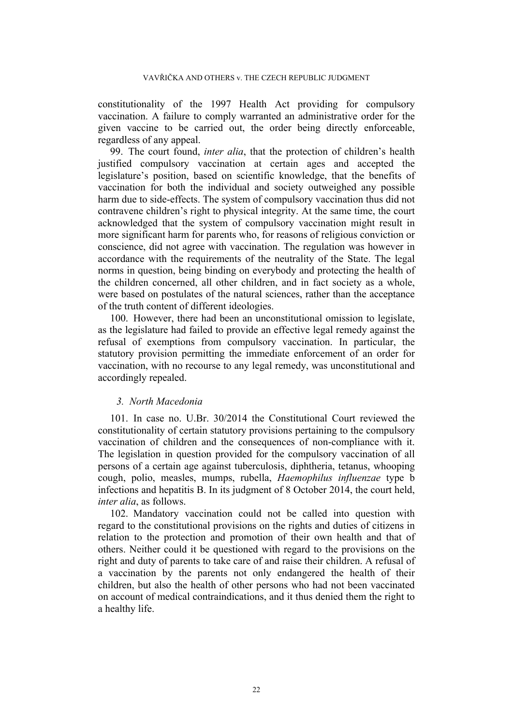constitutionality of the 1997 Health Act providing for compulsory vaccination. A failure to comply warranted an administrative order for the given vaccine to be carried out, the order being directly enforceable, regardless of any appeal.

99. The court found, *inter alia*, that the protection of children's health justified compulsory vaccination at certain ages and accepted the legislature's position, based on scientific knowledge, that the benefits of vaccination for both the individual and society outweighed any possible harm due to side-effects. The system of compulsory vaccination thus did not contravene children's right to physical integrity. At the same time, the court acknowledged that the system of compulsory vaccination might result in more significant harm for parents who, for reasons of religious conviction or conscience, did not agree with vaccination. The regulation was however in accordance with the requirements of the neutrality of the State. The legal norms in question, being binding on everybody and protecting the health of the children concerned, all other children, and in fact society as a whole, were based on postulates of the natural sciences, rather than the acceptance of the truth content of different ideologies.

100. However, there had been an unconstitutional omission to legislate, as the legislature had failed to provide an effective legal remedy against the refusal of exemptions from compulsory vaccination. In particular, the statutory provision permitting the immediate enforcement of an order for vaccination, with no recourse to any legal remedy, was unconstitutional and accordingly repealed.

# *3. North Macedonia*

101. In case no. U.Br. 30/2014 the Constitutional Court reviewed the constitutionality of certain statutory provisions pertaining to the compulsory vaccination of children and the consequences of non-compliance with it. The legislation in question provided for the compulsory vaccination of all persons of a certain age against tuberculosis, diphtheria, tetanus, whooping cough, polio, measles, mumps, rubella, *Haemophilus influenzae* type b infections and hepatitis B. In its judgment of 8 October 2014, the court held, *inter alia*, as follows.

102. Mandatory vaccination could not be called into question with regard to the constitutional provisions on the rights and duties of citizens in relation to the protection and promotion of their own health and that of others. Neither could it be questioned with regard to the provisions on the right and duty of parents to take care of and raise their children. A refusal of a vaccination by the parents not only endangered the health of their children, but also the health of other persons who had not been vaccinated on account of medical contraindications, and it thus denied them the right to a healthy life.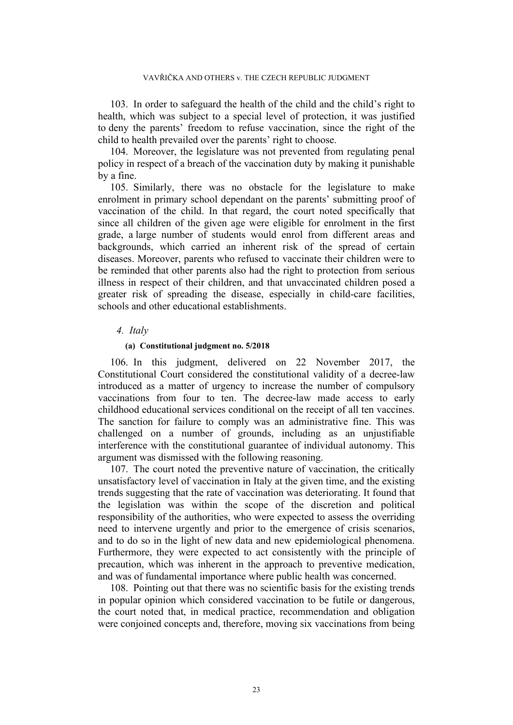103. In order to safeguard the health of the child and the child's right to health, which was subject to a special level of protection, it was justified to deny the parents' freedom to refuse vaccination, since the right of the child to health prevailed over the parents' right to choose.

104. Moreover, the legislature was not prevented from regulating penal policy in respect of a breach of the vaccination duty by making it punishable by a fine.

105. Similarly, there was no obstacle for the legislature to make enrolment in primary school dependant on the parents' submitting proof of vaccination of the child. In that regard, the court noted specifically that since all children of the given age were eligible for enrolment in the first grade, a large number of students would enrol from different areas and backgrounds, which carried an inherent risk of the spread of certain diseases. Moreover, parents who refused to vaccinate their children were to be reminded that other parents also had the right to protection from serious illness in respect of their children, and that unvaccinated children posed a greater risk of spreading the disease, especially in child-care facilities, schools and other educational establishments.

### *4. Italy*

### **(a) Constitutional judgment no. 5/2018**

<span id="page-23-0"></span>106. In this judgment, delivered on 22 November 2017, the Constitutional Court considered the constitutional validity of a decree-law introduced as a matter of urgency to increase the number of compulsory vaccinations from four to ten. The decree-law made access to early childhood educational services conditional on the receipt of all ten vaccines. The sanction for failure to comply was an administrative fine. This was challenged on a number of grounds, including as an unjustifiable interference with the constitutional guarantee of individual autonomy. This argument was dismissed with the following reasoning.

107. The court noted the preventive nature of vaccination, the critically unsatisfactory level of vaccination in Italy at the given time, and the existing trends suggesting that the rate of vaccination was deteriorating. It found that the legislation was within the scope of the discretion and political responsibility of the authorities, who were expected to assess the overriding need to intervene urgently and prior to the emergence of crisis scenarios, and to do so in the light of new data and new epidemiological phenomena. Furthermore, they were expected to act consistently with the principle of precaution, which was inherent in the approach to preventive medication, and was of fundamental importance where public health was concerned.

108. Pointing out that there was no scientific basis for the existing trends in popular opinion which considered vaccination to be futile or dangerous, the court noted that, in medical practice, recommendation and obligation were conjoined concepts and, therefore, moving six vaccinations from being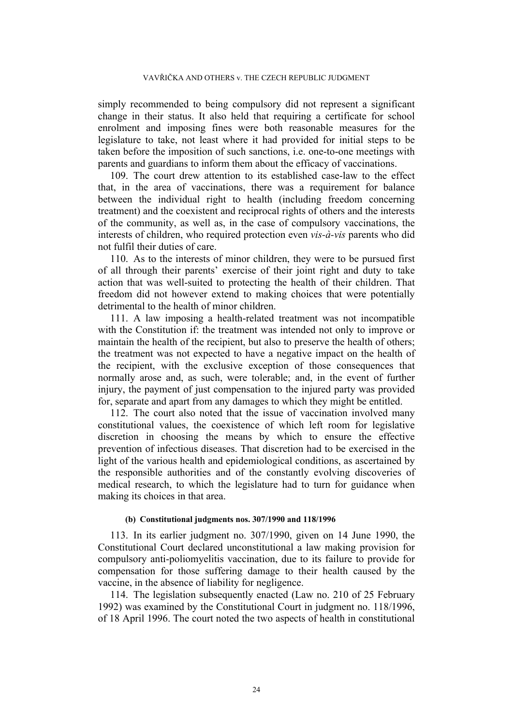simply recommended to being compulsory did not represent a significant change in their status. It also held that requiring a certificate for school enrolment and imposing fines were both reasonable measures for the legislature to take, not least where it had provided for initial steps to be taken before the imposition of such sanctions, i.e. one-to-one meetings with parents and guardians to inform them about the efficacy of vaccinations.

109. The court drew attention to its established case-law to the effect that, in the area of vaccinations, there was a requirement for balance between the individual right to health (including freedom concerning treatment) and the coexistent and reciprocal rights of others and the interests of the community, as well as, in the case of compulsory vaccinations, the interests of children, who required protection even *vis-à-vis* parents who did not fulfil their duties of care.

110. As to the interests of minor children, they were to be pursued first of all through their parents' exercise of their joint right and duty to take action that was well-suited to protecting the health of their children. That freedom did not however extend to making choices that were potentially detrimental to the health of minor children.

111. A law imposing a health-related treatment was not incompatible with the Constitution if: the treatment was intended not only to improve or maintain the health of the recipient, but also to preserve the health of others; the treatment was not expected to have a negative impact on the health of the recipient, with the exclusive exception of those consequences that normally arose and, as such, were tolerable; and, in the event of further injury, the payment of just compensation to the injured party was provided for, separate and apart from any damages to which they might be entitled.

112. The court also noted that the issue of vaccination involved many constitutional values, the coexistence of which left room for legislative discretion in choosing the means by which to ensure the effective prevention of infectious diseases. That discretion had to be exercised in the light of the various health and epidemiological conditions, as ascertained by the responsible authorities and of the constantly evolving discoveries of medical research, to which the legislature had to turn for guidance when making its choices in that area.

### **(b) Constitutional judgments nos. 307/1990 and 118/1996**

113. In its earlier judgment no. 307/1990, given on 14 June 1990, the Constitutional Court declared unconstitutional a law making provision for compulsory anti-poliomyelitis vaccination, due to its failure to provide for compensation for those suffering damage to their health caused by the vaccine, in the absence of liability for negligence.

114. The legislation subsequently enacted (Law no. 210 of 25 February 1992) was examined by the Constitutional Court in judgment no. 118/1996, of 18 April 1996. The court noted the two aspects of health in constitutional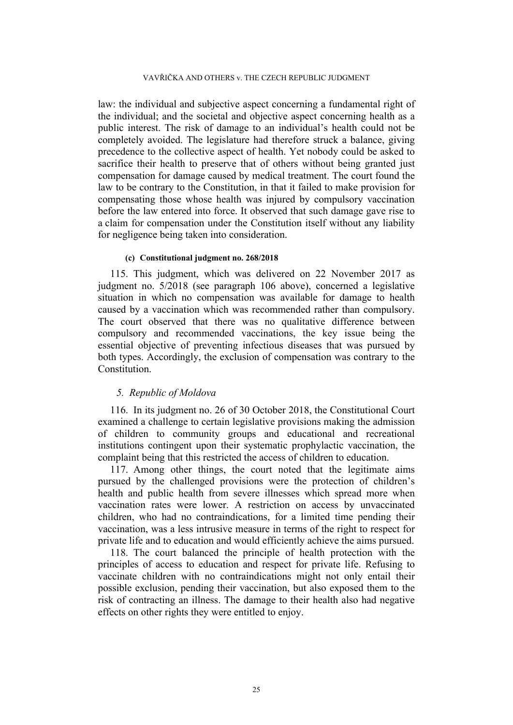law: the individual and subjective aspect concerning a fundamental right of the individual; and the societal and objective aspect concerning health as a public interest. The risk of damage to an individual's health could not be completely avoided. The legislature had therefore struck a balance, giving precedence to the collective aspect of health. Yet nobody could be asked to sacrifice their health to preserve that of others without being granted just compensation for damage caused by medical treatment. The court found the law to be contrary to the Constitution, in that it failed to make provision for compensating those whose health was injured by compulsory vaccination before the law entered into force. It observed that such damage gave rise to a claim for compensation under the Constitution itself without any liability for negligence being taken into consideration.

#### **(c) Constitutional judgment no. 268/2018**

115. This judgment, which was delivered on 22 November 2017 as judgment no. 5/2018 (see paragraph [106](#page-23-0) above), concerned a legislative situation in which no compensation was available for damage to health caused by a vaccination which was recommended rather than compulsory. The court observed that there was no qualitative difference between compulsory and recommended vaccinations, the key issue being the essential objective of preventing infectious diseases that was pursued by both types. Accordingly, the exclusion of compensation was contrary to the Constitution.

# *5. Republic of Moldova*

116. In its judgment no. 26 of 30 October 2018, the Constitutional Court examined a challenge to certain legislative provisions making the admission of children to community groups and educational and recreational institutions contingent upon their systematic prophylactic vaccination, the complaint being that this restricted the access of children to education.

117. Among other things, the court noted that the legitimate aims pursued by the challenged provisions were the protection of children's health and public health from severe illnesses which spread more when vaccination rates were lower. A restriction on access by unvaccinated children, who had no contraindications, for a limited time pending their vaccination, was a less intrusive measure in terms of the right to respect for private life and to education and would efficiently achieve the aims pursued.

118. The court balanced the principle of health protection with the principles of access to education and respect for private life. Refusing to vaccinate children with no contraindications might not only entail their possible exclusion, pending their vaccination, but also exposed them to the risk of contracting an illness. The damage to their health also had negative effects on other rights they were entitled to enjoy.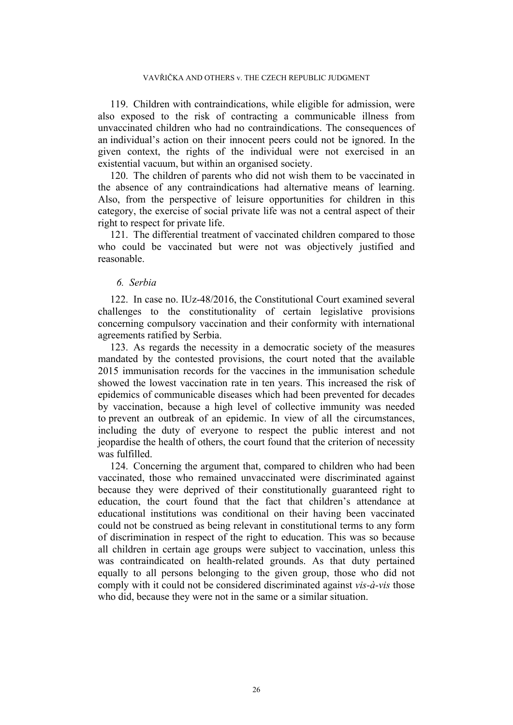119. Children with contraindications, while eligible for admission, were also exposed to the risk of contracting a communicable illness from unvaccinated children who had no contraindications. The consequences of an individual's action on their innocent peers could not be ignored. In the given context, the rights of the individual were not exercised in an existential vacuum, but within an organised society.

120. The children of parents who did not wish them to be vaccinated in the absence of any contraindications had alternative means of learning. Also, from the perspective of leisure opportunities for children in this category, the exercise of social private life was not a central aspect of their right to respect for private life.

121. The differential treatment of vaccinated children compared to those who could be vaccinated but were not was objectively justified and reasonable.

# *6. Serbia*

122. In case no. IUz-48/2016, the Constitutional Court examined several challenges to the constitutionality of certain legislative provisions concerning compulsory vaccination and their conformity with international agreements ratified by Serbia.

123. As regards the necessity in a democratic society of the measures mandated by the contested provisions, the court noted that the available 2015 immunisation records for the vaccines in the immunisation schedule showed the lowest vaccination rate in ten years. This increased the risk of epidemics of communicable diseases which had been prevented for decades by vaccination, because a high level of collective immunity was needed to prevent an outbreak of an epidemic. In view of all the circumstances, including the duty of everyone to respect the public interest and not jeopardise the health of others, the court found that the criterion of necessity was fulfilled.

124. Concerning the argument that, compared to children who had been vaccinated, those who remained unvaccinated were discriminated against because they were deprived of their constitutionally guaranteed right to education, the court found that the fact that children's attendance at educational institutions was conditional on their having been vaccinated could not be construed as being relevant in constitutional terms to any form of discrimination in respect of the right to education. This was so because all children in certain age groups were subject to vaccination, unless this was contraindicated on health-related grounds. As that duty pertained equally to all persons belonging to the given group, those who did not comply with it could not be considered discriminated against *vis-à-vis* those who did, because they were not in the same or a similar situation.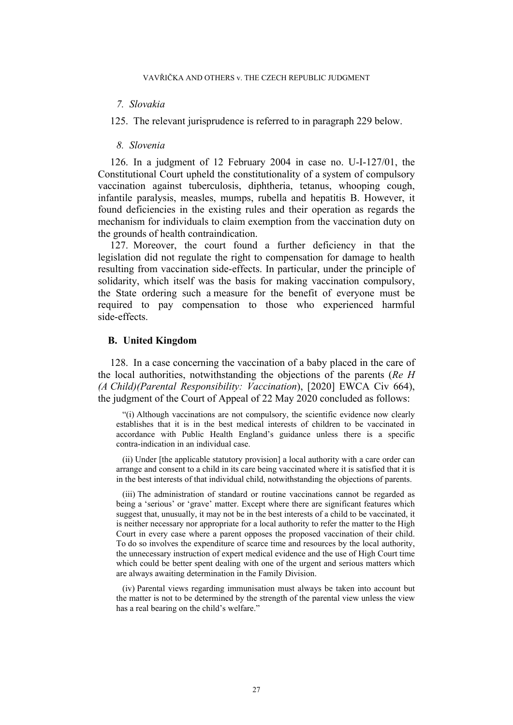# *7. Slovakia*

125. The relevant jurisprudence is referred to in paragraph [229](#page-52-0) below.

# *8. Slovenia*

126. In a judgment of 12 February 2004 in case no. U-I-127/01, the Constitutional Court upheld the constitutionality of a system of compulsory vaccination against tuberculosis, diphtheria, tetanus, whooping cough, infantile paralysis, measles, mumps, rubella and hepatitis B. However, it found deficiencies in the existing rules and their operation as regards the mechanism for individuals to claim exemption from the vaccination duty on the grounds of health contraindication.

127. Moreover, the court found a further deficiency in that the legislation did not regulate the right to compensation for damage to health resulting from vaccination side-effects. In particular, under the principle of solidarity, which itself was the basis for making vaccination compulsory, the State ordering such a measure for the benefit of everyone must be required to pay compensation to those who experienced harmful side-effects.

### **B. United Kingdom**

128. In a case concerning the vaccination of a baby placed in the care of the local authorities, notwithstanding the objections of the parents (*Re H (A Child)(Parental Responsibility: Vaccination*), [2020] EWCA Civ 664), the judgment of the Court of Appeal of 22 May 2020 concluded as follows:

"(i) Although vaccinations are not compulsory, the scientific evidence now clearly establishes that it is in the best medical interests of children to be vaccinated in accordance with Public Health England's guidance unless there is a specific contra-indication in an individual case.

(ii) Under [the applicable statutory provision] a local authority with a care order can arrange and consent to a child in its care being vaccinated where it is satisfied that it is in the best interests of that individual child, notwithstanding the objections of parents.

(iii) The administration of standard or routine vaccinations cannot be regarded as being a 'serious' or 'grave' matter. Except where there are significant features which suggest that, unusually, it may not be in the best interests of a child to be vaccinated, it is neither necessary nor appropriate for a local authority to refer the matter to the High Court in every case where a parent opposes the proposed vaccination of their child. To do so involves the expenditure of scarce time and resources by the local authority, the unnecessary instruction of expert medical evidence and the use of High Court time which could be better spent dealing with one of the urgent and serious matters which are always awaiting determination in the Family Division.

(iv) Parental views regarding immunisation must always be taken into account but the matter is not to be determined by the strength of the parental view unless the view has a real bearing on the child's welfare."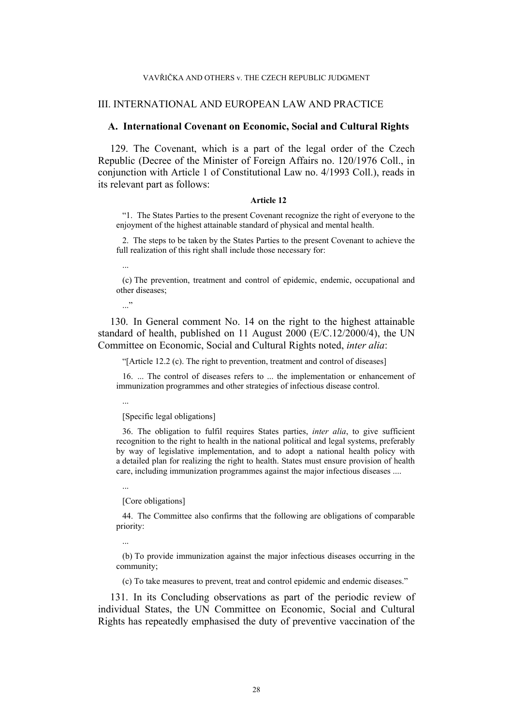#### VAVŘIČKA AND OTHERS v. THE CZECH REPUBLIC JUDGMENT

# III. INTERNATIONAL AND EUROPEAN LAW AND PRACTICE

# **A. International Covenant on Economic, Social and Cultural Rights**

129. The Covenant, which is a part of the legal order of the Czech Republic (Decree of the Minister of Foreign Affairs no. 120/1976 Coll., in conjunction with Article 1 of Constitutional Law no. 4/1993 Coll.), reads in its relevant part as follows:

#### **Article 12**

"1. The States Parties to the present Covenant recognize the right of everyone to the enjoyment of the highest attainable standard of physical and mental health.

2. The steps to be taken by the States Parties to the present Covenant to achieve the full realization of this right shall include those necessary for:

...

(c) The prevention, treatment and control of epidemic, endemic, occupational and other diseases;

 $\cdot$ 

130. In General comment No. 14 on the right to the highest attainable standard of health, published on 11 August 2000 (E/C.12/2000/4), the UN Committee on Economic, Social and Cultural Rights noted, *inter alia*:

"[Article 12.2 (c). The right to prevention, treatment and control of diseases]

16. ... The control of diseases refers to ... the implementation or enhancement of immunization programmes and other strategies of infectious disease control.

...

[Specific legal obligations]

36. The obligation to fulfil requires States parties, *inter alia*, to give sufficient recognition to the right to health in the national political and legal systems, preferably by way of legislative implementation, and to adopt a national health policy with a detailed plan for realizing the right to health. States must ensure provision of health care, including immunization programmes against the major infectious diseases ....

...

[Core obligations]

44. The Committee also confirms that the following are obligations of comparable priority:

...

(b) To provide immunization against the major infectious diseases occurring in the community;

(c) To take measures to prevent, treat and control epidemic and endemic diseases."

131. In its Concluding observations as part of the periodic review of individual States, the UN Committee on Economic, Social and Cultural Rights has repeatedly emphasised the duty of preventive vaccination of the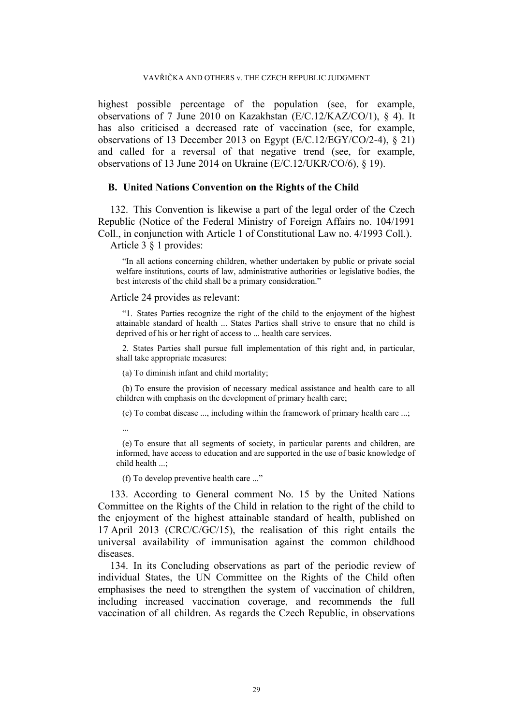highest possible percentage of the population (see, for example, observations of 7 June 2010 on Kazakhstan (E/C.12/KAZ/CO/1), § 4). It has also criticised a decreased rate of vaccination (see, for example, observations of 13 December 2013 on Egypt (E/C.12/EGY/CO/2-4), § 21) and called for a reversal of that negative trend (see, for example, observations of 13 June 2014 on Ukraine (E/C.12/UKR/CO/6), § 19).

# **B. United Nations Convention on the Rights of the Child**

132. This Convention is likewise a part of the legal order of the Czech Republic (Notice of the Federal Ministry of Foreign Affairs no. 104/1991 Coll., in conjunction with Article 1 of Constitutional Law no. 4/1993 Coll.).

Article 3 § 1 provides:

"In all actions concerning children, whether undertaken by public or private social welfare institutions, courts of law, administrative authorities or legislative bodies, the best interests of the child shall be a primary consideration."

### Article 24 provides as relevant:

"1. States Parties recognize the right of the child to the enjoyment of the highest attainable standard of health ... States Parties shall strive to ensure that no child is deprived of his or her right of access to ... health care services.

2. States Parties shall pursue full implementation of this right and, in particular, shall take appropriate measures:

(a) To diminish infant and child mortality;

(b) To ensure the provision of necessary medical assistance and health care to all children with emphasis on the development of primary health care;

(c) To combat disease ..., including within the framework of primary health care ...;

...

(e) To ensure that all segments of society, in particular parents and children, are informed, have access to education and are supported in the use of basic knowledge of child health ...;

(f) To develop preventive health care ..."

133. According to General comment No. 15 by the United Nations Committee on the Rights of the Child in relation to the right of the child to the enjoyment of the highest attainable standard of health, published on 17 April 2013 (CRC/C/GC/15), the realisation of this right entails the universal availability of immunisation against the common childhood diseases.

134. In its Concluding observations as part of the periodic review of individual States, the UN Committee on the Rights of the Child often emphasises the need to strengthen the system of vaccination of children, including increased vaccination coverage, and recommends the full vaccination of all children. As regards the Czech Republic, in observations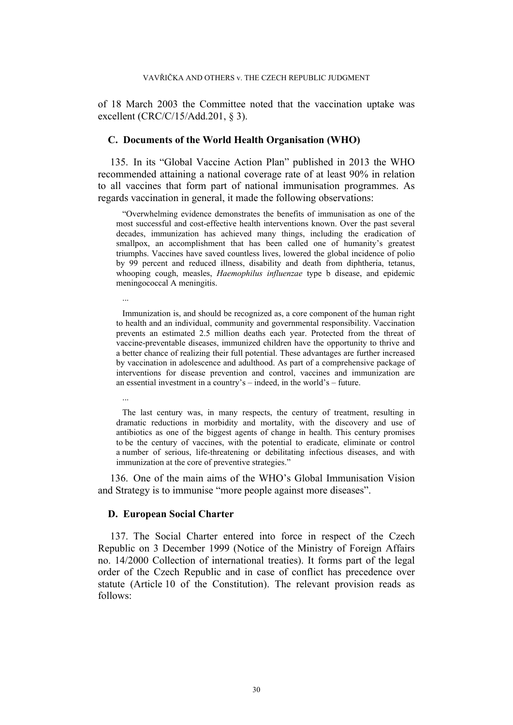of 18 March 2003 the Committee noted that the vaccination uptake was excellent (CRC/C/15/Add.201, § 3).

# **C. Documents of the World Health Organisation (WHO)**

135. In its "Global Vaccine Action Plan" published in 2013 the WHO recommended attaining a national coverage rate of at least 90% in relation to all vaccines that form part of national immunisation programmes. As regards vaccination in general, it made the following observations:

"Overwhelming evidence demonstrates the benefits of immunisation as one of the most successful and cost-effective health interventions known. Over the past several decades, immunization has achieved many things, including the eradication of smallpox, an accomplishment that has been called one of humanity's greatest triumphs. Vaccines have saved countless lives, lowered the global incidence of polio by 99 percent and reduced illness, disability and death from diphtheria, tetanus, whooping cough, measles, *Haemophilus influenzae* type b disease, and epidemic meningococcal A meningitis.

Immunization is, and should be recognized as, a core component of the human right to health and an individual, community and governmental responsibility. Vaccination prevents an estimated 2.5 million deaths each year. Protected from the threat of vaccine-preventable diseases, immunized children have the opportunity to thrive and a better chance of realizing their full potential. These advantages are further increased by vaccination in adolescence and adulthood. As part of a comprehensive package of interventions for disease prevention and control, vaccines and immunization are an essential investment in a country's – indeed, in the world's – future.

The last century was, in many respects, the century of treatment, resulting in dramatic reductions in morbidity and mortality, with the discovery and use of antibiotics as one of the biggest agents of change in health. This century promises to be the century of vaccines, with the potential to eradicate, eliminate or control a number of serious, life-threatening or debilitating infectious diseases, and with immunization at the core of preventive strategies."

136. One of the main aims of the WHO's Global Immunisation Vision and Strategy is to immunise "more people against more diseases".

### **D. European Social Charter**

...

...

137. The Social Charter entered into force in respect of the Czech Republic on 3 December 1999 (Notice of the Ministry of Foreign Affairs no. 14/2000 Collection of international treaties). It forms part of the legal order of the Czech Republic and in case of conflict has precedence over statute (Article 10 of the Constitution). The relevant provision reads as follows: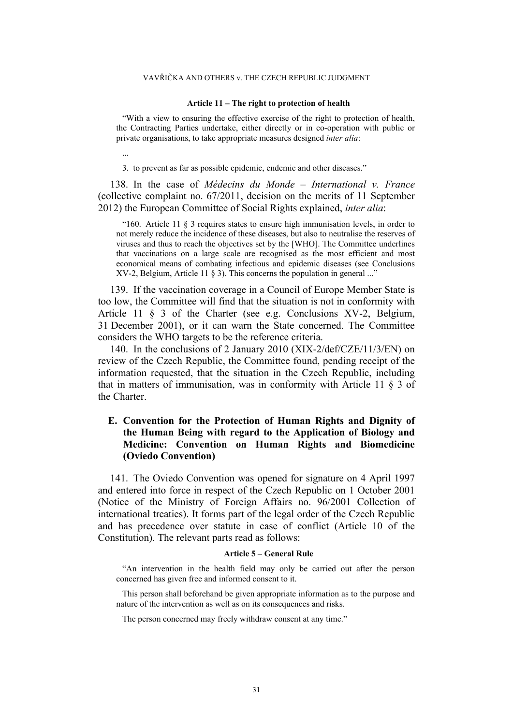#### **Article 11 – The right to protection of health**

"With a view to ensuring the effective exercise of the right to protection of health, the Contracting Parties undertake, either directly or in co-operation with public or private organisations, to take appropriate measures designed *inter alia*:

...

3. to prevent as far as possible epidemic, endemic and other diseases."

138. In the case of *Médecins du Monde – International v. France* (collective complaint no. 67/2011, decision on the merits of 11 September 2012) the European Committee of Social Rights explained, *inter alia*:

"160. Article 11 § 3 requires states to ensure high immunisation levels, in order to not merely reduce the incidence of these diseases, but also to neutralise the reserves of viruses and thus to reach the objectives set by the [WHO]. The Committee underlines that vaccinations on a large scale are recognised as the most efficient and most economical means of combating infectious and epidemic diseases (see Conclusions XV-2, Belgium, Article 11 § 3). This concerns the population in general ..."

139. If the vaccination coverage in a Council of Europe Member State is too low, the Committee will find that the situation is not in conformity with Article 11 § 3 of the Charter (see e.g. Conclusions XV-2, Belgium, 31 December 2001), or it can warn the State concerned. The Committee considers the WHO targets to be the reference criteria.

140. In the conclusions of 2 January 2010 (XIX-2/def/CZE/11/3/EN) on review of the Czech Republic, the Committee found, pending receipt of the information requested, that the situation in the Czech Republic, including that in matters of immunisation, was in conformity with Article 11 § 3 of the Charter.

# **E. Convention for the Protection of Human Rights and Dignity of the Human Being with regard to the Application of Biology and Medicine: Convention on Human Rights and Biomedicine (Oviedo Convention)**

<span id="page-31-0"></span>141. The Oviedo Convention was opened for signature on 4 April 1997 and entered into force in respect of the Czech Republic on 1 October 2001 (Notice of the Ministry of Foreign Affairs no. 96/2001 Collection of international treaties). It forms part of the legal order of the Czech Republic and has precedence over statute in case of conflict (Article 10 of the Constitution). The relevant parts read as follows:

#### **Article 5 – General Rule**

"An intervention in the health field may only be carried out after the person concerned has given free and informed consent to it.

This person shall beforehand be given appropriate information as to the purpose and nature of the intervention as well as on its consequences and risks.

The person concerned may freely withdraw consent at any time."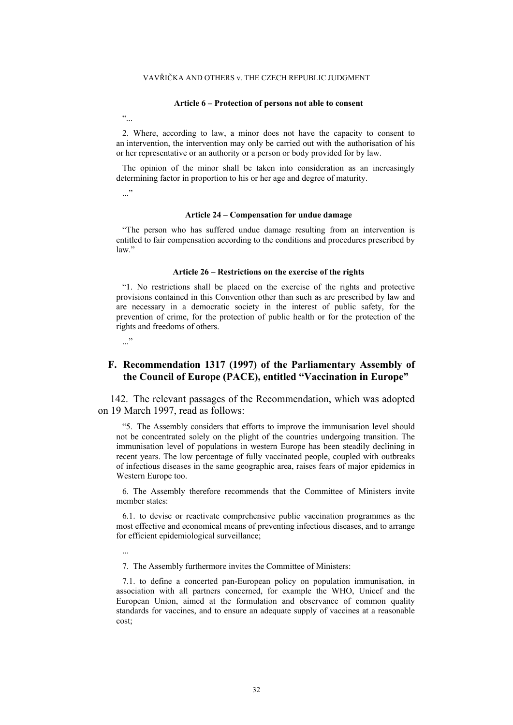#### **Article 6 – Protection of persons not able to consent**

 $\ddot{\cdot}$ 

2. Where, according to law, a minor does not have the capacity to consent to an intervention, the intervention may only be carried out with the authorisation of his or her representative or an authority or a person or body provided for by law.

The opinion of the minor shall be taken into consideration as an increasingly determining factor in proportion to his or her age and degree of maturity.

..."

#### **Article 24 – Compensation for undue damage**

"The person who has suffered undue damage resulting from an intervention is entitled to fair compensation according to the conditions and procedures prescribed by law."

#### **Article 26 – Restrictions on the exercise of the rights**

"1. No restrictions shall be placed on the exercise of the rights and protective provisions contained in this Convention other than such as are prescribed by law and are necessary in a democratic society in the interest of public safety, for the prevention of crime, for the protection of public health or for the protection of the rights and freedoms of others.

..."

# **F. Recommendation 1317 (1997) of the Parliamentary Assembly of the Council of Europe (PACE), entitled "Vaccination in Europe"**

142. The relevant passages of the Recommendation, which was adopted on 19 March 1997, read as follows:

"5. The Assembly considers that efforts to improve the immunisation level should not be concentrated solely on the plight of the countries undergoing transition. The immunisation level of populations in western Europe has been steadily declining in recent years. The low percentage of fully vaccinated people, coupled with outbreaks of infectious diseases in the same geographic area, raises fears of major epidemics in Western Europe too.

6. The Assembly therefore recommends that the Committee of Ministers invite member states:

6.1. to devise or reactivate comprehensive public vaccination programmes as the most effective and economical means of preventing infectious diseases, and to arrange for efficient epidemiological surveillance;

...

7. The Assembly furthermore invites the Committee of Ministers:

7.1. to define a concerted pan-European policy on population immunisation, in association with all partners concerned, for example the WHO, Unicef and the European Union, aimed at the formulation and observance of common quality standards for vaccines, and to ensure an adequate supply of vaccines at a reasonable cost;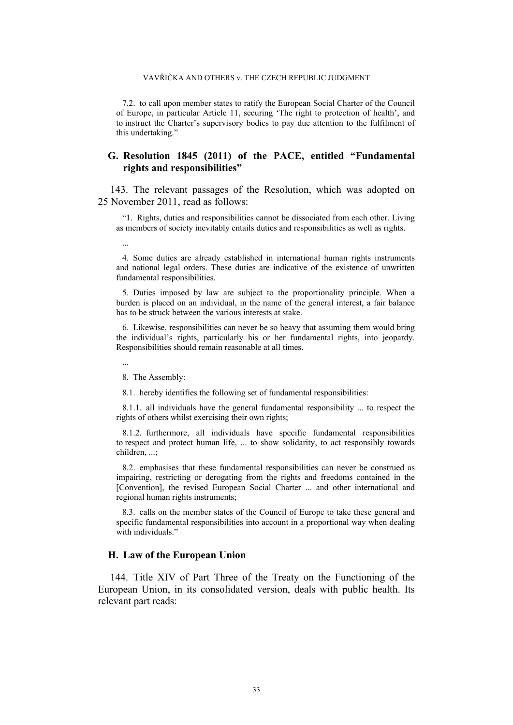#### VAVŘIČKA AND OTHERS v. THE CZECH REPUBLIC JUDGMENT

7.2. to call upon member states to ratify the European Social Charter of the Council of Europe, in particular Article 11, securing 'The right to protection of health', and to instruct the Charter's supervisory bodies to pay due attention to the fulfilment of this undertaking."

# **G. Resolution 1845 (2011) of the PACE, entitled "Fundamental rights and responsibilities"**

143. The relevant passages of the Resolution, which was adopted on 25 November 2011, read as follows:

"1. Rights, duties and responsibilities cannot be dissociated from each other. Living as members of society inevitably entails duties and responsibilities as well as rights.

...

4. Some duties are already established in international human rights instruments and national legal orders. These duties are indicative of the existence of unwritten fundamental responsibilities.

5. Duties imposed by law are subject to the proportionality principle. When a burden is placed on an individual, in the name of the general interest, a fair balance has to be struck between the various interests at stake.

6. Likewise, responsibilities can never be so heavy that assuming them would bring the individual's rights, particularly his or her fundamental rights, into jeopardy. Responsibilities should remain reasonable at all times.

...

8. The Assembly:

8.1. hereby identifies the following set of fundamental responsibilities:

8.1.1. all individuals have the general fundamental responsibility ... to respect the rights of others whilst exercising their own rights;

8.1.2. furthermore, all individuals have specific fundamental responsibilities to respect and protect human life, ... to show solidarity, to act responsibly towards children, ...;

8.2. emphasises that these fundamental responsibilities can never be construed as impairing, restricting or derogating from the rights and freedoms contained in the [Convention], the revised European Social Charter ... and other international and regional human rights instruments;

8.3. calls on the member states of the Council of Europe to take these general and specific fundamental responsibilities into account in a proportional way when dealing with individuals."

### **H. Law of the European Union**

144. Title XIV of Part Three of the Treaty on the Functioning of the European Union, in its consolidated version, deals with public health. Its relevant part reads: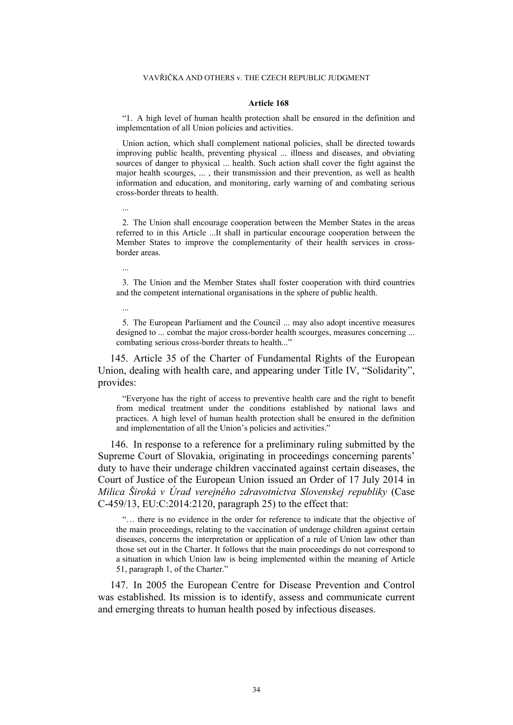#### **Article 168**

"1. A high level of human health protection shall be ensured in the definition and implementation of all Union policies and activities.

Union action, which shall complement national policies, shall be directed towards improving public health, preventing physical ... illness and diseases, and obviating sources of danger to physical ... health. Such action shall cover the fight against the major health scourges, ... , their transmission and their prevention, as well as health information and education, and monitoring, early warning of and combating serious cross-border threats to health.

2. The Union shall encourage cooperation between the Member States in the areas referred to in this Article ...It shall in particular encourage cooperation between the Member States to improve the complementarity of their health services in crossborder areas.

...

...

...

3. The Union and the Member States shall foster cooperation with third countries and the competent international organisations in the sphere of public health.

5. The European Parliament and the Council ... may also adopt incentive measures designed to ... combat the major cross-border health scourges, measures concerning ... combating serious cross-border threats to health..."

145. Article 35 of the Charter of Fundamental Rights of the European Union, dealing with health care, and appearing under Title IV, "Solidarity", provides:

"Everyone has the right of access to preventive health care and the right to benefit from medical treatment under the conditions established by national laws and practices. A high level of human health protection shall be ensured in the definition and implementation of all the Union's policies and activities."

146. In response to a reference for a preliminary ruling submitted by the Supreme Court of Slovakia, originating in proceedings concerning parents' duty to have their underage children vaccinated against certain diseases, the Court of Justice of the European Union issued an Order of 17 July 2014 in *Milica Široká v Úrad verejného zdravotníctva Slovenskej republiky* (Case C-459/13, EU:C:2014:2120, paragraph 25) to the effect that:

"… there is no evidence in the order for reference to indicate that the objective of the main proceedings, relating to the vaccination of underage children against certain diseases, concerns the interpretation or application of a rule of Union law other than those set out in the Charter. It follows that the main proceedings do not correspond to a situation in which Union law is being implemented within the meaning of Article 51, paragraph 1, of the Charter."

147. In 2005 the European Centre for Disease Prevention and Control was established. Its mission is to identify, assess and communicate current and emerging threats to human health posed by infectious diseases.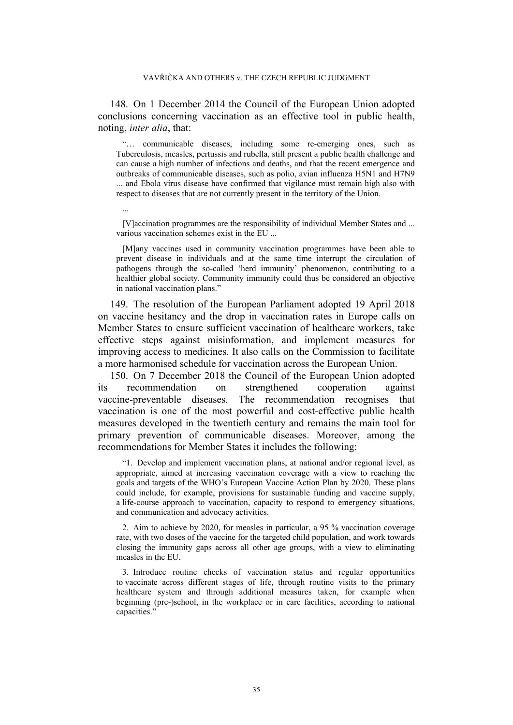148. On 1 December 2014 the Council of the European Union adopted conclusions concerning vaccination as an effective tool in public health, noting, *inter alia*, that:

"… communicable diseases, including some re-emerging ones, such as Tuberculosis, measles, pertussis and rubella, still present a public health challenge and can cause a high number of infections and deaths, and that the recent emergence and outbreaks of communicable diseases, such as polio, avian influenza H5N1 and H7N9 ... and Ebola virus disease have confirmed that vigilance must remain high also with respect to diseases that are not currently present in the territory of the Union.

[V]accination programmes are the responsibility of individual Member States and ... various vaccination schemes exist in the EU ...

...

[M]any vaccines used in community vaccination programmes have been able to prevent disease in individuals and at the same time interrupt the circulation of pathogens through the so-called 'herd immunity' phenomenon, contributing to a healthier global society. Community immunity could thus be considered an objective in national vaccination plans."

149. The resolution of the European Parliament adopted 19 April 2018 on vaccine hesitancy and the drop in vaccination rates in Europe calls on Member States to ensure sufficient vaccination of healthcare workers, take effective steps against misinformation, and implement measures for improving access to medicines. It also calls on the Commission to facilitate a more harmonised schedule for vaccination across the European Union.

150. On 7 December 2018 the Council of the European Union adopted its recommendation on strengthened cooperation against vaccine-preventable diseases. The recommendation recognises that vaccination is one of the most powerful and cost-effective public health measures developed in the twentieth century and remains the main tool for primary prevention of communicable diseases. Moreover, among the recommendations for Member States it includes the following:

"1. Develop and implement vaccination plans, at national and/or regional level, as appropriate, aimed at increasing vaccination coverage with a view to reaching the goals and targets of the WHO's European Vaccine Action Plan by 2020. These plans could include, for example, provisions for sustainable funding and vaccine supply, a life-course approach to vaccination, capacity to respond to emergency situations, and communication and advocacy activities.

2. Aim to achieve by 2020, for measles in particular, a 95 % vaccination coverage rate, with two doses of the vaccine for the targeted child population, and work towards closing the immunity gaps across all other age groups, with a view to eliminating measles in the EU.

3. Introduce routine checks of vaccination status and regular opportunities to vaccinate across different stages of life, through routine visits to the primary healthcare system and through additional measures taken, for example when beginning (pre-)school, in the workplace or in care facilities, according to national capacities."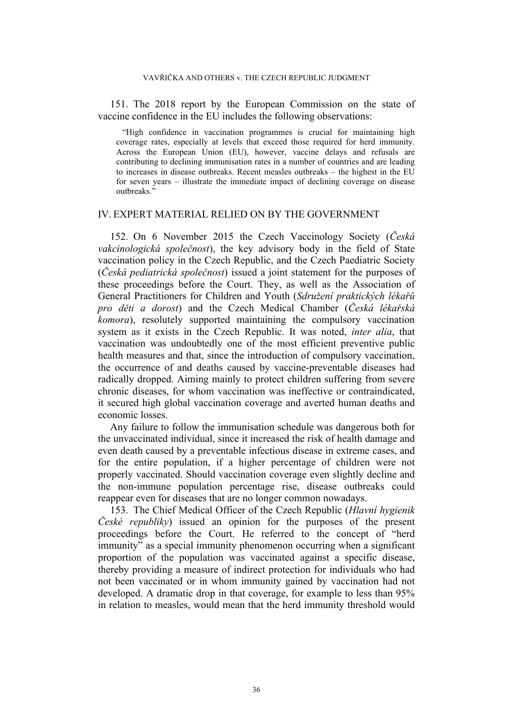<span id="page-36-2"></span>151. The 2018 report by the European Commission on the state of vaccine confidence in the EU includes the following observations:

"High confidence in vaccination programmes is crucial for maintaining high coverage rates, especially at levels that exceed those required for herd immunity. Across the European Union (EU), however, vaccine delays and refusals are contributing to declining immunisation rates in a number of countries and are leading to increases in disease outbreaks. Recent measles outbreaks – the highest in the EU for seven years – illustrate the immediate impact of declining coverage on disease outbreaks."

# IV. EXPERT MATERIAL RELIED ON BY THE GOVERNMENT

<span id="page-36-0"></span>152. On 6 November 2015 the Czech Vaccinology Society (*Česká vakcinologická společnost*), the key advisory body in the field of State vaccination policy in the Czech Republic, and the Czech Paediatric Society (*Česká pediatrická společnost*) issued a joint statement for the purposes of these proceedings before the Court. They, as well as the Association of General Practitioners for Children and Youth (*Sdružení praktických lékařů pro děti a dorost*) and the Czech Medical Chamber (*Česká lékařská komora*), resolutely supported maintaining the compulsory vaccination system as it exists in the Czech Republic. It was noted, *inter alia*, that vaccination was undoubtedly one of the most efficient preventive public health measures and that, since the introduction of compulsory vaccination, the occurrence of and deaths caused by vaccine-preventable diseases had radically dropped. Aiming mainly to protect children suffering from severe chronic diseases, for whom vaccination was ineffective or contraindicated, it secured high global vaccination coverage and averted human deaths and economic losses.

Any failure to follow the immunisation schedule was dangerous both for the unvaccinated individual, since it increased the risk of health damage and even death caused by a preventable infectious disease in extreme cases, and for the entire population, if a higher percentage of children were not properly vaccinated. Should vaccination coverage even slightly decline and the non-immune population percentage rise, disease outbreaks could reappear even for diseases that are no longer common nowadays.

<span id="page-36-1"></span>153. The Chief Medical Officer of the Czech Republic (*Hlavní hygienik České republiky*) issued an opinion for the purposes of the present proceedings before the Court. He referred to the concept of "herd immunity" as a special immunity phenomenon occurring when a significant proportion of the population was vaccinated against a specific disease, thereby providing a measure of indirect protection for individuals who had not been vaccinated or in whom immunity gained by vaccination had not developed. A dramatic drop in that coverage, for example to less than 95% in relation to measles, would mean that the herd immunity threshold would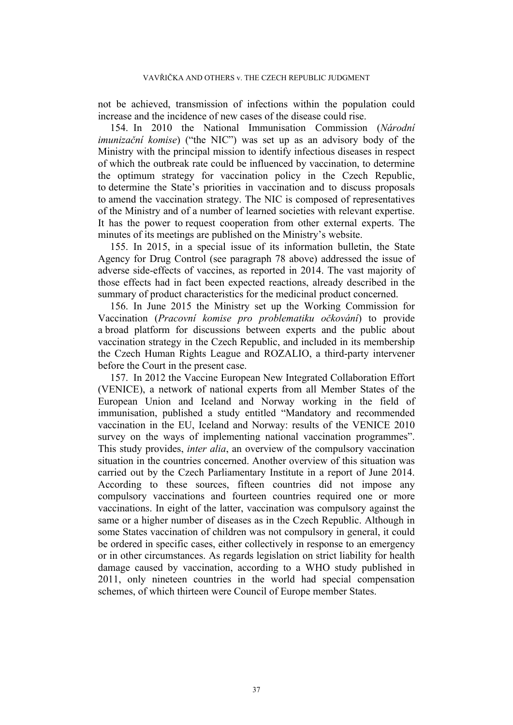not be achieved, transmission of infections within the population could increase and the incidence of new cases of the disease could rise.

<span id="page-37-0"></span>154. In 2010 the National Immunisation Commission (*Národní imunizační komise*) ("the NIC") was set up as an advisory body of the Ministry with the principal mission to identify infectious diseases in respect of which the outbreak rate could be influenced by vaccination, to determine the optimum strategy for vaccination policy in the Czech Republic, to determine the State's priorities in vaccination and to discuss proposals to amend the vaccination strategy. The NIC is composed of representatives of the Ministry and of a number of learned societies with relevant expertise. It has the power to request cooperation from other external experts. The minutes of its meetings are published on the Ministry's website.

155. In 2015, in a special issue of its information bulletin, the State Agency for Drug Control (see paragraph [78](#page-14-0) above) addressed the issue of adverse side-effects of vaccines, as reported in 2014. The vast majority of those effects had in fact been expected reactions, already described in the summary of product characteristics for the medicinal product concerned.

<span id="page-37-1"></span>156. In June 2015 the Ministry set up the Working Commission for Vaccination (*Pracovní komise pro problematiku očkování*) to provide a broad platform for discussions between experts and the public about vaccination strategy in the Czech Republic, and included in its membership the Czech Human Rights League and ROZALIO, a third-party intervener before the Court in the present case.

157. In 2012 the Vaccine European New Integrated Collaboration Effort (VENICE), a network of national experts from all Member States of the European Union and Iceland and Norway working in the field of immunisation, published a study entitled "Mandatory and recommended vaccination in the EU, Iceland and Norway: results of the VENICE 2010 survey on the ways of implementing national vaccination programmes". This study provides, *inter alia*, an overview of the compulsory vaccination situation in the countries concerned. Another overview of this situation was carried out by the Czech Parliamentary Institute in a report of June 2014. According to these sources, fifteen countries did not impose any compulsory vaccinations and fourteen countries required one or more vaccinations. In eight of the latter, vaccination was compulsory against the same or a higher number of diseases as in the Czech Republic. Although in some States vaccination of children was not compulsory in general, it could be ordered in specific cases, either collectively in response to an emergency or in other circumstances. As regards legislation on strict liability for health damage caused by vaccination, according to a WHO study published in 2011, only nineteen countries in the world had special compensation schemes, of which thirteen were Council of Europe member States.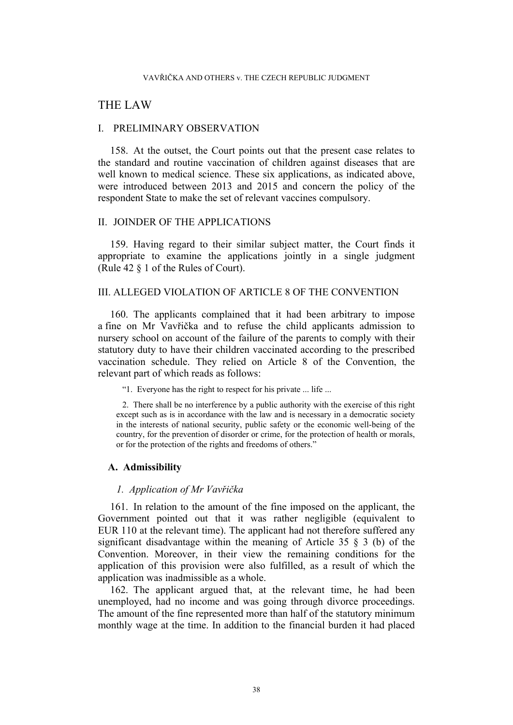# THE LAW

## I. PRELIMINARY OBSERVATION

158. At the outset, the Court points out that the present case relates to the standard and routine vaccination of children against diseases that are well known to medical science. These six applications, as indicated above, were introduced between 2013 and 2015 and concern the policy of the respondent State to make the set of relevant vaccines compulsory.

# II. JOINDER OF THE APPLICATIONS

159. Having regard to their similar subject matter, the Court finds it appropriate to examine the applications jointly in a single judgment (Rule 42 § 1 of the Rules of Court).

# III. ALLEGED VIOLATION OF ARTICLE 8 OF THE CONVENTION

160. The applicants complained that it had been arbitrary to impose a fine on Mr Vavřička and to refuse the child applicants admission to nursery school on account of the failure of the parents to comply with their statutory duty to have their children vaccinated according to the prescribed vaccination schedule. They relied on Article 8 of the Convention, the relevant part of which reads as follows:

"1. Everyone has the right to respect for his private ... life ...

2. There shall be no interference by a public authority with the exercise of this right except such as is in accordance with the law and is necessary in a democratic society in the interests of national security, public safety or the economic well-being of the country, for the prevention of disorder or crime, for the protection of health or morals, or for the protection of the rights and freedoms of others."

## **A. Admissibility**

### *1. Application of Mr Vavřička*

161. In relation to the amount of the fine imposed on the applicant, the Government pointed out that it was rather negligible (equivalent to EUR 110 at the relevant time). The applicant had not therefore suffered any significant disadvantage within the meaning of Article 35  $\frac{1}{2}$  (b) of the Convention. Moreover, in their view the remaining conditions for the application of this provision were also fulfilled, as a result of which the application was inadmissible as a whole.

<span id="page-38-0"></span>162. The applicant argued that, at the relevant time, he had been unemployed, had no income and was going through divorce proceedings. The amount of the fine represented more than half of the statutory minimum monthly wage at the time. In addition to the financial burden it had placed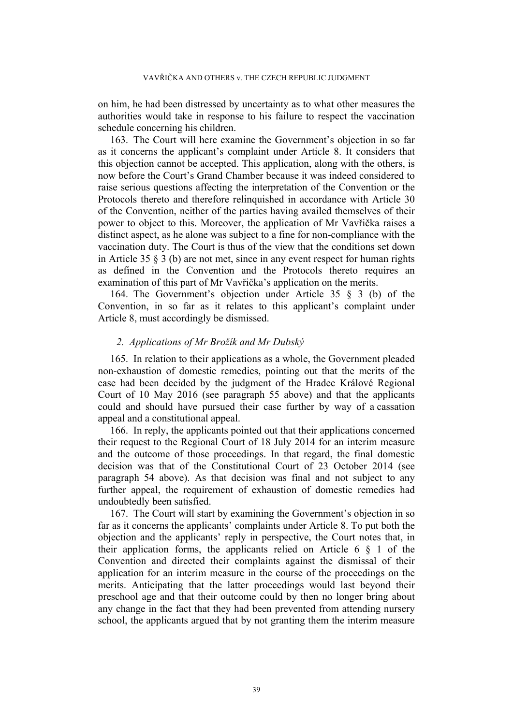on him, he had been distressed by uncertainty as to what other measures the authorities would take in response to his failure to respect the vaccination schedule concerning his children.

163. The Court will here examine the Government's objection in so far as it concerns the applicant's complaint under Article 8. It considers that this objection cannot be accepted. This application, along with the others, is now before the Court's Grand Chamber because it was indeed considered to raise serious questions affecting the interpretation of the Convention or the Protocols thereto and therefore relinquished in accordance with Article 30 of the Convention, neither of the parties having availed themselves of their power to object to this. Moreover, the application of Mr Vavřička raises a distinct aspect, as he alone was subject to a fine for non-compliance with the vaccination duty. The Court is thus of the view that the conditions set down in Article 35 § 3 (b) are not met, since in any event respect for human rights as defined in the Convention and the Protocols thereto requires an examination of this part of Mr Vavřička's application on the merits.

164. The Government's objection under Article 35 § 3 (b) of the Convention, in so far as it relates to this applicant's complaint under Article 8, must accordingly be dismissed.

## *2. Applications of Mr Brožík and Mr Dubský*

165. In relation to their applications as a whole, the Government pleaded non-exhaustion of domestic remedies, pointing out that the merits of the case had been decided by the judgment of the Hradec Králové Regional Court of 10 May 2016 (see paragraph [55](#page-10-0) above) and that the applicants could and should have pursued their case further by way of a cassation appeal and a constitutional appeal.

166. In reply, the applicants pointed out that their applications concerned their request to the Regional Court of 18 July 2014 for an interim measure and the outcome of those proceedings. In that regard, the final domestic decision was that of the Constitutional Court of 23 October 2014 (see paragraph [54](#page-10-1) above). As that decision was final and not subject to any further appeal, the requirement of exhaustion of domestic remedies had undoubtedly been satisfied.

167. The Court will start by examining the Government's objection in so far as it concerns the applicants' complaints under Article 8. To put both the objection and the applicants' reply in perspective, the Court notes that, in their application forms, the applicants relied on Article 6 § 1 of the Convention and directed their complaints against the dismissal of their application for an interim measure in the course of the proceedings on the merits. Anticipating that the latter proceedings would last beyond their preschool age and that their outcome could by then no longer bring about any change in the fact that they had been prevented from attending nursery school, the applicants argued that by not granting them the interim measure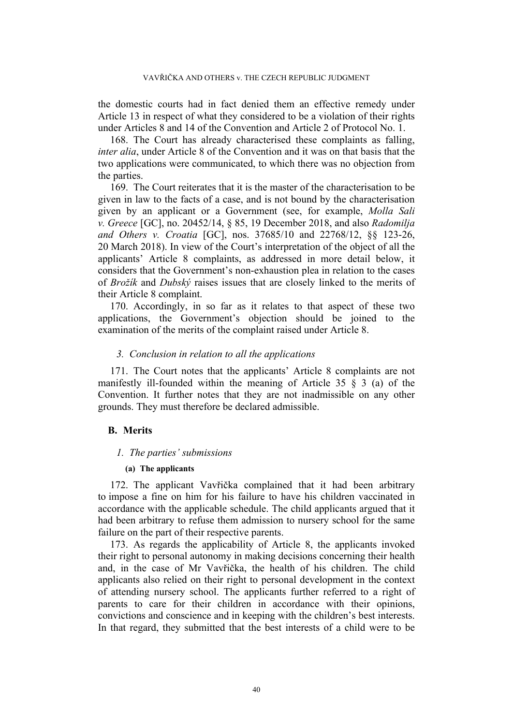the domestic courts had in fact denied them an effective remedy under Article 13 in respect of what they considered to be a violation of their rights under Articles 8 and 14 of the Convention and Article 2 of Protocol No. 1.

168. The Court has already characterised these complaints as falling, *inter alia*, under Article 8 of the Convention and it was on that basis that the two applications were communicated, to which there was no objection from the parties.

<span id="page-40-0"></span>169. The Court reiterates that it is the master of the characterisation to be given in law to the facts of a case, and is not bound by the characterisation given by an applicant or a Government (see, for example, *Molla Sali v. Greece* [GC], no. 20452/14, § 85, 19 December 2018, and also *Radomilja and Others v. Croatia* [GC], nos. 37685/10 and 22768/12, §§ 123-26, 20 March 2018). In view of the Court's interpretation of the object of all the applicants' Article 8 complaints, as addressed in more detail below, it considers that the Government's non-exhaustion plea in relation to the cases of *Brožík* and *Dubský* raises issues that are closely linked to the merits of their Article 8 complaint.

<span id="page-40-1"></span>170. Accordingly, in so far as it relates to that aspect of these two applications, the Government's objection should be joined to the examination of the merits of the complaint raised under Article 8.

## *3. Conclusion in relation to all the applications*

171. The Court notes that the applicants' Article 8 complaints are not manifestly ill-founded within the meaning of Article 35 § 3 (a) of the Convention. It further notes that they are not inadmissible on any other grounds. They must therefore be declared admissible.

## **B. Merits**

#### *1. The parties' submissions*

#### **(a) The applicants**

172. The applicant Vavřička complained that it had been arbitrary to impose a fine on him for his failure to have his children vaccinated in accordance with the applicable schedule. The child applicants argued that it had been arbitrary to refuse them admission to nursery school for the same failure on the part of their respective parents.

173. As regards the applicability of Article 8, the applicants invoked their right to personal autonomy in making decisions concerning their health and, in the case of Mr Vavřička, the health of his children. The child applicants also relied on their right to personal development in the context of attending nursery school. The applicants further referred to a right of parents to care for their children in accordance with their opinions, convictions and conscience and in keeping with the children's best interests. In that regard, they submitted that the best interests of a child were to be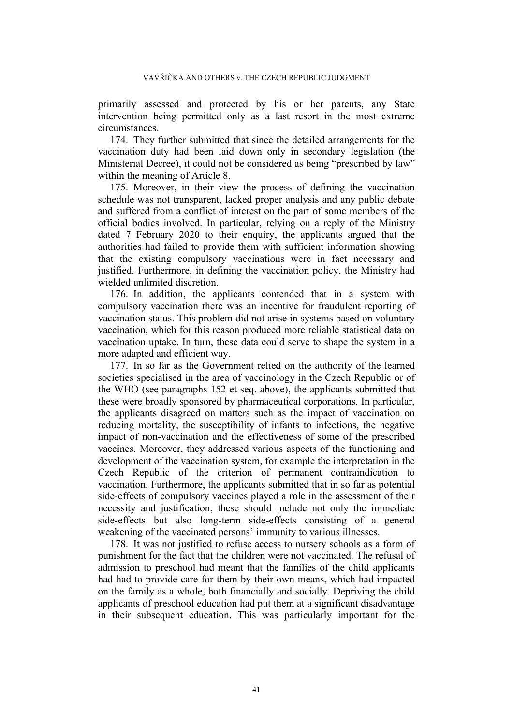primarily assessed and protected by his or her parents, any State intervention being permitted only as a last resort in the most extreme circumstances.

174. They further submitted that since the detailed arrangements for the vaccination duty had been laid down only in secondary legislation (the Ministerial Decree), it could not be considered as being "prescribed by law" within the meaning of Article 8.

<span id="page-41-0"></span>175. Moreover, in their view the process of defining the vaccination schedule was not transparent, lacked proper analysis and any public debate and suffered from a conflict of interest on the part of some members of the official bodies involved. In particular, relying on a reply of the Ministry dated 7 February 2020 to their enquiry, the applicants argued that the authorities had failed to provide them with sufficient information showing that the existing compulsory vaccinations were in fact necessary and justified. Furthermore, in defining the vaccination policy, the Ministry had wielded unlimited discretion.

176. In addition, the applicants contended that in a system with compulsory vaccination there was an incentive for fraudulent reporting of vaccination status. This problem did not arise in systems based on voluntary vaccination, which for this reason produced more reliable statistical data on vaccination uptake. In turn, these data could serve to shape the system in a more adapted and efficient way.

177. In so far as the Government relied on the authority of the learned societies specialised in the area of vaccinology in the Czech Republic or of the WHO (see paragraphs [152](#page-36-0) et seq. above), the applicants submitted that these were broadly sponsored by pharmaceutical corporations. In particular, the applicants disagreed on matters such as the impact of vaccination on reducing mortality, the susceptibility of infants to infections, the negative impact of non-vaccination and the effectiveness of some of the prescribed vaccines. Moreover, they addressed various aspects of the functioning and development of the vaccination system, for example the interpretation in the Czech Republic of the criterion of permanent contraindication to vaccination. Furthermore, the applicants submitted that in so far as potential side-effects of compulsory vaccines played a role in the assessment of their necessity and justification, these should include not only the immediate side-effects but also long-term side-effects consisting of a general weakening of the vaccinated persons' immunity to various illnesses.

178. It was not justified to refuse access to nursery schools as a form of punishment for the fact that the children were not vaccinated. The refusal of admission to preschool had meant that the families of the child applicants had had to provide care for them by their own means, which had impacted on the family as a whole, both financially and socially. Depriving the child applicants of preschool education had put them at a significant disadvantage in their subsequent education. This was particularly important for the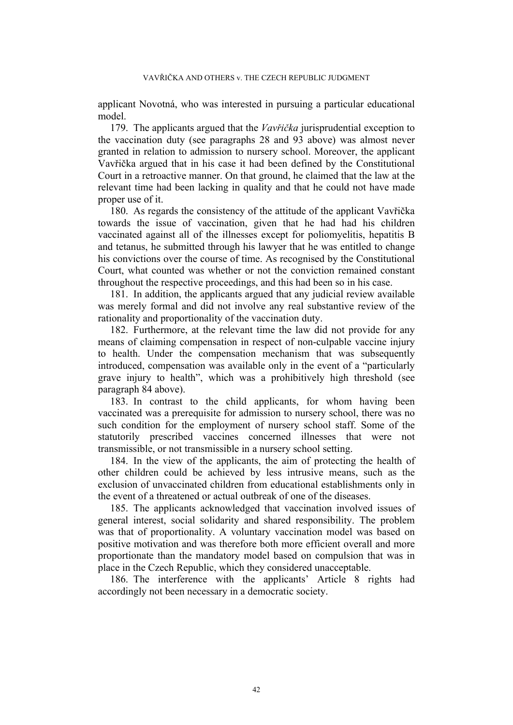applicant Novotná, who was interested in pursuing a particular educational model.

179. The applicants argued that the *Vavřička* jurisprudential exception to the vaccination duty (see paragraphs [28](#page-5-0) and [93](#page-19-0) above) was almost never granted in relation to admission to nursery school. Moreover, the applicant Vavřička argued that in his case it had been defined by the Constitutional Court in a retroactive manner. On that ground, he claimed that the law at the relevant time had been lacking in quality and that he could not have made proper use of it.

180. As regards the consistency of the attitude of the applicant Vavřička towards the issue of vaccination, given that he had had his children vaccinated against all of the illnesses except for poliomyelitis, hepatitis B and tetanus, he submitted through his lawyer that he was entitled to change his convictions over the course of time. As recognised by the Constitutional Court, what counted was whether or not the conviction remained constant throughout the respective proceedings, and this had been so in his case.

181. In addition, the applicants argued that any judicial review available was merely formal and did not involve any real substantive review of the rationality and proportionality of the vaccination duty.

182. Furthermore, at the relevant time the law did not provide for any means of claiming compensation in respect of non-culpable vaccine injury to health. Under the compensation mechanism that was subsequently introduced, compensation was available only in the event of a "particularly grave injury to health", which was a prohibitively high threshold (see paragraph [84](#page-15-0) above).

183. In contrast to the child applicants, for whom having been vaccinated was a prerequisite for admission to nursery school, there was no such condition for the employment of nursery school staff. Some of the statutorily prescribed vaccines concerned illnesses that were not transmissible, or not transmissible in a nursery school setting.

184. In the view of the applicants, the aim of protecting the health of other children could be achieved by less intrusive means, such as the exclusion of unvaccinated children from educational establishments only in the event of a threatened or actual outbreak of one of the diseases.

185. The applicants acknowledged that vaccination involved issues of general interest, social solidarity and shared responsibility. The problem was that of proportionality. A voluntary vaccination model was based on positive motivation and was therefore both more efficient overall and more proportionate than the mandatory model based on compulsion that was in place in the Czech Republic, which they considered unacceptable.

186. The interference with the applicants' Article 8 rights had accordingly not been necessary in a democratic society.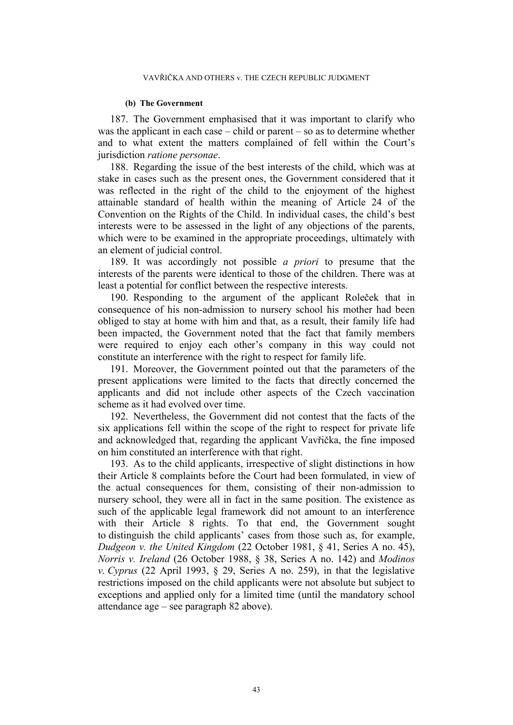#### **(b) The Government**

187. The Government emphasised that it was important to clarify who was the applicant in each case – child or parent – so as to determine whether and to what extent the matters complained of fell within the Court's jurisdiction *ratione personae*.

188. Regarding the issue of the best interests of the child, which was at stake in cases such as the present ones, the Government considered that it was reflected in the right of the child to the enjoyment of the highest attainable standard of health within the meaning of Article 24 of the Convention on the Rights of the Child. In individual cases, the child's best interests were to be assessed in the light of any objections of the parents, which were to be examined in the appropriate proceedings, ultimately with an element of judicial control.

189. It was accordingly not possible *a priori* to presume that the interests of the parents were identical to those of the children. There was at least a potential for conflict between the respective interests.

190. Responding to the argument of the applicant Roleček that in consequence of his non-admission to nursery school his mother had been obliged to stay at home with him and that, as a result, their family life had been impacted, the Government noted that the fact that family members were required to enjoy each other's company in this way could not constitute an interference with the right to respect for family life.

191. Moreover, the Government pointed out that the parameters of the present applications were limited to the facts that directly concerned the applicants and did not include other aspects of the Czech vaccination scheme as it had evolved over time.

192. Nevertheless, the Government did not contest that the facts of the six applications fell within the scope of the right to respect for private life and acknowledged that, regarding the applicant Vavřička, the fine imposed on him constituted an interference with that right.

193. As to the child applicants, irrespective of slight distinctions in how their Article 8 complaints before the Court had been formulated, in view of the actual consequences for them, consisting of their non-admission to nursery school, they were all in fact in the same position. The existence as such of the applicable legal framework did not amount to an interference with their Article 8 rights. To that end, the Government sought to distinguish the child applicants' cases from those such as, for example, *Dudgeon v. the United Kingdom* (22 October 1981, § 41, Series A no. 45), *Norris v. Ireland* (26 October 1988, § 38, Series A no. 142) and *Modinos v. Cyprus* (22 April 1993, § 29, Series A no. 259), in that the legislative restrictions imposed on the child applicants were not absolute but subject to exceptions and applied only for a limited time (until the mandatory school attendance age – see paragraph [82](#page-15-1) above).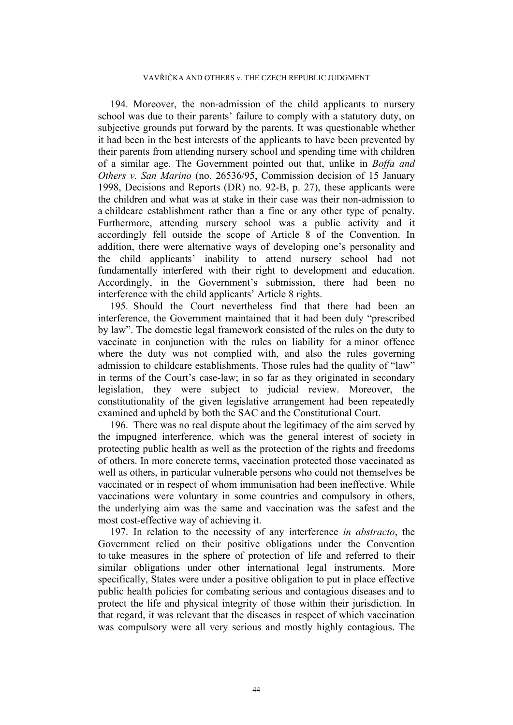194. Moreover, the non-admission of the child applicants to nursery school was due to their parents' failure to comply with a statutory duty, on subjective grounds put forward by the parents. It was questionable whether it had been in the best interests of the applicants to have been prevented by their parents from attending nursery school and spending time with children of a similar age. The Government pointed out that, unlike in *Boffa and Others v. San Marino* (no. 26536/95, Commission decision of 15 January 1998, Decisions and Reports (DR) no. 92-B, p. 27), these applicants were the children and what was at stake in their case was their non-admission to a childcare establishment rather than a fine or any other type of penalty. Furthermore, attending nursery school was a public activity and it accordingly fell outside the scope of Article 8 of the Convention. In addition, there were alternative ways of developing one's personality and the child applicants' inability to attend nursery school had not fundamentally interfered with their right to development and education. Accordingly, in the Government's submission, there had been no interference with the child applicants' Article 8 rights.

195. Should the Court nevertheless find that there had been an interference, the Government maintained that it had been duly "prescribed by law". The domestic legal framework consisted of the rules on the duty to vaccinate in conjunction with the rules on liability for a minor offence where the duty was not complied with, and also the rules governing admission to childcare establishments. Those rules had the quality of "law" in terms of the Court's case-law; in so far as they originated in secondary legislation, they were subject to judicial review. Moreover, the constitutionality of the given legislative arrangement had been repeatedly examined and upheld by both the SAC and the Constitutional Court.

196. There was no real dispute about the legitimacy of the aim served by the impugned interference, which was the general interest of society in protecting public health as well as the protection of the rights and freedoms of others. In more concrete terms, vaccination protected those vaccinated as well as others, in particular vulnerable persons who could not themselves be vaccinated or in respect of whom immunisation had been ineffective. While vaccinations were voluntary in some countries and compulsory in others, the underlying aim was the same and vaccination was the safest and the most cost-effective way of achieving it.

197. In relation to the necessity of any interference *in abstracto*, the Government relied on their positive obligations under the Convention to take measures in the sphere of protection of life and referred to their similar obligations under other international legal instruments. More specifically, States were under a positive obligation to put in place effective public health policies for combating serious and contagious diseases and to protect the life and physical integrity of those within their jurisdiction. In that regard, it was relevant that the diseases in respect of which vaccination was compulsory were all very serious and mostly highly contagious. The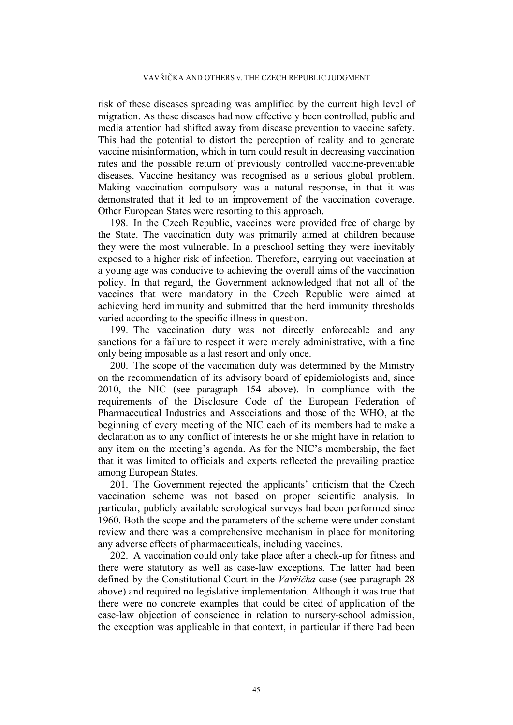risk of these diseases spreading was amplified by the current high level of migration. As these diseases had now effectively been controlled, public and media attention had shifted away from disease prevention to vaccine safety. This had the potential to distort the perception of reality and to generate vaccine misinformation, which in turn could result in decreasing vaccination rates and the possible return of previously controlled vaccine-preventable diseases. Vaccine hesitancy was recognised as a serious global problem. Making vaccination compulsory was a natural response, in that it was demonstrated that it led to an improvement of the vaccination coverage. Other European States were resorting to this approach.

198. In the Czech Republic, vaccines were provided free of charge by the State. The vaccination duty was primarily aimed at children because they were the most vulnerable. In a preschool setting they were inevitably exposed to a higher risk of infection. Therefore, carrying out vaccination at a young age was conducive to achieving the overall aims of the vaccination policy. In that regard, the Government acknowledged that not all of the vaccines that were mandatory in the Czech Republic were aimed at achieving herd immunity and submitted that the herd immunity thresholds varied according to the specific illness in question.

199. The vaccination duty was not directly enforceable and any sanctions for a failure to respect it were merely administrative, with a fine only being imposable as a last resort and only once.

<span id="page-45-0"></span>200. The scope of the vaccination duty was determined by the Ministry on the recommendation of its advisory board of epidemiologists and, since 2010, the NIC (see paragraph [154](#page-37-0) above). In compliance with the requirements of the Disclosure Code of the European Federation of Pharmaceutical Industries and Associations and those of the WHO, at the beginning of every meeting of the NIC each of its members had to make a declaration as to any conflict of interests he or she might have in relation to any item on the meeting's agenda. As for the NIC's membership, the fact that it was limited to officials and experts reflected the prevailing practice among European States.

201. The Government rejected the applicants' criticism that the Czech vaccination scheme was not based on proper scientific analysis. In particular, publicly available serological surveys had been performed since 1960. Both the scope and the parameters of the scheme were under constant review and there was a comprehensive mechanism in place for monitoring any adverse effects of pharmaceuticals, including vaccines.

202. A vaccination could only take place after a check-up for fitness and there were statutory as well as case-law exceptions. The latter had been defined by the Constitutional Court in the *Vavřička* case (see paragraph [28](#page-5-0) above) and required no legislative implementation. Although it was true that there were no concrete examples that could be cited of application of the case-law objection of conscience in relation to nursery-school admission, the exception was applicable in that context, in particular if there had been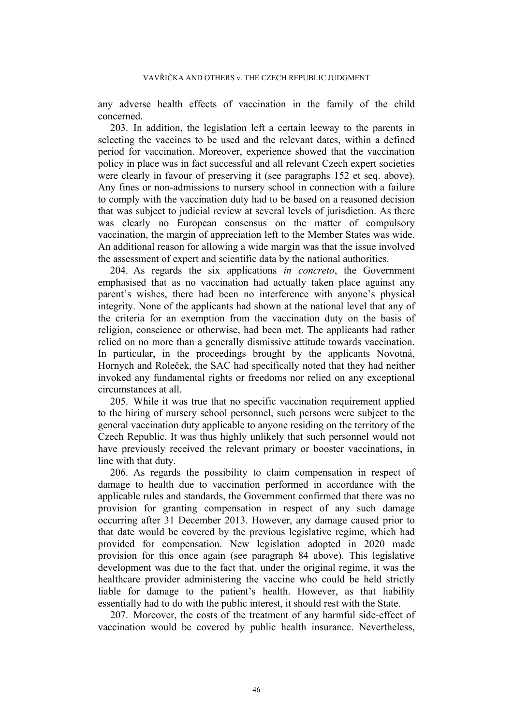any adverse health effects of vaccination in the family of the child concerned.

<span id="page-46-0"></span>203. In addition, the legislation left a certain leeway to the parents in selecting the vaccines to be used and the relevant dates, within a defined period for vaccination. Moreover, experience showed that the vaccination policy in place was in fact successful and all relevant Czech expert societies were clearly in favour of preserving it (see paragraphs [152](#page-36-0) et seq. above). Any fines or non-admissions to nursery school in connection with a failure to comply with the vaccination duty had to be based on a reasoned decision that was subject to judicial review at several levels of jurisdiction. As there was clearly no European consensus on the matter of compulsory vaccination, the margin of appreciation left to the Member States was wide. An additional reason for allowing a wide margin was that the issue involved the assessment of expert and scientific data by the national authorities.

204. As regards the six applications *in concreto*, the Government emphasised that as no vaccination had actually taken place against any parent's wishes, there had been no interference with anyone's physical integrity. None of the applicants had shown at the national level that any of the criteria for an exemption from the vaccination duty on the basis of religion, conscience or otherwise, had been met. The applicants had rather relied on no more than a generally dismissive attitude towards vaccination. In particular, in the proceedings brought by the applicants Novotná, Hornych and Roleček, the SAC had specifically noted that they had neither invoked any fundamental rights or freedoms nor relied on any exceptional circumstances at all.

205. While it was true that no specific vaccination requirement applied to the hiring of nursery school personnel, such persons were subject to the general vaccination duty applicable to anyone residing on the territory of the Czech Republic. It was thus highly unlikely that such personnel would not have previously received the relevant primary or booster vaccinations, in line with that duty.

206. As regards the possibility to claim compensation in respect of damage to health due to vaccination performed in accordance with the applicable rules and standards, the Government confirmed that there was no provision for granting compensation in respect of any such damage occurring after 31 December 2013. However, any damage caused prior to that date would be covered by the previous legislative regime, which had provided for compensation. New legislation adopted in 2020 made provision for this once again (see paragraph [84](#page-15-0) above). This legislative development was due to the fact that, under the original regime, it was the healthcare provider administering the vaccine who could be held strictly liable for damage to the patient's health. However, as that liability essentially had to do with the public interest, it should rest with the State.

207. Moreover, the costs of the treatment of any harmful side-effect of vaccination would be covered by public health insurance. Nevertheless,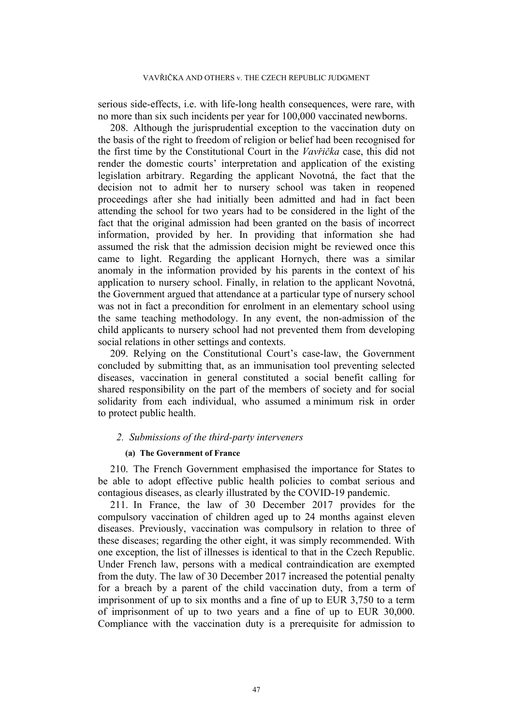serious side-effects, i.e. with life-long health consequences, were rare, with no more than six such incidents per year for 100,000 vaccinated newborns.

208. Although the jurisprudential exception to the vaccination duty on the basis of the right to freedom of religion or belief had been recognised for the first time by the Constitutional Court in the *Vavřička* case, this did not render the domestic courts' interpretation and application of the existing legislation arbitrary. Regarding the applicant Novotná, the fact that the decision not to admit her to nursery school was taken in reopened proceedings after she had initially been admitted and had in fact been attending the school for two years had to be considered in the light of the fact that the original admission had been granted on the basis of incorrect information, provided by her. In providing that information she had assumed the risk that the admission decision might be reviewed once this came to light. Regarding the applicant Hornych, there was a similar anomaly in the information provided by his parents in the context of his application to nursery school. Finally, in relation to the applicant Novotná, the Government argued that attendance at a particular type of nursery school was not in fact a precondition for enrolment in an elementary school using the same teaching methodology. In any event, the non-admission of the child applicants to nursery school had not prevented them from developing social relations in other settings and contexts.

209. Relying on the Constitutional Court's case-law, the Government concluded by submitting that, as an immunisation tool preventing selected diseases, vaccination in general constituted a social benefit calling for shared responsibility on the part of the members of society and for social solidarity from each individual, who assumed a minimum risk in order to protect public health.

## *2. Submissions of the third-party interveners*

### **(a) The Government of France**

210. The French Government emphasised the importance for States to be able to adopt effective public health policies to combat serious and contagious diseases, as clearly illustrated by the COVID-19 pandemic.

<span id="page-47-0"></span>211. In France, the law of 30 December 2017 provides for the compulsory vaccination of children aged up to 24 months against eleven diseases. Previously, vaccination was compulsory in relation to three of these diseases; regarding the other eight, it was simply recommended. With one exception, the list of illnesses is identical to that in the Czech Republic. Under French law, persons with a medical contraindication are exempted from the duty. The law of 30 December 2017 increased the potential penalty for a breach by a parent of the child vaccination duty, from a term of imprisonment of up to six months and a fine of up to EUR 3,750 to a term of imprisonment of up to two years and a fine of up to EUR 30,000. Compliance with the vaccination duty is a prerequisite for admission to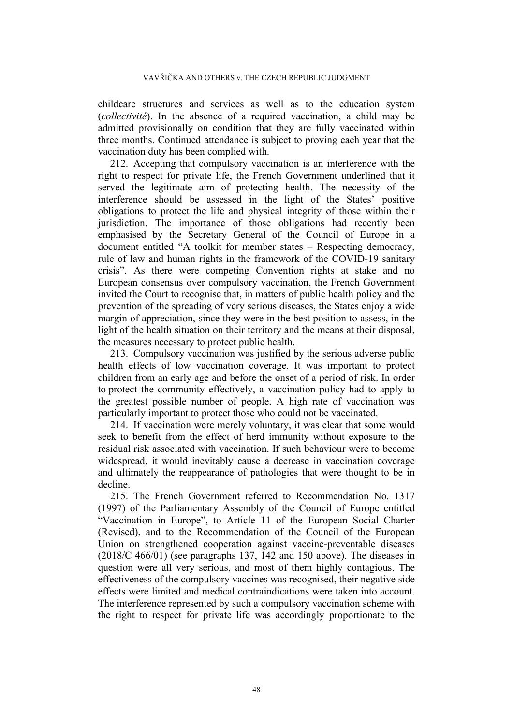childcare structures and services as well as to the education system (*collectivité*). In the absence of a required vaccination, a child may be admitted provisionally on condition that they are fully vaccinated within three months. Continued attendance is subject to proving each year that the vaccination duty has been complied with.

212. Accepting that compulsory vaccination is an interference with the right to respect for private life, the French Government underlined that it served the legitimate aim of protecting health. The necessity of the interference should be assessed in the light of the States' positive obligations to protect the life and physical integrity of those within their jurisdiction. The importance of those obligations had recently been emphasised by the Secretary General of the Council of Europe in a document entitled "A toolkit for member states – Respecting democracy, rule of law and human rights in the framework of the COVID-19 sanitary crisis". As there were competing Convention rights at stake and no European consensus over compulsory vaccination, the French Government invited the Court to recognise that, in matters of public health policy and the prevention of the spreading of very serious diseases, the States enjoy a wide margin of appreciation, since they were in the best position to assess, in the light of the health situation on their territory and the means at their disposal, the measures necessary to protect public health.

<span id="page-48-0"></span>213. Compulsory vaccination was justified by the serious adverse public health effects of low vaccination coverage. It was important to protect children from an early age and before the onset of a period of risk. In order to protect the community effectively, a vaccination policy had to apply to the greatest possible number of people. A high rate of vaccination was particularly important to protect those who could not be vaccinated.

214. If vaccination were merely voluntary, it was clear that some would seek to benefit from the effect of herd immunity without exposure to the residual risk associated with vaccination. If such behaviour were to become widespread, it would inevitably cause a decrease in vaccination coverage and ultimately the reappearance of pathologies that were thought to be in decline.

215. The French Government referred to Recommendation No. 1317 (1997) of the Parliamentary Assembly of the Council of Europe entitled "Vaccination in Europe", to Article 11 of the European Social Charter (Revised), and to the Recommendation of the Council of the European Union on strengthened cooperation against vaccine-preventable diseases (2018/C 466/01) (see paragraphs [137,](#page-30-0) [142](#page-32-0) and [150](#page-35-0) above). The diseases in question were all very serious, and most of them highly contagious. The effectiveness of the compulsory vaccines was recognised, their negative side effects were limited and medical contraindications were taken into account. The interference represented by such a compulsory vaccination scheme with the right to respect for private life was accordingly proportionate to the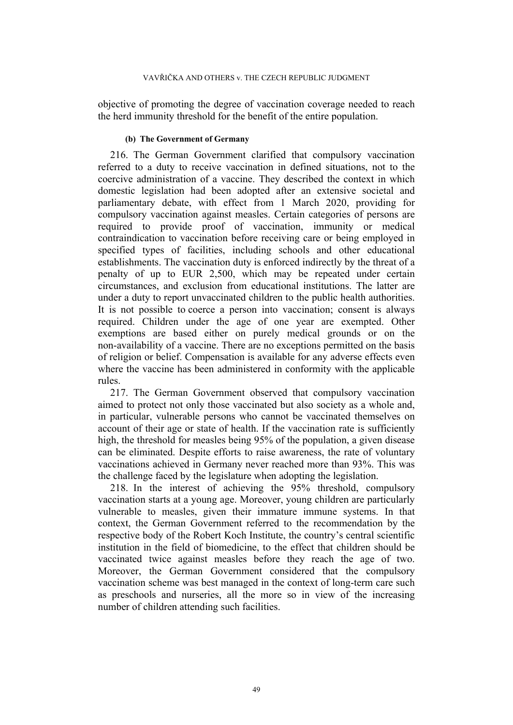objective of promoting the degree of vaccination coverage needed to reach the herd immunity threshold for the benefit of the entire population.

## **(b) The Government of Germany**

<span id="page-49-0"></span>216. The German Government clarified that compulsory vaccination referred to a duty to receive vaccination in defined situations, not to the coercive administration of a vaccine. They described the context in which domestic legislation had been adopted after an extensive societal and parliamentary debate, with effect from 1 March 2020, providing for compulsory vaccination against measles. Certain categories of persons are required to provide proof of vaccination, immunity or medical contraindication to vaccination before receiving care or being employed in specified types of facilities, including schools and other educational establishments. The vaccination duty is enforced indirectly by the threat of a penalty of up to EUR 2,500, which may be repeated under certain circumstances, and exclusion from educational institutions. The latter are under a duty to report unvaccinated children to the public health authorities. It is not possible to coerce a person into vaccination; consent is always required. Children under the age of one year are exempted. Other exemptions are based either on purely medical grounds or on the non-availability of a vaccine. There are no exceptions permitted on the basis of religion or belief. Compensation is available for any adverse effects even where the vaccine has been administered in conformity with the applicable rules.

217. The German Government observed that compulsory vaccination aimed to protect not only those vaccinated but also society as a whole and, in particular, vulnerable persons who cannot be vaccinated themselves on account of their age or state of health. If the vaccination rate is sufficiently high, the threshold for measles being 95% of the population, a given disease can be eliminated. Despite efforts to raise awareness, the rate of voluntary vaccinations achieved in Germany never reached more than 93%. This was the challenge faced by the legislature when adopting the legislation.

<span id="page-49-1"></span>218. In the interest of achieving the 95% threshold, compulsory vaccination starts at a young age. Moreover, young children are particularly vulnerable to measles, given their immature immune systems. In that context, the German Government referred to the recommendation by the respective body of the Robert Koch Institute, the country's central scientific institution in the field of biomedicine, to the effect that children should be vaccinated twice against measles before they reach the age of two. Moreover, the German Government considered that the compulsory vaccination scheme was best managed in the context of long-term care such as preschools and nurseries, all the more so in view of the increasing number of children attending such facilities.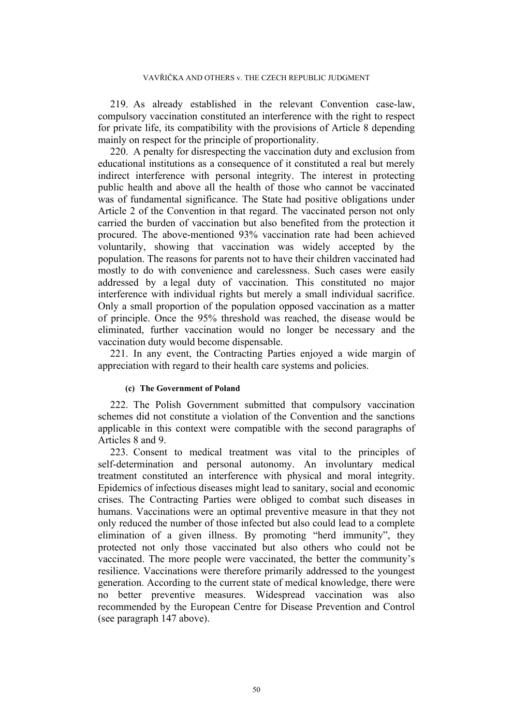219. As already established in the relevant Convention case-law, compulsory vaccination constituted an interference with the right to respect for private life, its compatibility with the provisions of Article 8 depending mainly on respect for the principle of proportionality.

220. A penalty for disrespecting the vaccination duty and exclusion from educational institutions as a consequence of it constituted a real but merely indirect interference with personal integrity. The interest in protecting public health and above all the health of those who cannot be vaccinated was of fundamental significance. The State had positive obligations under Article 2 of the Convention in that regard. The vaccinated person not only carried the burden of vaccination but also benefited from the protection it procured. The above-mentioned 93% vaccination rate had been achieved voluntarily, showing that vaccination was widely accepted by the population. The reasons for parents not to have their children vaccinated had mostly to do with convenience and carelessness. Such cases were easily addressed by a legal duty of vaccination. This constituted no major interference with individual rights but merely a small individual sacrifice. Only a small proportion of the population opposed vaccination as a matter of principle. Once the 95% threshold was reached, the disease would be eliminated, further vaccination would no longer be necessary and the vaccination duty would become dispensable.

221. In any event, the Contracting Parties enjoyed a wide margin of appreciation with regard to their health care systems and policies.

#### **(c) The Government of Poland**

222. The Polish Government submitted that compulsory vaccination schemes did not constitute a violation of the Convention and the sanctions applicable in this context were compatible with the second paragraphs of Articles 8 and 9.

<span id="page-50-0"></span>223. Consent to medical treatment was vital to the principles of self-determination and personal autonomy. An involuntary medical treatment constituted an interference with physical and moral integrity. Epidemics of infectious diseases might lead to sanitary, social and economic crises. The Contracting Parties were obliged to combat such diseases in humans. Vaccinations were an optimal preventive measure in that they not only reduced the number of those infected but also could lead to a complete elimination of a given illness. By promoting "herd immunity", they protected not only those vaccinated but also others who could not be vaccinated. The more people were vaccinated, the better the community's resilience. Vaccinations were therefore primarily addressed to the youngest generation. According to the current state of medical knowledge, there were no better preventive measures. Widespread vaccination was also recommended by the European Centre for Disease Prevention and Control (see paragraph [147](#page-34-0) above).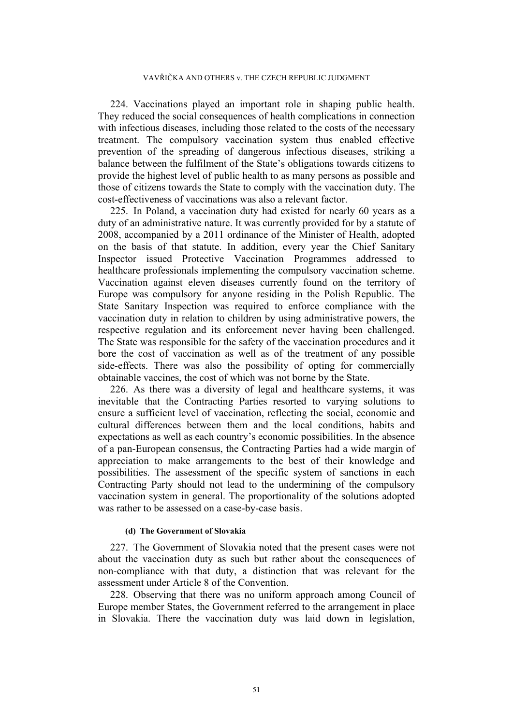224. Vaccinations played an important role in shaping public health. They reduced the social consequences of health complications in connection with infectious diseases, including those related to the costs of the necessary treatment. The compulsory vaccination system thus enabled effective prevention of the spreading of dangerous infectious diseases, striking a balance between the fulfilment of the State's obligations towards citizens to provide the highest level of public health to as many persons as possible and those of citizens towards the State to comply with the vaccination duty. The cost-effectiveness of vaccinations was also a relevant factor.

<span id="page-51-0"></span>225. In Poland, a vaccination duty had existed for nearly 60 years as a duty of an administrative nature. It was currently provided for by a statute of 2008, accompanied by a 2011 ordinance of the Minister of Health, adopted on the basis of that statute. In addition, every year the Chief Sanitary Inspector issued Protective Vaccination Programmes addressed to healthcare professionals implementing the compulsory vaccination scheme. Vaccination against eleven diseases currently found on the territory of Europe was compulsory for anyone residing in the Polish Republic. The State Sanitary Inspection was required to enforce compliance with the vaccination duty in relation to children by using administrative powers, the respective regulation and its enforcement never having been challenged. The State was responsible for the safety of the vaccination procedures and it bore the cost of vaccination as well as of the treatment of any possible side-effects. There was also the possibility of opting for commercially obtainable vaccines, the cost of which was not borne by the State.

226. As there was a diversity of legal and healthcare systems, it was inevitable that the Contracting Parties resorted to varying solutions to ensure a sufficient level of vaccination, reflecting the social, economic and cultural differences between them and the local conditions, habits and expectations as well as each country's economic possibilities. In the absence of a pan-European consensus, the Contracting Parties had a wide margin of appreciation to make arrangements to the best of their knowledge and possibilities. The assessment of the specific system of sanctions in each Contracting Party should not lead to the undermining of the compulsory vaccination system in general. The proportionality of the solutions adopted was rather to be assessed on a case-by-case basis.

#### **(d) The Government of Slovakia**

227. The Government of Slovakia noted that the present cases were not about the vaccination duty as such but rather about the consequences of non-compliance with that duty, a distinction that was relevant for the assessment under Article 8 of the Convention.

<span id="page-51-1"></span>228. Observing that there was no uniform approach among Council of Europe member States, the Government referred to the arrangement in place in Slovakia. There the vaccination duty was laid down in legislation,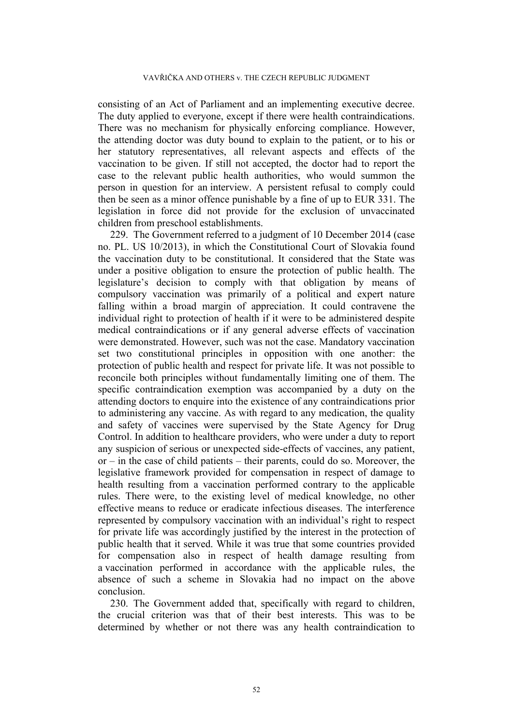consisting of an Act of Parliament and an implementing executive decree. The duty applied to everyone, except if there were health contraindications. There was no mechanism for physically enforcing compliance. However, the attending doctor was duty bound to explain to the patient, or to his or her statutory representatives, all relevant aspects and effects of the vaccination to be given. If still not accepted, the doctor had to report the case to the relevant public health authorities, who would summon the person in question for an interview. A persistent refusal to comply could then be seen as a minor offence punishable by a fine of up to EUR 331. The legislation in force did not provide for the exclusion of unvaccinated children from preschool establishments.

229. The Government referred to a judgment of 10 December 2014 (case no. PL. US 10/2013), in which the Constitutional Court of Slovakia found the vaccination duty to be constitutional. It considered that the State was under a positive obligation to ensure the protection of public health. The legislature's decision to comply with that obligation by means of compulsory vaccination was primarily of a political and expert nature falling within a broad margin of appreciation. It could contravene the individual right to protection of health if it were to be administered despite medical contraindications or if any general adverse effects of vaccination were demonstrated. However, such was not the case. Mandatory vaccination set two constitutional principles in opposition with one another: the protection of public health and respect for private life. It was not possible to reconcile both principles without fundamentally limiting one of them. The specific contraindication exemption was accompanied by a duty on the attending doctors to enquire into the existence of any contraindications prior to administering any vaccine. As with regard to any medication, the quality and safety of vaccines were supervised by the State Agency for Drug Control. In addition to healthcare providers, who were under a duty to report any suspicion of serious or unexpected side-effects of vaccines, any patient, or – in the case of child patients – their parents, could do so. Moreover, the legislative framework provided for compensation in respect of damage to health resulting from a vaccination performed contrary to the applicable rules. There were, to the existing level of medical knowledge, no other effective means to reduce or eradicate infectious diseases. The interference represented by compulsory vaccination with an individual's right to respect for private life was accordingly justified by the interest in the protection of public health that it served. While it was true that some countries provided for compensation also in respect of health damage resulting from a vaccination performed in accordance with the applicable rules, the absence of such a scheme in Slovakia had no impact on the above conclusion.

230. The Government added that, specifically with regard to children, the crucial criterion was that of their best interests. This was to be determined by whether or not there was any health contraindication to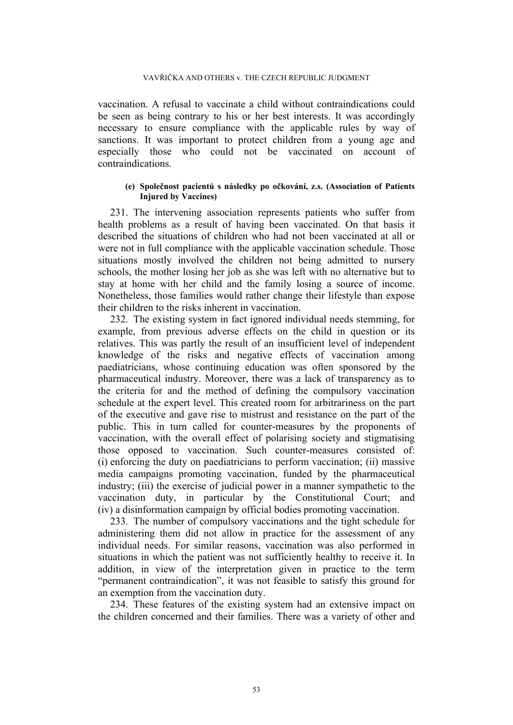vaccination. A refusal to vaccinate a child without contraindications could be seen as being contrary to his or her best interests. It was accordingly necessary to ensure compliance with the applicable rules by way of sanctions. It was important to protect children from a young age and especially those who could not be vaccinated on account of contraindications.

## **(e) Společnost pacientů s následky po očkování, z.s. (Association of Patients Injured by Vaccines)**

231. The intervening association represents patients who suffer from health problems as a result of having been vaccinated. On that basis it described the situations of children who had not been vaccinated at all or were not in full compliance with the applicable vaccination schedule. Those situations mostly involved the children not being admitted to nursery schools, the mother losing her job as she was left with no alternative but to stay at home with her child and the family losing a source of income. Nonetheless, those families would rather change their lifestyle than expose their children to the risks inherent in vaccination.

232. The existing system in fact ignored individual needs stemming, for example, from previous adverse effects on the child in question or its relatives. This was partly the result of an insufficient level of independent knowledge of the risks and negative effects of vaccination among paediatricians, whose continuing education was often sponsored by the pharmaceutical industry. Moreover, there was a lack of transparency as to the criteria for and the method of defining the compulsory vaccination schedule at the expert level. This created room for arbitrariness on the part of the executive and gave rise to mistrust and resistance on the part of the public. This in turn called for counter-measures by the proponents of vaccination, with the overall effect of polarising society and stigmatising those opposed to vaccination. Such counter-measures consisted of: (i) enforcing the duty on paediatricians to perform vaccination; (ii) massive media campaigns promoting vaccination, funded by the pharmaceutical industry; (iii) the exercise of judicial power in a manner sympathetic to the vaccination duty, in particular by the Constitutional Court; and (iv) a disinformation campaign by official bodies promoting vaccination.

233. The number of compulsory vaccinations and the tight schedule for administering them did not allow in practice for the assessment of any individual needs. For similar reasons, vaccination was also performed in situations in which the patient was not sufficiently healthy to receive it. In addition, in view of the interpretation given in practice to the term "permanent contraindication", it was not feasible to satisfy this ground for an exemption from the vaccination duty.

234. These features of the existing system had an extensive impact on the children concerned and their families. There was a variety of other and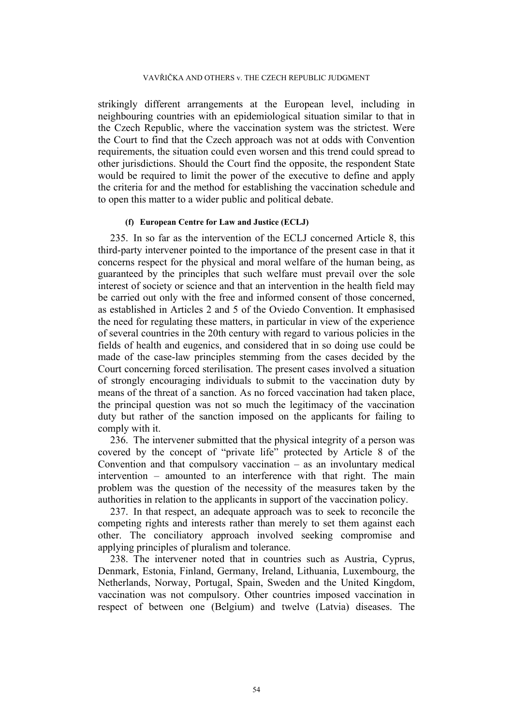strikingly different arrangements at the European level, including in neighbouring countries with an epidemiological situation similar to that in the Czech Republic, where the vaccination system was the strictest. Were the Court to find that the Czech approach was not at odds with Convention requirements, the situation could even worsen and this trend could spread to other jurisdictions. Should the Court find the opposite, the respondent State would be required to limit the power of the executive to define and apply the criteria for and the method for establishing the vaccination schedule and to open this matter to a wider public and political debate.

# **(f) European Centre for Law and Justice (ECLJ)**

235. In so far as the intervention of the ECLJ concerned Article 8, this third-party intervener pointed to the importance of the present case in that it concerns respect for the physical and moral welfare of the human being, as guaranteed by the principles that such welfare must prevail over the sole interest of society or science and that an intervention in the health field may be carried out only with the free and informed consent of those concerned, as established in Articles 2 and 5 of the Oviedo Convention. It emphasised the need for regulating these matters, in particular in view of the experience of several countries in the 20th century with regard to various policies in the fields of health and eugenics, and considered that in so doing use could be made of the case-law principles stemming from the cases decided by the Court concerning forced sterilisation. The present cases involved a situation of strongly encouraging individuals to submit to the vaccination duty by means of the threat of a sanction. As no forced vaccination had taken place, the principal question was not so much the legitimacy of the vaccination duty but rather of the sanction imposed on the applicants for failing to comply with it.

236. The intervener submitted that the physical integrity of a person was covered by the concept of "private life" protected by Article 8 of the Convention and that compulsory vaccination – as an involuntary medical intervention – amounted to an interference with that right. The main problem was the question of the necessity of the measures taken by the authorities in relation to the applicants in support of the vaccination policy.

237. In that respect, an adequate approach was to seek to reconcile the competing rights and interests rather than merely to set them against each other. The conciliatory approach involved seeking compromise and applying principles of pluralism and tolerance.

238. The intervener noted that in countries such as Austria, Cyprus, Denmark, Estonia, Finland, Germany, Ireland, Lithuania, Luxembourg, the Netherlands, Norway, Portugal, Spain, Sweden and the United Kingdom, vaccination was not compulsory. Other countries imposed vaccination in respect of between one (Belgium) and twelve (Latvia) diseases. The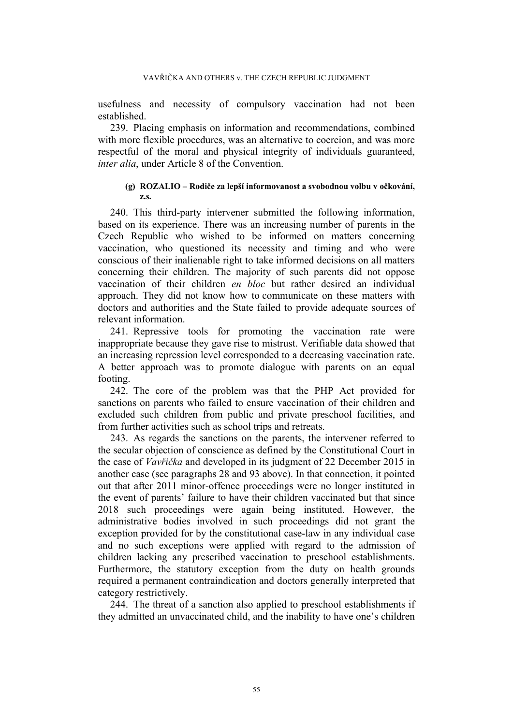usefulness and necessity of compulsory vaccination had not been established.

239. Placing emphasis on information and recommendations, combined with more flexible procedures, was an alternative to coercion, and was more respectful of the moral and physical integrity of individuals guaranteed, *inter alia*, under Article 8 of the Convention.

## **(g) ROZALIO – Rodiče za lepší informovanost a svobodnou volbu v očkování, z.s.**

240. This third-party intervener submitted the following information, based on its experience. There was an increasing number of parents in the Czech Republic who wished to be informed on matters concerning vaccination, who questioned its necessity and timing and who were conscious of their inalienable right to take informed decisions on all matters concerning their children. The majority of such parents did not oppose vaccination of their children *en bloc* but rather desired an individual approach. They did not know how to communicate on these matters with doctors and authorities and the State failed to provide adequate sources of relevant information.

241. Repressive tools for promoting the vaccination rate were inappropriate because they gave rise to mistrust. Verifiable data showed that an increasing repression level corresponded to a decreasing vaccination rate. A better approach was to promote dialogue with parents on an equal footing.

242. The core of the problem was that the PHP Act provided for sanctions on parents who failed to ensure vaccination of their children and excluded such children from public and private preschool facilities, and from further activities such as school trips and retreats.

243. As regards the sanctions on the parents, the intervener referred to the secular objection of conscience as defined by the Constitutional Court in the case of *Vavřička* and developed in its judgment of 22 December 2015 in another case (see paragraphs [28](#page-5-0) and [93](#page-19-0) above). In that connection, it pointed out that after 2011 minor-offence proceedings were no longer instituted in the event of parents' failure to have their children vaccinated but that since 2018 such proceedings were again being instituted. However, the administrative bodies involved in such proceedings did not grant the exception provided for by the constitutional case-law in any individual case and no such exceptions were applied with regard to the admission of children lacking any prescribed vaccination to preschool establishments. Furthermore, the statutory exception from the duty on health grounds required a permanent contraindication and doctors generally interpreted that category restrictively.

244. The threat of a sanction also applied to preschool establishments if they admitted an unvaccinated child, and the inability to have one's children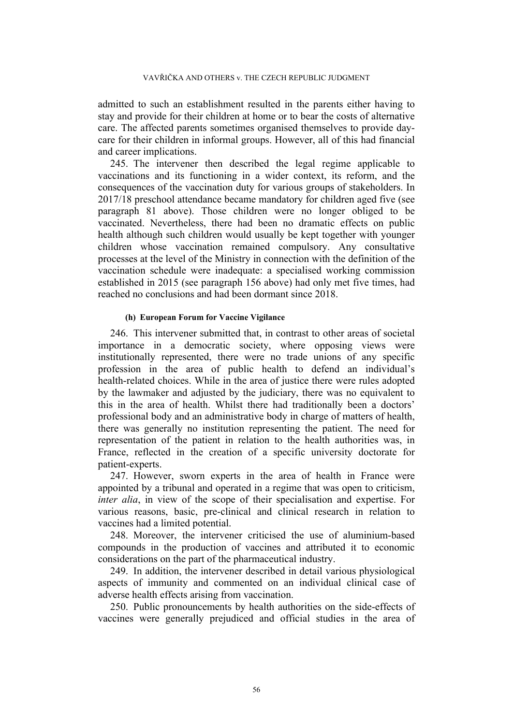admitted to such an establishment resulted in the parents either having to stay and provide for their children at home or to bear the costs of alternative care. The affected parents sometimes organised themselves to provide daycare for their children in informal groups. However, all of this had financial and career implications.

245. The intervener then described the legal regime applicable to vaccinations and its functioning in a wider context, its reform, and the consequences of the vaccination duty for various groups of stakeholders. In 2017/18 preschool attendance became mandatory for children aged five (see paragraph [81](#page-15-2) above). Those children were no longer obliged to be vaccinated. Nevertheless, there had been no dramatic effects on public health although such children would usually be kept together with younger children whose vaccination remained compulsory. Any consultative processes at the level of the Ministry in connection with the definition of the vaccination schedule were inadequate: a specialised working commission established in 2015 (see paragraph [156](#page-37-1) above) had only met five times, had reached no conclusions and had been dormant since 2018.

## **(h) European Forum for Vaccine Vigilance**

246. This intervener submitted that, in contrast to other areas of societal importance in a democratic society, where opposing views were institutionally represented, there were no trade unions of any specific profession in the area of public health to defend an individual's health-related choices. While in the area of justice there were rules adopted by the lawmaker and adjusted by the judiciary, there was no equivalent to this in the area of health. Whilst there had traditionally been a doctors' professional body and an administrative body in charge of matters of health, there was generally no institution representing the patient. The need for representation of the patient in relation to the health authorities was, in France, reflected in the creation of a specific university doctorate for patient-experts.

247. However, sworn experts in the area of health in France were appointed by a tribunal and operated in a regime that was open to criticism, *inter alia*, in view of the scope of their specialisation and expertise. For various reasons, basic, pre-clinical and clinical research in relation to vaccines had a limited potential.

248. Moreover, the intervener criticised the use of aluminium-based compounds in the production of vaccines and attributed it to economic considerations on the part of the pharmaceutical industry.

249. In addition, the intervener described in detail various physiological aspects of immunity and commented on an individual clinical case of adverse health effects arising from vaccination.

250. Public pronouncements by health authorities on the side-effects of vaccines were generally prejudiced and official studies in the area of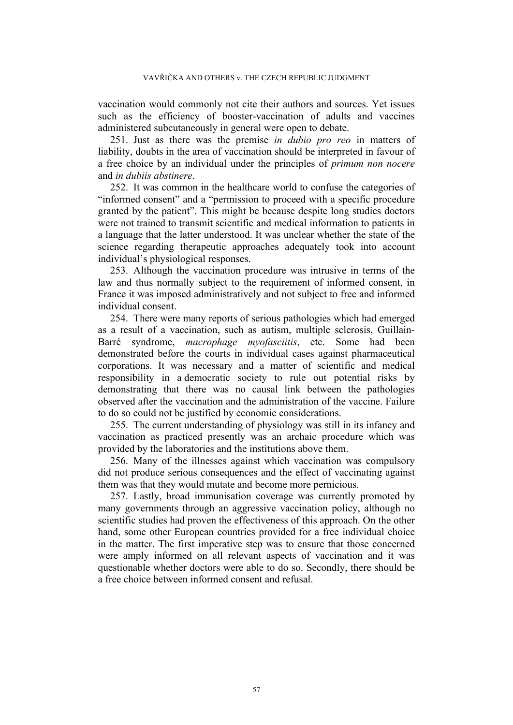vaccination would commonly not cite their authors and sources. Yet issues such as the efficiency of booster-vaccination of adults and vaccines administered subcutaneously in general were open to debate.

251. Just as there was the premise *in dubio pro reo* in matters of liability, doubts in the area of vaccination should be interpreted in favour of a free choice by an individual under the principles of *primum non nocere* and *in dubiis abstinere*.

252. It was common in the healthcare world to confuse the categories of "informed consent" and a "permission to proceed with a specific procedure granted by the patient". This might be because despite long studies doctors were not trained to transmit scientific and medical information to patients in a language that the latter understood. It was unclear whether the state of the science regarding therapeutic approaches adequately took into account individual's physiological responses.

253. Although the vaccination procedure was intrusive in terms of the law and thus normally subject to the requirement of informed consent, in France it was imposed administratively and not subject to free and informed individual consent.

254. There were many reports of serious pathologies which had emerged as a result of a vaccination, such as autism, multiple sclerosis, Guillain-Barré syndrome, *macrophage myofasciitis*, etc. Some had been demonstrated before the courts in individual cases against pharmaceutical corporations. It was necessary and a matter of scientific and medical responsibility in a democratic society to rule out potential risks by demonstrating that there was no causal link between the pathologies observed after the vaccination and the administration of the vaccine. Failure to do so could not be justified by economic considerations.

255. The current understanding of physiology was still in its infancy and vaccination as practiced presently was an archaic procedure which was provided by the laboratories and the institutions above them.

256. Many of the illnesses against which vaccination was compulsory did not produce serious consequences and the effect of vaccinating against them was that they would mutate and become more pernicious.

257. Lastly, broad immunisation coverage was currently promoted by many governments through an aggressive vaccination policy, although no scientific studies had proven the effectiveness of this approach. On the other hand, some other European countries provided for a free individual choice in the matter. The first imperative step was to ensure that those concerned were amply informed on all relevant aspects of vaccination and it was questionable whether doctors were able to do so. Secondly, there should be a free choice between informed consent and refusal.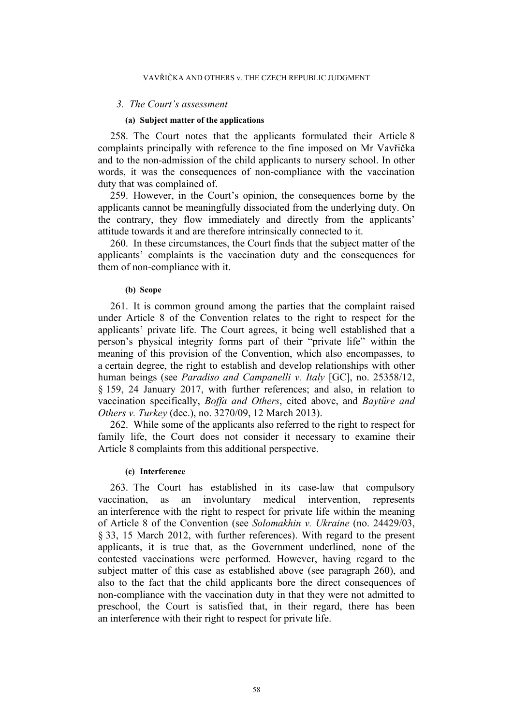#### *3. The Court's assessment*

### **(a) Subject matter of the applications**

258. The Court notes that the applicants formulated their Article 8 complaints principally with reference to the fine imposed on Mr Vavřička and to the non-admission of the child applicants to nursery school. In other words, it was the consequences of non-compliance with the vaccination duty that was complained of.

259. However, in the Court's opinion, the consequences borne by the applicants cannot be meaningfully dissociated from the underlying duty. On the contrary, they flow immediately and directly from the applicants' attitude towards it and are therefore intrinsically connected to it.

<span id="page-58-0"></span>260. In these circumstances, the Court finds that the subject matter of the applicants' complaints is the vaccination duty and the consequences for them of non-compliance with it.

### **(b) Scope**

261. It is common ground among the parties that the complaint raised under Article 8 of the Convention relates to the right to respect for the applicants' private life. The Court agrees, it being well established that a person's physical integrity forms part of their "private life" within the meaning of this provision of the Convention, which also encompasses, to a certain degree, the right to establish and develop relationships with other human beings (see *Paradiso and Campanelli v. Italy* [GC], no. 25358/12, § 159, 24 January 2017, with further references; and also, in relation to vaccination specifically, *Boffa and Others*, cited above, and *Baytüre and Others v. Turkey* (dec.), no. 3270/09, 12 March 2013).

262. While some of the applicants also referred to the right to respect for family life, the Court does not consider it necessary to examine their Article 8 complaints from this additional perspective.

### **(c) Interference**

263. The Court has established in its case-law that compulsory vaccination, as an involuntary medical intervention, represents an interference with the right to respect for private life within the meaning of Article 8 of the Convention (see *Solomakhin v. Ukraine* (no. 24429/03, § 33, 15 March 2012, with further references). With regard to the present applicants, it is true that, as the Government underlined, none of the contested vaccinations were performed. However, having regard to the subject matter of this case as established above (see paragraph [260](#page-58-0)), and also to the fact that the child applicants bore the direct consequences of non-compliance with the vaccination duty in that they were not admitted to preschool, the Court is satisfied that, in their regard, there has been an interference with their right to respect for private life.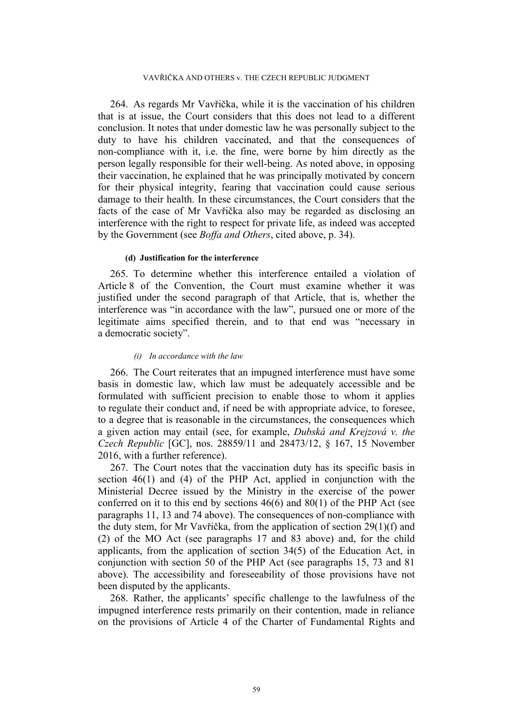264. As regards Mr Vavřička, while it is the vaccination of his children that is at issue, the Court considers that this does not lead to a different conclusion. It notes that under domestic law he was personally subject to the duty to have his children vaccinated, and that the consequences of non-compliance with it, i.e. the fine, were borne by him directly as the person legally responsible for their well-being. As noted above, in opposing their vaccination, he explained that he was principally motivated by concern for their physical integrity, fearing that vaccination could cause serious damage to their health. In these circumstances, the Court considers that the facts of the case of Mr Vavřička also may be regarded as disclosing an interference with the right to respect for private life, as indeed was accepted by the Government (see *Boffa and Others*, cited above, p. 34).

#### **(d) Justification for the interference**

265. To determine whether this interference entailed a violation of Article 8 of the Convention, the Court must examine whether it was justified under the second paragraph of that Article, that is, whether the interference was "in accordance with the law", pursued one or more of the legitimate aims specified therein, and to that end was "necessary in a democratic society".

### *(i) In accordance with the law*

266. The Court reiterates that an impugned interference must have some basis in domestic law, which law must be adequately accessible and be formulated with sufficient precision to enable those to whom it applies to regulate their conduct and, if need be with appropriate advice, to foresee, to a degree that is reasonable in the circumstances, the consequences which a given action may entail (see, for example, *Dubská and Krejzová v. the Czech Republic* [GC], nos. 28859/11 and 28473/12, § 167, 15 November 2016, with a further reference).

<span id="page-59-0"></span>267. The Court notes that the vaccination duty has its specific basis in section 46(1) and (4) of the PHP Act, applied in conjunction with the Ministerial Decree issued by the Ministry in the exercise of the power conferred on it to this end by sections 46(6) and 80(1) of the PHP Act (see paragraphs [11](#page-3-0), [13](#page-3-1) and [74](#page-14-1) above). The consequences of non-compliance with the duty stem, for Mr Vavřička, from the application of section 29(1)(f) and (2) of the MO Act (see paragraphs [17](#page-4-0) and [83](#page-15-3) above) and, for the child applicants, from the application of section 34(5) of the Education Act, in conjunction with section 50 of the PHP Act (see paragraphs [15](#page-3-2), [73](#page-13-0) and [81](#page-15-2) above). The accessibility and foreseeability of those provisions have not been disputed by the applicants.

268. Rather, the applicants' specific challenge to the lawfulness of the impugned interference rests primarily on their contention, made in reliance on the provisions of Article 4 of the Charter of Fundamental Rights and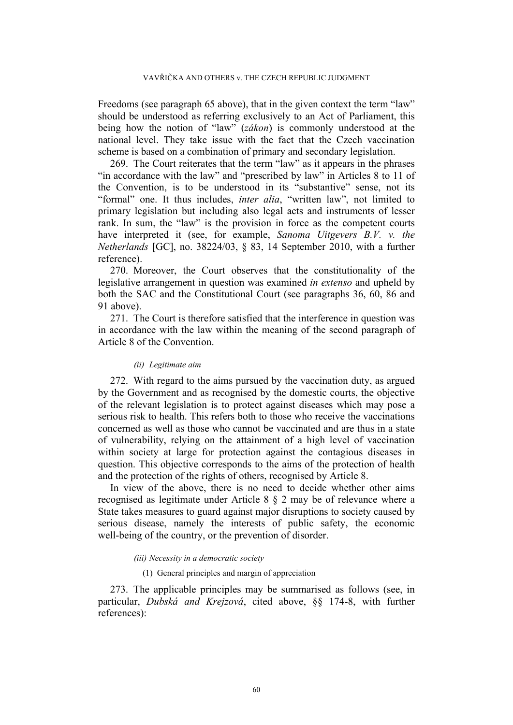Freedoms (see paragraph [65](#page-12-0) above), that in the given context the term "law" should be understood as referring exclusively to an Act of Parliament, this being how the notion of "law" (*zákon*) is commonly understood at the national level. They take issue with the fact that the Czech vaccination scheme is based on a combination of primary and secondary legislation.

269. The Court reiterates that the term "law" as it appears in the phrases "in accordance with the law" and "prescribed by law" in Articles 8 to 11 of the Convention, is to be understood in its "substantive" sense, not its "formal" one. It thus includes, *inter alia*, "written law", not limited to primary legislation but including also legal acts and instruments of lesser rank. In sum, the "law" is the provision in force as the competent courts have interpreted it (see, for example, *Sanoma Uitgevers B.V. v. the Netherlands* [GC], no. 38224/03, § 83, 14 September 2010, with a further reference).

270. Moreover, the Court observes that the constitutionality of the legislative arrangement in question was examined *in extenso* and upheld by both the SAC and the Constitutional Court (see paragraphs [36,](#page-7-0) [60,](#page-11-0) [86](#page-16-0) and [91](#page-18-0) above).

271. The Court is therefore satisfied that the interference in question was in accordance with the law within the meaning of the second paragraph of Article 8 of the Convention.

#### *(ii) Legitimate aim*

272. With regard to the aims pursued by the vaccination duty, as argued by the Government and as recognised by the domestic courts, the objective of the relevant legislation is to protect against diseases which may pose a serious risk to health. This refers both to those who receive the vaccinations concerned as well as those who cannot be vaccinated and are thus in a state of vulnerability, relying on the attainment of a high level of vaccination within society at large for protection against the contagious diseases in question. This objective corresponds to the aims of the protection of health and the protection of the rights of others, recognised by Article 8.

In view of the above, there is no need to decide whether other aims recognised as legitimate under Article 8 § 2 may be of relevance where a State takes measures to guard against major disruptions to society caused by serious disease, namely the interests of public safety, the economic well-being of the country, or the prevention of disorder.

#### *(iii) Necessity in a democratic society*

### (1) General principles and margin of appreciation

273. The applicable principles may be summarised as follows (see, in particular, *Dubská and Krejzová*, cited above, §§ 174-8, with further references):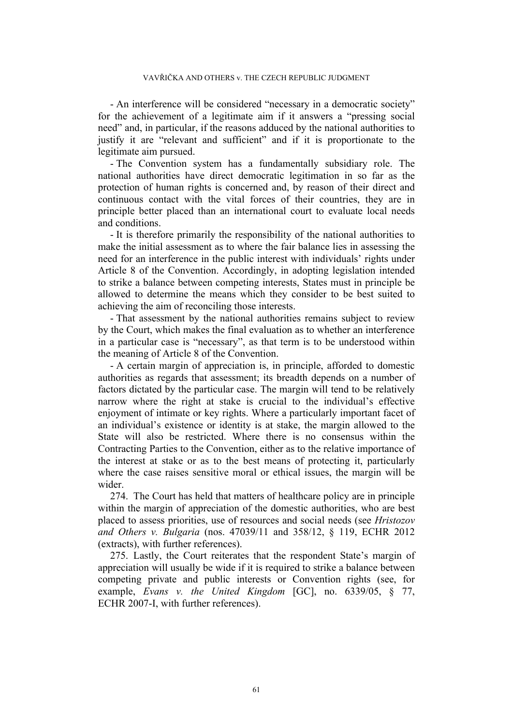- An interference will be considered "necessary in a democratic society" for the achievement of a legitimate aim if it answers a "pressing social need" and, in particular, if the reasons adduced by the national authorities to justify it are "relevant and sufficient" and if it is proportionate to the legitimate aim pursued.

- The Convention system has a fundamentally subsidiary role. The national authorities have direct democratic legitimation in so far as the protection of human rights is concerned and, by reason of their direct and continuous contact with the vital forces of their countries, they are in principle better placed than an international court to evaluate local needs and conditions.

- It is therefore primarily the responsibility of the national authorities to make the initial assessment as to where the fair balance lies in assessing the need for an interference in the public interest with individuals' rights under Article 8 of the Convention. Accordingly, in adopting legislation intended to strike a balance between competing interests, States must in principle be allowed to determine the means which they consider to be best suited to achieving the aim of reconciling those interests.

- That assessment by the national authorities remains subject to review by the Court, which makes the final evaluation as to whether an interference in a particular case is "necessary", as that term is to be understood within the meaning of Article 8 of the Convention.

- A certain margin of appreciation is, in principle, afforded to domestic authorities as regards that assessment; its breadth depends on a number of factors dictated by the particular case. The margin will tend to be relatively narrow where the right at stake is crucial to the individual's effective enjoyment of intimate or key rights. Where a particularly important facet of an individual's existence or identity is at stake, the margin allowed to the State will also be restricted. Where there is no consensus within the Contracting Parties to the Convention, either as to the relative importance of the interest at stake or as to the best means of protecting it, particularly where the case raises sensitive moral or ethical issues, the margin will be wider.

<span id="page-61-0"></span>274. The Court has held that matters of healthcare policy are in principle within the margin of appreciation of the domestic authorities, who are best placed to assess priorities, use of resources and social needs (see *Hristozov and Others v. Bulgaria* (nos. 47039/11 and 358/12, § 119, ECHR 2012 (extracts), with further references).

275. Lastly, the Court reiterates that the respondent State's margin of appreciation will usually be wide if it is required to strike a balance between competing private and public interests or Convention rights (see, for example, *Evans v. the United Kingdom* [GC], no. 6339/05, § 77, ECHR 2007-I, with further references).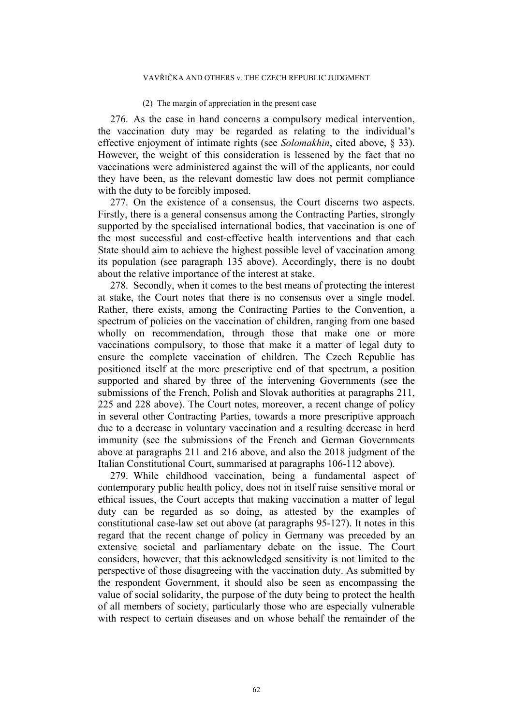### VAVŘIČKA AND OTHERS v. THE CZECH REPUBLIC JUDGMENT

#### (2) The margin of appreciation in the present case

276. As the case in hand concerns a compulsory medical intervention, the vaccination duty may be regarded as relating to the individual's effective enjoyment of intimate rights (see *Solomakhin*, cited above, § 33). However, the weight of this consideration is lessened by the fact that no vaccinations were administered against the will of the applicants, nor could they have been, as the relevant domestic law does not permit compliance with the duty to be forcibly imposed.

277. On the existence of a consensus, the Court discerns two aspects. Firstly, there is a general consensus among the Contracting Parties, strongly supported by the specialised international bodies, that vaccination is one of the most successful and cost-effective health interventions and that each State should aim to achieve the highest possible level of vaccination among its population (see paragraph [135](#page-30-1) above). Accordingly, there is no doubt about the relative importance of the interest at stake.

278. Secondly, when it comes to the best means of protecting the interest at stake, the Court notes that there is no consensus over a single model. Rather, there exists, among the Contracting Parties to the Convention, a spectrum of policies on the vaccination of children, ranging from one based wholly on recommendation, through those that make one or more vaccinations compulsory, to those that make it a matter of legal duty to ensure the complete vaccination of children. The Czech Republic has positioned itself at the more prescriptive end of that spectrum, a position supported and shared by three of the intervening Governments (see the submissions of the French, Polish and Slovak authorities at paragraphs [211,](#page-47-0) [225](#page-51-0) and [228](#page-51-1) above). The Court notes, moreover, a recent change of policy in several other Contracting Parties, towards a more prescriptive approach due to a decrease in voluntary vaccination and a resulting decrease in herd immunity (see the submissions of the French and German Governments above at paragraphs [211](#page-47-0) and [216](#page-49-0) above, and also the 2018 judgment of the Italian Constitutional Court, summarised at paragraphs [106-](#page-23-0)[112](#page-24-0) above).

279. While childhood vaccination, being a fundamental aspect of contemporary public health policy, does not in itself raise sensitive moral or ethical issues, the Court accepts that making vaccination a matter of legal duty can be regarded as so doing, as attested by the examples of constitutional case-law set out above (at paragraphs [95-](#page-21-0)[127\)](#page-27-0). It notes in this regard that the recent change of policy in Germany was preceded by an extensive societal and parliamentary debate on the issue. The Court considers, however, that this acknowledged sensitivity is not limited to the perspective of those disagreeing with the vaccination duty. As submitted by the respondent Government, it should also be seen as encompassing the value of social solidarity, the purpose of the duty being to protect the health of all members of society, particularly those who are especially vulnerable with respect to certain diseases and on whose behalf the remainder of the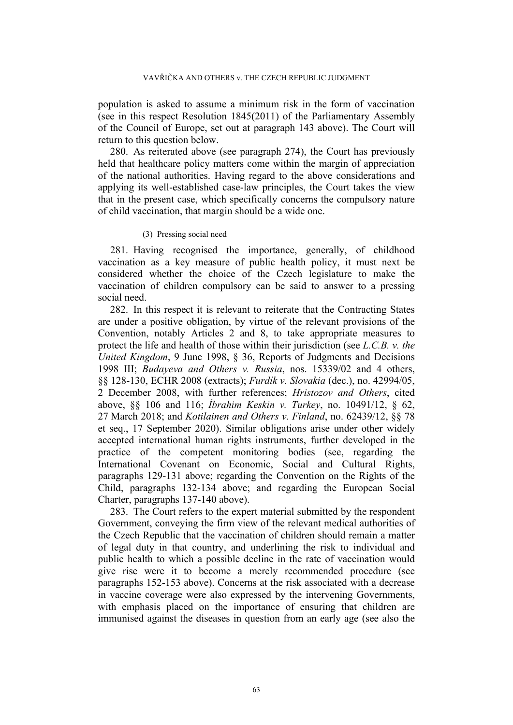population is asked to assume a minimum risk in the form of vaccination (see in this respect Resolution 1845(2011) of the Parliamentary Assembly of the Council of Europe, set out at paragraph [143](#page-33-0) above). The Court will return to this question below.

280. As reiterated above (see paragraph [274\)](#page-61-0), the Court has previously held that healthcare policy matters come within the margin of appreciation of the national authorities. Having regard to the above considerations and applying its well-established case-law principles, the Court takes the view that in the present case, which specifically concerns the compulsory nature of child vaccination, that margin should be a wide one.

### (3) Pressing social need

281. Having recognised the importance, generally, of childhood vaccination as a key measure of public health policy, it must next be considered whether the choice of the Czech legislature to make the vaccination of children compulsory can be said to answer to a pressing social need.

282. In this respect it is relevant to reiterate that the Contracting States are under a positive obligation, by virtue of the relevant provisions of the Convention, notably Articles 2 and 8, to take appropriate measures to protect the life and health of those within their jurisdiction (see *L.C.B. v. the United Kingdom*, 9 June 1998, § 36, Reports of Judgments and Decisions 1998 III; *Budayeva and Others v. Russia*, nos. 15339/02 and 4 others, §§ 128-130, ECHR 2008 (extracts); *Furdík v. Slovakia* (dec.), no. 42994/05, 2 December 2008, with further references; *Hristozov and Others*, cited above, §§ 106 and 116; *İbrahim Keskin v. Turkey*, no. 10491/12, § 62, 27 March 2018; and *Kotilainen and Others v. Finland*, no. 62439/12, §§ 78 et seq., 17 September 2020). Similar obligations arise under other widely accepted international human rights instruments, further developed in the practice of the competent monitoring bodies (see, regarding the International Covenant on Economic, Social and Cultural Rights, paragraphs [129-](#page-28-0)[131](#page-28-1) above; regarding the Convention on the Rights of the Child, paragraphs [132-](#page-29-0)[134](#page-29-1) above; and regarding the European Social Charter, paragraphs [137](#page-30-0)[-140](#page-31-0) above).

283. The Court refers to the expert material submitted by the respondent Government, conveying the firm view of the relevant medical authorities of the Czech Republic that the vaccination of children should remain a matter of legal duty in that country, and underlining the risk to individual and public health to which a possible decline in the rate of vaccination would give rise were it to become a merely recommended procedure (see paragraphs [152-](#page-36-0)[153](#page-36-1) above). Concerns at the risk associated with a decrease in vaccine coverage were also expressed by the intervening Governments, with emphasis placed on the importance of ensuring that children are immunised against the diseases in question from an early age (see also the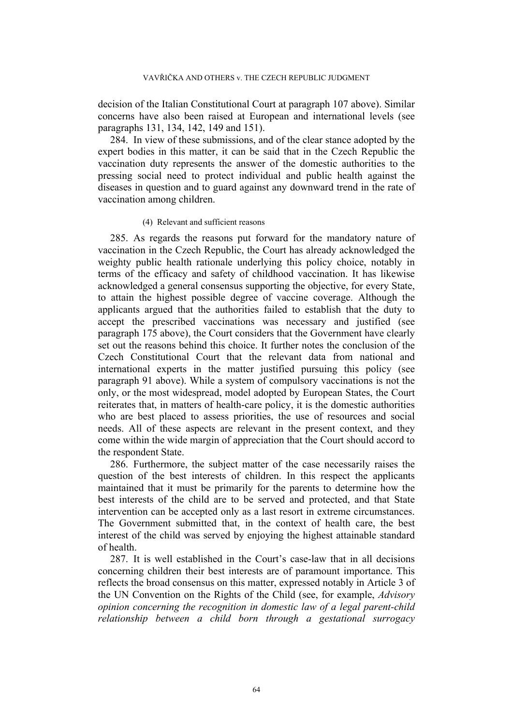decision of the Italian Constitutional Court at paragraph [107](#page-23-1) above). Similar concerns have also been raised at European and international levels (see paragraphs [131](#page-28-1), [134](#page-29-1), [142](#page-32-0), [149](#page-35-1) and [151\)](#page-36-2).

284. In view of these submissions, and of the clear stance adopted by the expert bodies in this matter, it can be said that in the Czech Republic the vaccination duty represents the answer of the domestic authorities to the pressing social need to protect individual and public health against the diseases in question and to guard against any downward trend in the rate of vaccination among children.

# (4) Relevant and sufficient reasons

285. As regards the reasons put forward for the mandatory nature of vaccination in the Czech Republic, the Court has already acknowledged the weighty public health rationale underlying this policy choice, notably in terms of the efficacy and safety of childhood vaccination. It has likewise acknowledged a general consensus supporting the objective, for every State, to attain the highest possible degree of vaccine coverage. Although the applicants argued that the authorities failed to establish that the duty to accept the prescribed vaccinations was necessary and justified (see paragraph [175](#page-41-0) above), the Court considers that the Government have clearly set out the reasons behind this choice. It further notes the conclusion of the Czech Constitutional Court that the relevant data from national and international experts in the matter justified pursuing this policy (see paragraph [91](#page-18-0) above). While a system of compulsory vaccinations is not the only, or the most widespread, model adopted by European States, the Court reiterates that, in matters of health-care policy, it is the domestic authorities who are best placed to assess priorities, the use of resources and social needs. All of these aspects are relevant in the present context, and they come within the wide margin of appreciation that the Court should accord to the respondent State.

286. Furthermore, the subject matter of the case necessarily raises the question of the best interests of children. In this respect the applicants maintained that it must be primarily for the parents to determine how the best interests of the child are to be served and protected, and that State intervention can be accepted only as a last resort in extreme circumstances. The Government submitted that, in the context of health care, the best interest of the child was served by enjoying the highest attainable standard of health.

287. It is well established in the Court's case-law that in all decisions concerning children their best interests are of paramount importance. This reflects the broad consensus on this matter, expressed notably in Article 3 of the UN Convention on the Rights of the Child (see, for example, *Advisory opinion concerning the recognition in domestic law of a legal parent-child relationship between a child born through a gestational surrogacy*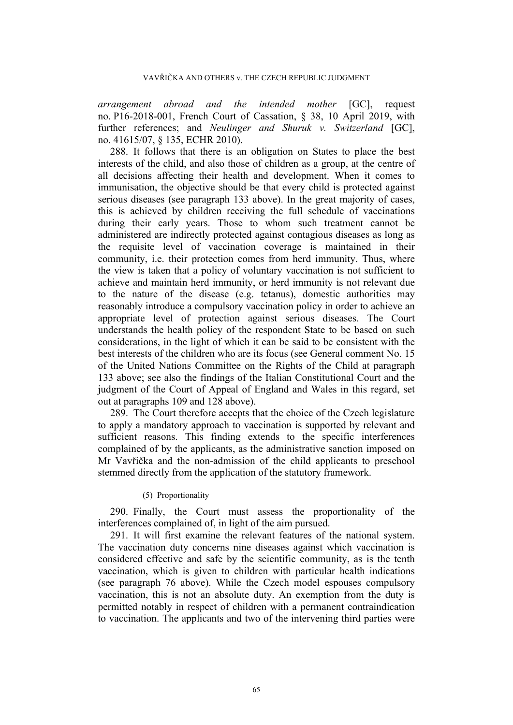*arrangement abroad and the intended mother* [GC], request no. P16-2018-001, French Court of Cassation, § 38, 10 April 2019, with further references; and *Neulinger and Shuruk v. Switzerland* [GC], no. 41615/07, § 135, ECHR 2010).

288. It follows that there is an obligation on States to place the best interests of the child, and also those of children as a group, at the centre of all decisions affecting their health and development. When it comes to immunisation, the objective should be that every child is protected against serious diseases (see paragraph [133](#page-29-2) above). In the great majority of cases, this is achieved by children receiving the full schedule of vaccinations during their early years. Those to whom such treatment cannot be administered are indirectly protected against contagious diseases as long as the requisite level of vaccination coverage is maintained in their community, i.e. their protection comes from herd immunity. Thus, where the view is taken that a policy of voluntary vaccination is not sufficient to achieve and maintain herd immunity, or herd immunity is not relevant due to the nature of the disease (e.g. tetanus), domestic authorities may reasonably introduce a compulsory vaccination policy in order to achieve an appropriate level of protection against serious diseases. The Court understands the health policy of the respondent State to be based on such considerations, in the light of which it can be said to be consistent with the best interests of the children who are its focus (see General comment No. 15 of the United Nations Committee on the Rights of the Child at paragraph [133](#page-29-2) above; see also the findings of the Italian Constitutional Court and the judgment of the Court of Appeal of England and Wales in this regard, set out at paragraphs [109](#page-24-1) and [128](#page-27-1) above).

289. The Court therefore accepts that the choice of the Czech legislature to apply a mandatory approach to vaccination is supported by relevant and sufficient reasons. This finding extends to the specific interferences complained of by the applicants, as the administrative sanction imposed on Mr Vavřička and the non-admission of the child applicants to preschool stemmed directly from the application of the statutory framework.

## (5) Proportionality

290. Finally, the Court must assess the proportionality of the interferences complained of, in light of the aim pursued.

291. It will first examine the relevant features of the national system. The vaccination duty concerns nine diseases against which vaccination is considered effective and safe by the scientific community, as is the tenth vaccination, which is given to children with particular health indications (see paragraph [76](#page-14-2) above). While the Czech model espouses compulsory vaccination, this is not an absolute duty. An exemption from the duty is permitted notably in respect of children with a permanent contraindication to vaccination. The applicants and two of the intervening third parties were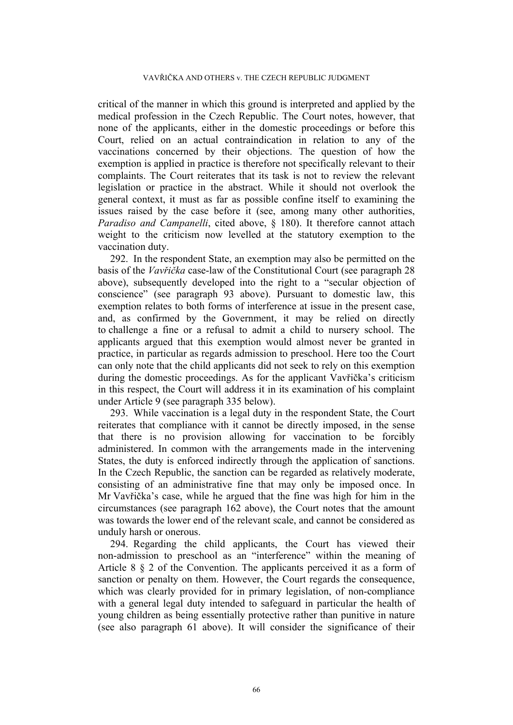critical of the manner in which this ground is interpreted and applied by the medical profession in the Czech Republic. The Court notes, however, that none of the applicants, either in the domestic proceedings or before this Court, relied on an actual contraindication in relation to any of the vaccinations concerned by their objections. The question of how the exemption is applied in practice is therefore not specifically relevant to their complaints. The Court reiterates that its task is not to review the relevant legislation or practice in the abstract. While it should not overlook the general context, it must as far as possible confine itself to examining the issues raised by the case before it (see, among many other authorities, *Paradiso and Campanelli*, cited above, § 180). It therefore cannot attach weight to the criticism now levelled at the statutory exemption to the vaccination duty.

292. In the respondent State, an exemption may also be permitted on the basis of the *Vavřička* case-law of the Constitutional Court (see paragraph [28](#page-5-0) above), subsequently developed into the right to a "secular objection of conscience" (see paragraph [93](#page-19-0) above). Pursuant to domestic law, this exemption relates to both forms of interference at issue in the present case, and, as confirmed by the Government, it may be relied on directly to challenge a fine or a refusal to admit a child to nursery school. The applicants argued that this exemption would almost never be granted in practice, in particular as regards admission to preschool. Here too the Court can only note that the child applicants did not seek to rely on this exemption during the domestic proceedings. As for the applicant Vavřička's criticism in this respect, the Court will address it in its examination of his complaint under Article 9 (see paragraph [335](#page-76-0) below).

<span id="page-66-0"></span>293. While vaccination is a legal duty in the respondent State, the Court reiterates that compliance with it cannot be directly imposed, in the sense that there is no provision allowing for vaccination to be forcibly administered. In common with the arrangements made in the intervening States, the duty is enforced indirectly through the application of sanctions. In the Czech Republic, the sanction can be regarded as relatively moderate, consisting of an administrative fine that may only be imposed once. In Mr Vavřička's case, while he argued that the fine was high for him in the circumstances (see paragraph [162](#page-38-0) above), the Court notes that the amount was towards the lower end of the relevant scale, and cannot be considered as unduly harsh or onerous.

294. Regarding the child applicants, the Court has viewed their non-admission to preschool as an "interference" within the meaning of Article 8 § 2 of the Convention. The applicants perceived it as a form of sanction or penalty on them. However, the Court regards the consequence, which was clearly provided for in primary legislation, of non-compliance with a general legal duty intended to safeguard in particular the health of young children as being essentially protective rather than punitive in nature (see also paragraph [61](#page-11-1) above). It will consider the significance of their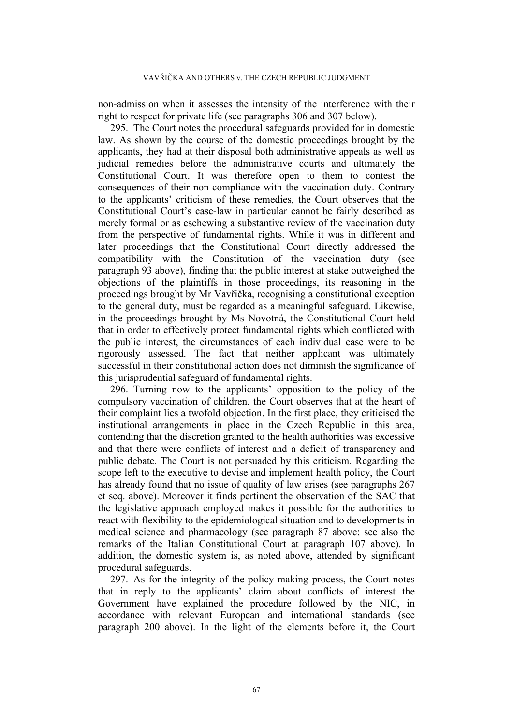non-admission when it assesses the intensity of the interference with their right to respect for private life (see paragraphs [306](#page-70-0) and [307](#page-70-1) below).

295. The Court notes the procedural safeguards provided for in domestic law. As shown by the course of the domestic proceedings brought by the applicants, they had at their disposal both administrative appeals as well as judicial remedies before the administrative courts and ultimately the Constitutional Court. It was therefore open to them to contest the consequences of their non-compliance with the vaccination duty. Contrary to the applicants' criticism of these remedies, the Court observes that the Constitutional Court's case-law in particular cannot be fairly described as merely formal or as eschewing a substantive review of the vaccination duty from the perspective of fundamental rights. While it was in different and later proceedings that the Constitutional Court directly addressed the compatibility with the Constitution of the vaccination duty (see paragraph [93](#page-19-0) above), finding that the public interest at stake outweighed the objections of the plaintiffs in those proceedings, its reasoning in the proceedings brought by Mr Vavřička, recognising a constitutional exception to the general duty, must be regarded as a meaningful safeguard. Likewise, in the proceedings brought by Ms Novotná, the Constitutional Court held that in order to effectively protect fundamental rights which conflicted with the public interest, the circumstances of each individual case were to be rigorously assessed. The fact that neither applicant was ultimately successful in their constitutional action does not diminish the significance of this jurisprudential safeguard of fundamental rights.

296. Turning now to the applicants' opposition to the policy of the compulsory vaccination of children, the Court observes that at the heart of their complaint lies a twofold objection. In the first place, they criticised the institutional arrangements in place in the Czech Republic in this area, contending that the discretion granted to the health authorities was excessive and that there were conflicts of interest and a deficit of transparency and public debate. The Court is not persuaded by this criticism. Regarding the scope left to the executive to devise and implement health policy, the Court has already found that no issue of quality of law arises (see paragraphs [267](#page-59-0) et seq. above). Moreover it finds pertinent the observation of the SAC that the legislative approach employed makes it possible for the authorities to react with flexibility to the epidemiological situation and to developments in medical science and pharmacology (see paragraph [87](#page-16-1) above; see also the remarks of the Italian Constitutional Court at paragraph [107](#page-23-1) above). In addition, the domestic system is, as noted above, attended by significant procedural safeguards.

297. As for the integrity of the policy-making process, the Court notes that in reply to the applicants' claim about conflicts of interest the Government have explained the procedure followed by the NIC, in accordance with relevant European and international standards (see paragraph [200](#page-45-0) above). In the light of the elements before it, the Court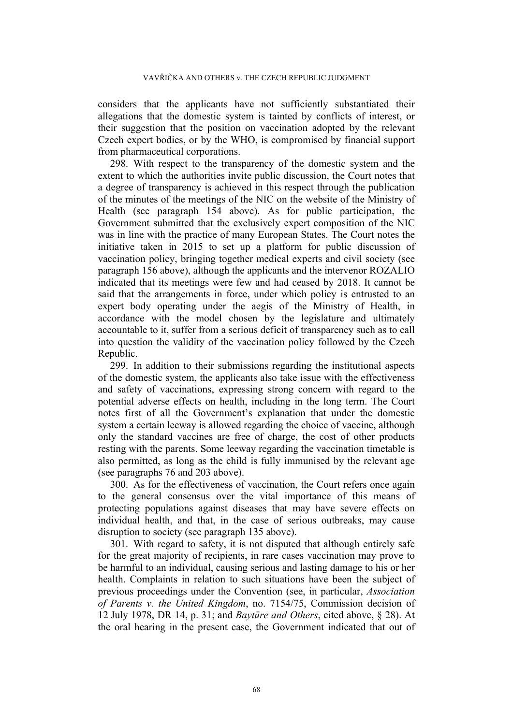considers that the applicants have not sufficiently substantiated their allegations that the domestic system is tainted by conflicts of interest, or their suggestion that the position on vaccination adopted by the relevant Czech expert bodies, or by the WHO, is compromised by financial support from pharmaceutical corporations.

298. With respect to the transparency of the domestic system and the extent to which the authorities invite public discussion, the Court notes that a degree of transparency is achieved in this respect through the publication of the minutes of the meetings of the NIC on the website of the Ministry of Health (see paragraph [154](#page-37-0) above). As for public participation, the Government submitted that the exclusively expert composition of the NIC was in line with the practice of many European States. The Court notes the initiative taken in 2015 to set up a platform for public discussion of vaccination policy, bringing together medical experts and civil society (see paragraph [156](#page-37-1) above), although the applicants and the intervenor ROZALIO indicated that its meetings were few and had ceased by 2018. It cannot be said that the arrangements in force, under which policy is entrusted to an expert body operating under the aegis of the Ministry of Health, in accordance with the model chosen by the legislature and ultimately accountable to it, suffer from a serious deficit of transparency such as to call into question the validity of the vaccination policy followed by the Czech Republic.

299. In addition to their submissions regarding the institutional aspects of the domestic system, the applicants also take issue with the effectiveness and safety of vaccinations, expressing strong concern with regard to the potential adverse effects on health, including in the long term. The Court notes first of all the Government's explanation that under the domestic system a certain leeway is allowed regarding the choice of vaccine, although only the standard vaccines are free of charge, the cost of other products resting with the parents. Some leeway regarding the vaccination timetable is also permitted, as long as the child is fully immunised by the relevant age (see paragraphs [76](#page-14-2) and [203](#page-46-0) above).

300. As for the effectiveness of vaccination, the Court refers once again to the general consensus over the vital importance of this means of protecting populations against diseases that may have severe effects on individual health, and that, in the case of serious outbreaks, may cause disruption to society (see paragraph [135](#page-30-1) above).

301. With regard to safety, it is not disputed that although entirely safe for the great majority of recipients, in rare cases vaccination may prove to be harmful to an individual, causing serious and lasting damage to his or her health. Complaints in relation to such situations have been the subject of previous proceedings under the Convention (see, in particular, *Association of Parents v. the United Kingdom*, no. 7154/75, Commission decision of 12 July 1978, DR 14, p. 31; and *Baytüre and Others*, cited above, § 28). At the oral hearing in the present case, the Government indicated that out of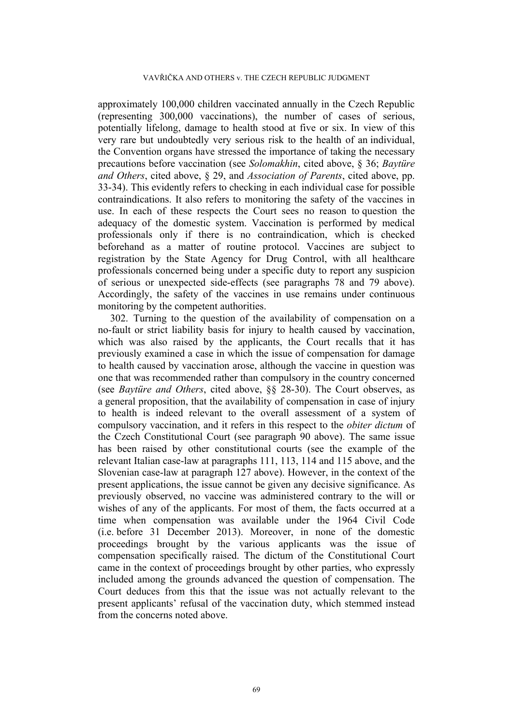approximately 100,000 children vaccinated annually in the Czech Republic (representing 300,000 vaccinations), the number of cases of serious, potentially lifelong, damage to health stood at five or six. In view of this very rare but undoubtedly very serious risk to the health of an individual, the Convention organs have stressed the importance of taking the necessary precautions before vaccination (see *Solomakhin*, cited above, § 36; *Baytüre and Others*, cited above, § 29, and *Association of Parents*, cited above, pp. 33-34). This evidently refers to checking in each individual case for possible contraindications. It also refers to monitoring the safety of the vaccines in use. In each of these respects the Court sees no reason to question the adequacy of the domestic system. Vaccination is performed by medical professionals only if there is no contraindication, which is checked beforehand as a matter of routine protocol. Vaccines are subject to registration by the State Agency for Drug Control, with all healthcare professionals concerned being under a specific duty to report any suspicion of serious or unexpected side-effects (see paragraphs [78](#page-14-0) and [79](#page-14-3) above). Accordingly, the safety of the vaccines in use remains under continuous monitoring by the competent authorities.

302. Turning to the question of the availability of compensation on a no-fault or strict liability basis for injury to health caused by vaccination, which was also raised by the applicants, the Court recalls that it has previously examined a case in which the issue of compensation for damage to health caused by vaccination arose, although the vaccine in question was one that was recommended rather than compulsory in the country concerned (see *Baytüre and Others*, cited above, §§ 28-30). The Court observes, as a general proposition, that the availability of compensation in case of injury to health is indeed relevant to the overall assessment of a system of compulsory vaccination, and it refers in this respect to the *obiter dictum* of the Czech Constitutional Court (see paragraph [90](#page-17-0) above). The same issue has been raised by other constitutional courts (see the example of the relevant Italian case-law at paragraphs [111](#page-24-2), [113](#page-24-3), [114](#page-24-4) and [115](#page-25-0) above, and the Slovenian case-law at paragraph [127](#page-27-0) above). However, in the context of the present applications, the issue cannot be given any decisive significance. As previously observed, no vaccine was administered contrary to the will or wishes of any of the applicants. For most of them, the facts occurred at a time when compensation was available under the 1964 Civil Code (i.e. before 31 December 2013). Moreover, in none of the domestic proceedings brought by the various applicants was the issue of compensation specifically raised. The dictum of the Constitutional Court came in the context of proceedings brought by other parties, who expressly included among the grounds advanced the question of compensation. The Court deduces from this that the issue was not actually relevant to the present applicants' refusal of the vaccination duty, which stemmed instead from the concerns noted above.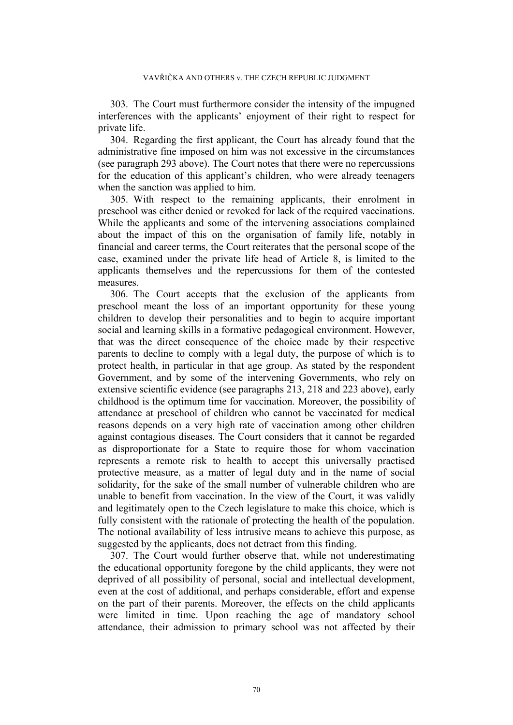303. The Court must furthermore consider the intensity of the impugned interferences with the applicants' enjoyment of their right to respect for private life.

304. Regarding the first applicant, the Court has already found that the administrative fine imposed on him was not excessive in the circumstances (see paragraph [293](#page-66-0) above). The Court notes that there were no repercussions for the education of this applicant's children, who were already teenagers when the sanction was applied to him.

305. With respect to the remaining applicants, their enrolment in preschool was either denied or revoked for lack of the required vaccinations. While the applicants and some of the intervening associations complained about the impact of this on the organisation of family life, notably in financial and career terms, the Court reiterates that the personal scope of the case, examined under the private life head of Article 8, is limited to the applicants themselves and the repercussions for them of the contested measures.

<span id="page-70-0"></span>306. The Court accepts that the exclusion of the applicants from preschool meant the loss of an important opportunity for these young children to develop their personalities and to begin to acquire important social and learning skills in a formative pedagogical environment. However, that was the direct consequence of the choice made by their respective parents to decline to comply with a legal duty, the purpose of which is to protect health, in particular in that age group. As stated by the respondent Government, and by some of the intervening Governments, who rely on extensive scientific evidence (see paragraphs [213,](#page-48-0) [218](#page-49-1) and [223](#page-50-0) above), early childhood is the optimum time for vaccination. Moreover, the possibility of attendance at preschool of children who cannot be vaccinated for medical reasons depends on a very high rate of vaccination among other children against contagious diseases. The Court considers that it cannot be regarded as disproportionate for a State to require those for whom vaccination represents a remote risk to health to accept this universally practised protective measure, as a matter of legal duty and in the name of social solidarity, for the sake of the small number of vulnerable children who are unable to benefit from vaccination. In the view of the Court, it was validly and legitimately open to the Czech legislature to make this choice, which is fully consistent with the rationale of protecting the health of the population. The notional availability of less intrusive means to achieve this purpose, as suggested by the applicants, does not detract from this finding.

<span id="page-70-1"></span>307. The Court would further observe that, while not underestimating the educational opportunity foregone by the child applicants, they were not deprived of all possibility of personal, social and intellectual development, even at the cost of additional, and perhaps considerable, effort and expense on the part of their parents. Moreover, the effects on the child applicants were limited in time. Upon reaching the age of mandatory school attendance, their admission to primary school was not affected by their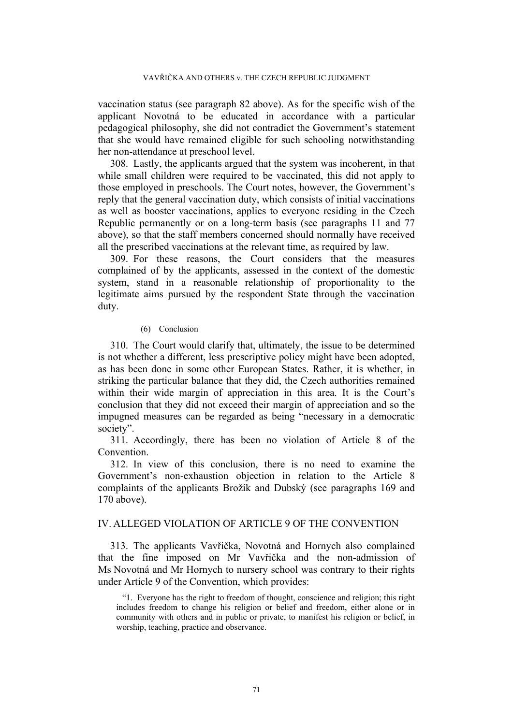vaccination status (see paragraph [82](#page-15-1) above). As for the specific wish of the applicant Novotná to be educated in accordance with a particular pedagogical philosophy, she did not contradict the Government's statement that she would have remained eligible for such schooling notwithstanding her non-attendance at preschool level.

308. Lastly, the applicants argued that the system was incoherent, in that while small children were required to be vaccinated, this did not apply to those employed in preschools. The Court notes, however, the Government's reply that the general vaccination duty, which consists of initial vaccinations as well as booster vaccinations, applies to everyone residing in the Czech Republic permanently or on a long-term basis (see paragraphs [11](#page-3-0) and [77](#page-14-4) above), so that the staff members concerned should normally have received all the prescribed vaccinations at the relevant time, as required by law.

309. For these reasons, the Court considers that the measures complained of by the applicants, assessed in the context of the domestic system, stand in a reasonable relationship of proportionality to the legitimate aims pursued by the respondent State through the vaccination duty.

## (6) Conclusion

310. The Court would clarify that, ultimately, the issue to be determined is not whether a different, less prescriptive policy might have been adopted, as has been done in some other European States. Rather, it is whether, in striking the particular balance that they did, the Czech authorities remained within their wide margin of appreciation in this area. It is the Court's conclusion that they did not exceed their margin of appreciation and so the impugned measures can be regarded as being "necessary in a democratic society".

311. Accordingly, there has been no violation of Article 8 of the Convention.

312. In view of this conclusion, there is no need to examine the Government's non-exhaustion objection in relation to the Article 8 complaints of the applicants Brožík and Dubský (see paragraphs [169](#page-40-0) and [170](#page-40-1) above).

# IV. ALLEGED VIOLATION OF ARTICLE 9 OF THE CONVENTION

313. The applicants Vavřička, Novotná and Hornych also complained that the fine imposed on Mr Vavřička and the non-admission of Ms Novotná and Mr Hornych to nursery school was contrary to their rights under Article 9 of the Convention, which provides:

"1. Everyone has the right to freedom of thought, conscience and religion; this right includes freedom to change his religion or belief and freedom, either alone or in community with others and in public or private, to manifest his religion or belief, in worship, teaching, practice and observance.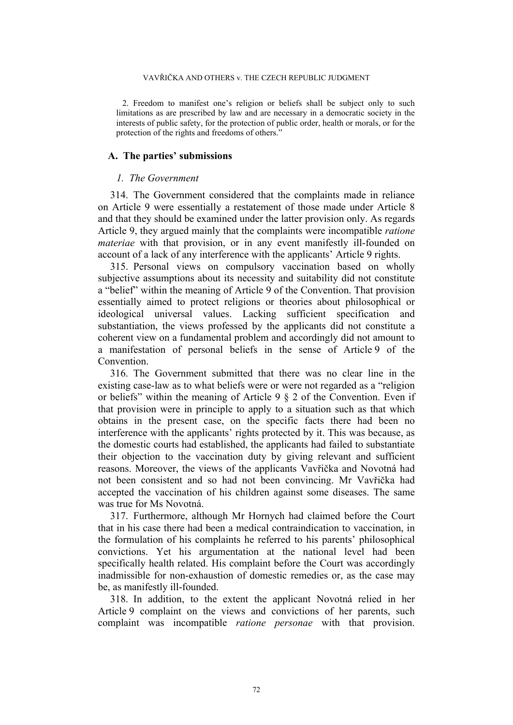#### VAVŘIČKA AND OTHERS v. THE CZECH REPUBLIC JUDGMENT

2. Freedom to manifest one's religion or beliefs shall be subject only to such limitations as are prescribed by law and are necessary in a democratic society in the interests of public safety, for the protection of public order, health or morals, or for the protection of the rights and freedoms of others."

## **A. The parties' submissions**

## *1. The Government*

314. The Government considered that the complaints made in reliance on Article 9 were essentially a restatement of those made under Article 8 and that they should be examined under the latter provision only. As regards Article 9, they argued mainly that the complaints were incompatible *ratione materiae* with that provision, or in any event manifestly ill-founded on account of a lack of any interference with the applicants' Article 9 rights.

315. Personal views on compulsory vaccination based on wholly subjective assumptions about its necessity and suitability did not constitute a "belief" within the meaning of Article 9 of the Convention. That provision essentially aimed to protect religions or theories about philosophical or ideological universal values. Lacking sufficient specification and substantiation, the views professed by the applicants did not constitute a coherent view on a fundamental problem and accordingly did not amount to a manifestation of personal beliefs in the sense of Article 9 of the Convention.

316. The Government submitted that there was no clear line in the existing case-law as to what beliefs were or were not regarded as a "religion or beliefs" within the meaning of Article 9 § 2 of the Convention. Even if that provision were in principle to apply to a situation such as that which obtains in the present case, on the specific facts there had been no interference with the applicants' rights protected by it. This was because, as the domestic courts had established, the applicants had failed to substantiate their objection to the vaccination duty by giving relevant and sufficient reasons. Moreover, the views of the applicants Vavřička and Novotná had not been consistent and so had not been convincing. Mr Vavřička had accepted the vaccination of his children against some diseases. The same was true for Ms Novotná.

317. Furthermore, although Mr Hornych had claimed before the Court that in his case there had been a medical contraindication to vaccination, in the formulation of his complaints he referred to his parents' philosophical convictions. Yet his argumentation at the national level had been specifically health related. His complaint before the Court was accordingly inadmissible for non-exhaustion of domestic remedies or, as the case may be, as manifestly ill-founded.

318. In addition, to the extent the applicant Novotná relied in her Article 9 complaint on the views and convictions of her parents, such complaint was incompatible *ratione personae* with that provision.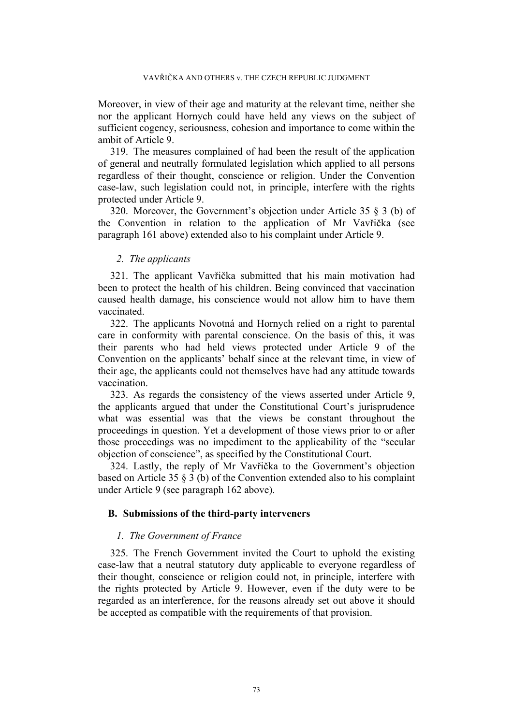Moreover, in view of their age and maturity at the relevant time, neither she nor the applicant Hornych could have held any views on the subject of sufficient cogency, seriousness, cohesion and importance to come within the ambit of Article 9.

319. The measures complained of had been the result of the application of general and neutrally formulated legislation which applied to all persons regardless of their thought, conscience or religion. Under the Convention case-law, such legislation could not, in principle, interfere with the rights protected under Article 9.

320. Moreover, the Government's objection under Article 35 § 3 (b) of the Convention in relation to the application of Mr Vavřička (see paragraph [161](#page-38-0) above) extended also to his complaint under Article 9.

### *2. The applicants*

321. The applicant Vavřička submitted that his main motivation had been to protect the health of his children. Being convinced that vaccination caused health damage, his conscience would not allow him to have them vaccinated.

322. The applicants Novotná and Hornych relied on a right to parental care in conformity with parental conscience. On the basis of this, it was their parents who had held views protected under Article 9 of the Convention on the applicants' behalf since at the relevant time, in view of their age, the applicants could not themselves have had any attitude towards vaccination.

323. As regards the consistency of the views asserted under Article 9, the applicants argued that under the Constitutional Court's jurisprudence what was essential was that the views be constant throughout the proceedings in question. Yet a development of those views prior to or after those proceedings was no impediment to the applicability of the "secular objection of conscience", as specified by the Constitutional Court.

324. Lastly, the reply of Mr Vavřička to the Government's objection based on Article 35 § 3 (b) of the Convention extended also to his complaint under Article 9 (see paragraph [162](#page-38-1) above).

### **B. Submissions of the third-party interveners**

### *1. The Government of France*

325. The French Government invited the Court to uphold the existing case-law that a neutral statutory duty applicable to everyone regardless of their thought, conscience or religion could not, in principle, interfere with the rights protected by Article 9. However, even if the duty were to be regarded as an interference, for the reasons already set out above it should be accepted as compatible with the requirements of that provision.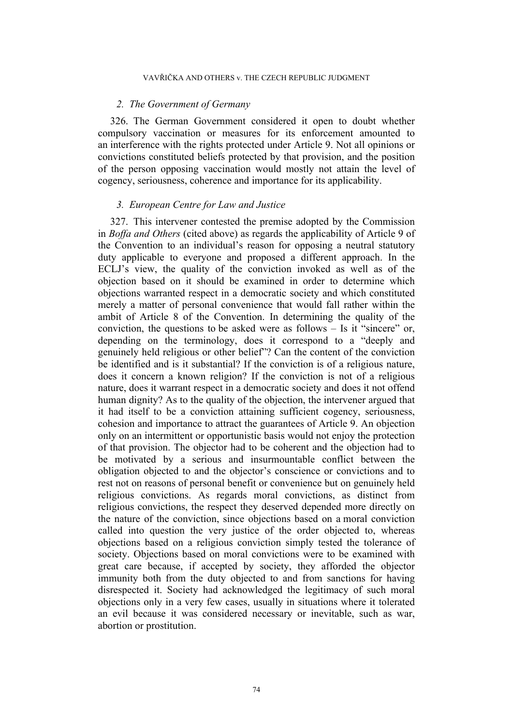### *2. The Government of Germany*

326. The German Government considered it open to doubt whether compulsory vaccination or measures for its enforcement amounted to an interference with the rights protected under Article 9. Not all opinions or convictions constituted beliefs protected by that provision, and the position of the person opposing vaccination would mostly not attain the level of cogency, seriousness, coherence and importance for its applicability.

### *3. European Centre for Law and Justice*

327. This intervener contested the premise adopted by the Commission in *Boffa and Others* (cited above) as regards the applicability of Article 9 of the Convention to an individual's reason for opposing a neutral statutory duty applicable to everyone and proposed a different approach. In the ECLJ's view, the quality of the conviction invoked as well as of the objection based on it should be examined in order to determine which objections warranted respect in a democratic society and which constituted merely a matter of personal convenience that would fall rather within the ambit of Article 8 of the Convention. In determining the quality of the conviction, the questions to be asked were as follows – Is it "sincere" or, depending on the terminology, does it correspond to a "deeply and genuinely held religious or other belief"? Can the content of the conviction be identified and is it substantial? If the conviction is of a religious nature, does it concern a known religion? If the conviction is not of a religious nature, does it warrant respect in a democratic society and does it not offend human dignity? As to the quality of the objection, the intervener argued that it had itself to be a conviction attaining sufficient cogency, seriousness, cohesion and importance to attract the guarantees of Article 9. An objection only on an intermittent or opportunistic basis would not enjoy the protection of that provision. The objector had to be coherent and the objection had to be motivated by a serious and insurmountable conflict between the obligation objected to and the objector's conscience or convictions and to rest not on reasons of personal benefit or convenience but on genuinely held religious convictions. As regards moral convictions, as distinct from religious convictions, the respect they deserved depended more directly on the nature of the conviction, since objections based on a moral conviction called into question the very justice of the order objected to, whereas objections based on a religious conviction simply tested the tolerance of society. Objections based on moral convictions were to be examined with great care because, if accepted by society, they afforded the objector immunity both from the duty objected to and from sanctions for having disrespected it. Society had acknowledged the legitimacy of such moral objections only in a very few cases, usually in situations where it tolerated an evil because it was considered necessary or inevitable, such as war, abortion or prostitution.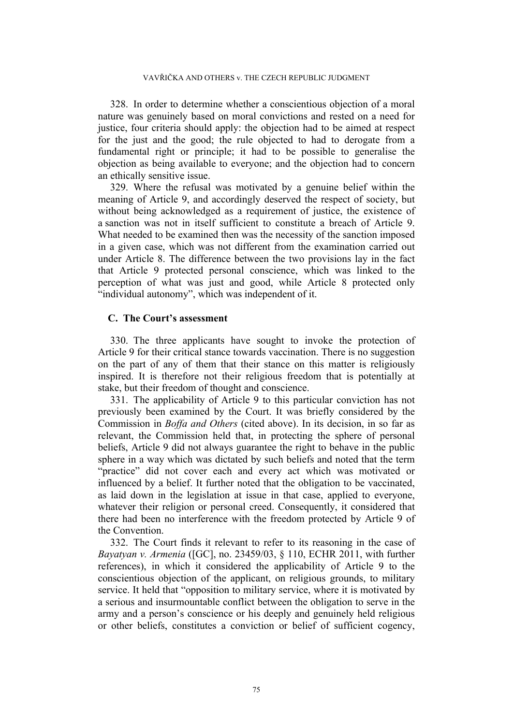328. In order to determine whether a conscientious objection of a moral nature was genuinely based on moral convictions and rested on a need for justice, four criteria should apply: the objection had to be aimed at respect for the just and the good; the rule objected to had to derogate from a fundamental right or principle; it had to be possible to generalise the objection as being available to everyone; and the objection had to concern an ethically sensitive issue.

329. Where the refusal was motivated by a genuine belief within the meaning of Article 9, and accordingly deserved the respect of society, but without being acknowledged as a requirement of justice, the existence of a sanction was not in itself sufficient to constitute a breach of Article 9. What needed to be examined then was the necessity of the sanction imposed in a given case, which was not different from the examination carried out under Article 8. The difference between the two provisions lay in the fact that Article 9 protected personal conscience, which was linked to the perception of what was just and good, while Article 8 protected only "individual autonomy", which was independent of it.

## **C. The Court's assessment**

330. The three applicants have sought to invoke the protection of Article 9 for their critical stance towards vaccination. There is no suggestion on the part of any of them that their stance on this matter is religiously inspired. It is therefore not their religious freedom that is potentially at stake, but their freedom of thought and conscience.

331. The applicability of Article 9 to this particular conviction has not previously been examined by the Court. It was briefly considered by the Commission in *Boffa and Others* (cited above). In its decision, in so far as relevant, the Commission held that, in protecting the sphere of personal beliefs, Article 9 did not always guarantee the right to behave in the public sphere in a way which was dictated by such beliefs and noted that the term "practice" did not cover each and every act which was motivated or influenced by a belief. It further noted that the obligation to be vaccinated, as laid down in the legislation at issue in that case, applied to everyone, whatever their religion or personal creed. Consequently, it considered that there had been no interference with the freedom protected by Article 9 of the Convention.

332. The Court finds it relevant to refer to its reasoning in the case of *Bayatyan v. Armenia* ([GC], no. 23459/03, § 110, ECHR 2011, with further references), in which it considered the applicability of Article 9 to the conscientious objection of the applicant, on religious grounds, to military service. It held that "opposition to military service, where it is motivated by a serious and insurmountable conflict between the obligation to serve in the army and a person's conscience or his deeply and genuinely held religious or other beliefs, constitutes a conviction or belief of sufficient cogency,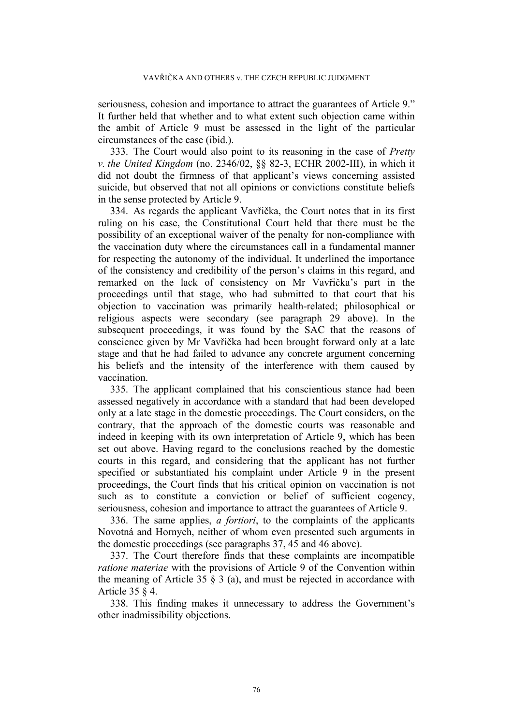seriousness, cohesion and importance to attract the guarantees of Article 9." It further held that whether and to what extent such objection came within the ambit of Article 9 must be assessed in the light of the particular circumstances of the case (ibid.).

333. The Court would also point to its reasoning in the case of *Pretty v. the United Kingdom* (no. 2346/02, §§ 82-3, ECHR 2002-III), in which it did not doubt the firmness of that applicant's views concerning assisted suicide, but observed that not all opinions or convictions constitute beliefs in the sense protected by Article 9.

334. As regards the applicant Vavřička, the Court notes that in its first ruling on his case, the Constitutional Court held that there must be the possibility of an exceptional waiver of the penalty for non-compliance with the vaccination duty where the circumstances call in a fundamental manner for respecting the autonomy of the individual. It underlined the importance of the consistency and credibility of the person's claims in this regard, and remarked on the lack of consistency on Mr Vavřička's part in the proceedings until that stage, who had submitted to that court that his objection to vaccination was primarily health-related; philosophical or religious aspects were secondary (see paragraph [29](#page-6-0) above). In the subsequent proceedings, it was found by the SAC that the reasons of conscience given by Mr Vavřička had been brought forward only at a late stage and that he had failed to advance any concrete argument concerning his beliefs and the intensity of the interference with them caused by vaccination.

335. The applicant complained that his conscientious stance had been assessed negatively in accordance with a standard that had been developed only at a late stage in the domestic proceedings. The Court considers, on the contrary, that the approach of the domestic courts was reasonable and indeed in keeping with its own interpretation of Article 9, which has been set out above. Having regard to the conclusions reached by the domestic courts in this regard, and considering that the applicant has not further specified or substantiated his complaint under Article 9 in the present proceedings, the Court finds that his critical opinion on vaccination is not such as to constitute a conviction or belief of sufficient cogency, seriousness, cohesion and importance to attract the guarantees of Article 9.

336. The same applies, *a fortiori*, to the complaints of the applicants Novotná and Hornych, neither of whom even presented such arguments in the domestic proceedings (see paragraphs [37,](#page-7-0) [45](#page-9-0) and [46](#page-9-1) above).

337. The Court therefore finds that these complaints are incompatible *ratione materiae* with the provisions of Article 9 of the Convention within the meaning of Article 35  $\frac{8}{3}$  (a), and must be rejected in accordance with Article 35 § 4.

338. This finding makes it unnecessary to address the Government's other inadmissibility objections.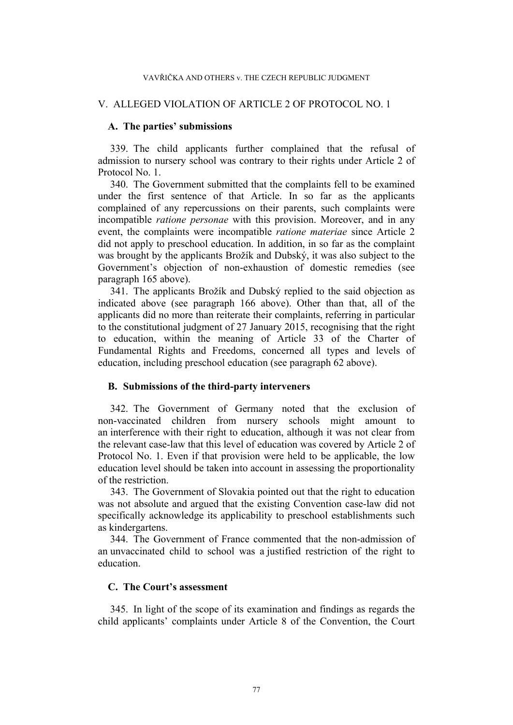## V. ALLEGED VIOLATION OF ARTICLE 2 OF PROTOCOL NO. 1

### **A. The parties' submissions**

339. The child applicants further complained that the refusal of admission to nursery school was contrary to their rights under Article 2 of Protocol No. 1.

340. The Government submitted that the complaints fell to be examined under the first sentence of that Article. In so far as the applicants complained of any repercussions on their parents, such complaints were incompatible *ratione personae* with this provision. Moreover, and in any event, the complaints were incompatible *ratione materiae* since Article 2 did not apply to preschool education. In addition, in so far as the complaint was brought by the applicants Brožík and Dubský, it was also subject to the Government's objection of non-exhaustion of domestic remedies (see paragraph [165](#page-39-0) above).

341. The applicants Brožík and Dubský replied to the said objection as indicated above (see paragraph [166](#page-39-1) above). Other than that, all of the applicants did no more than reiterate their complaints, referring in particular to the constitutional judgment of 27 January 2015, recognising that the right to education, within the meaning of Article 33 of the Charter of Fundamental Rights and Freedoms, concerned all types and levels of education, including preschool education (see paragraph [62](#page-11-0) above).

## **B. Submissions of the third-party interveners**

342. The Government of Germany noted that the exclusion of non-vaccinated children from nursery schools might amount to an interference with their right to education, although it was not clear from the relevant case-law that this level of education was covered by Article 2 of Protocol No. 1. Even if that provision were held to be applicable, the low education level should be taken into account in assessing the proportionality of the restriction.

343. The Government of Slovakia pointed out that the right to education was not absolute and argued that the existing Convention case-law did not specifically acknowledge its applicability to preschool establishments such as kindergartens.

344. The Government of France commented that the non-admission of an unvaccinated child to school was a justified restriction of the right to education.

# **C. The Court's assessment**

345. In light of the scope of its examination and findings as regards the child applicants' complaints under Article 8 of the Convention, the Court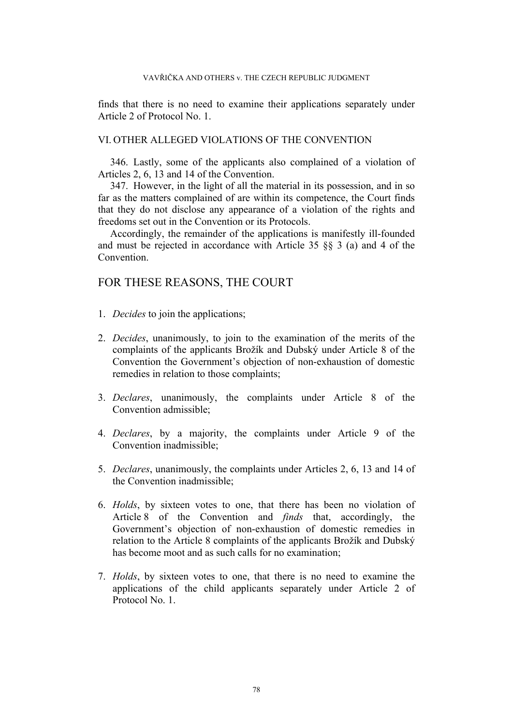finds that there is no need to examine their applications separately under Article 2 of Protocol No. 1.

# VI. OTHER ALLEGED VIOLATIONS OF THE CONVENTION

346. Lastly, some of the applicants also complained of a violation of Articles 2, 6, 13 and 14 of the Convention.

347. However, in the light of all the material in its possession, and in so far as the matters complained of are within its competence, the Court finds that they do not disclose any appearance of a violation of the rights and freedoms set out in the Convention or its Protocols.

Accordingly, the remainder of the applications is manifestly ill-founded and must be rejected in accordance with Article 35 §§ 3 (a) and 4 of the **Convention** 

# FOR THESE REASONS, THE COURT

- 1. *Decides* to join the applications;
- 2. *Decides*, unanimously, to join to the examination of the merits of the complaints of the applicants Brožík and Dubský under Article 8 of the Convention the Government's objection of non-exhaustion of domestic remedies in relation to those complaints;
- 3. *Declares*, unanimously, the complaints under Article 8 of the Convention admissible;
- 4. *Declares*, by a majority, the complaints under Article 9 of the Convention inadmissible;
- 5. *Declares*, unanimously, the complaints under Articles 2, 6, 13 and 14 of the Convention inadmissible;
- 6. *Holds*, by sixteen votes to one, that there has been no violation of Article 8 of the Convention and *finds* that, accordingly, the Government's objection of non-exhaustion of domestic remedies in relation to the Article 8 complaints of the applicants Brožík and Dubský has become moot and as such calls for no examination;
- 7. *Holds*, by sixteen votes to one, that there is no need to examine the applications of the child applicants separately under Article 2 of Protocol No. 1.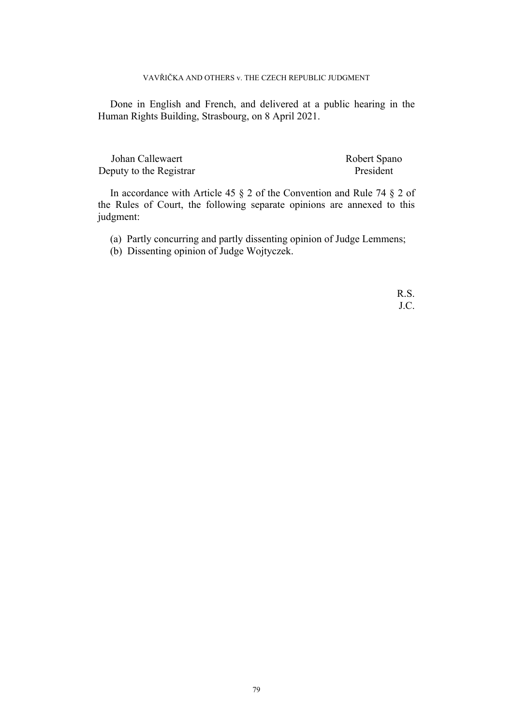Done in English and French, and delivered at a public hearing in the Human Rights Building, Strasbourg, on 8 April 2021.

Johan Callewaert Robert Spano Deputy to the Registrar President

In accordance with Article 45 § 2 of the Convention and Rule 74 § 2 of the Rules of Court, the following separate opinions are annexed to this judgment:

- (a) Partly concurring and partly dissenting opinion of Judge Lemmens;
- (b) Dissenting opinion of Judge Wojtyczek.

R.S. J.C.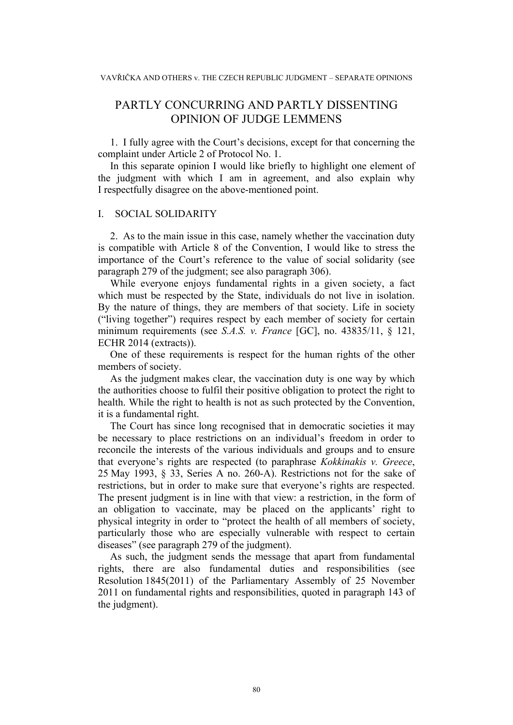# PARTLY CONCURRING AND PARTLY DISSENTING OPINION OF JUDGE LEMMENS

1. I fully agree with the Court's decisions, except for that concerning the complaint under Article 2 of Protocol No. 1.

In this separate opinion I would like briefly to highlight one element of the judgment with which I am in agreement, and also explain why I respectfully disagree on the above-mentioned point.

## I. SOCIAL SOLIDARITY

2. As to the main issue in this case, namely whether the vaccination duty is compatible with Article 8 of the Convention, I would like to stress the importance of the Court's reference to the value of social solidarity (see paragraph 279 of the judgment; see also paragraph 306).

While everyone enjoys fundamental rights in a given society, a fact which must be respected by the State, individuals do not live in isolation. By the nature of things, they are members of that society. Life in society ("living together") requires respect by each member of society for certain minimum requirements (see *S.A.S. v. France* [GC], no. 43835/11, § 121, ECHR 2014 (extracts)).

One of these requirements is respect for the human rights of the other members of society.

As the judgment makes clear, the vaccination duty is one way by which the authorities choose to fulfil their positive obligation to protect the right to health. While the right to health is not as such protected by the Convention, it is a fundamental right.

The Court has since long recognised that in democratic societies it may be necessary to place restrictions on an individual's freedom in order to reconcile the interests of the various individuals and groups and to ensure that everyone's rights are respected (to paraphrase *Kokkinakis v. Greece*, 25 May 1993, § 33, Series A no. 260-A). Restrictions not for the sake of restrictions, but in order to make sure that everyone's rights are respected. The present judgment is in line with that view: a restriction, in the form of an obligation to vaccinate, may be placed on the applicants' right to physical integrity in order to "protect the health of all members of society, particularly those who are especially vulnerable with respect to certain diseases" (see paragraph 279 of the judgment).

As such, the judgment sends the message that apart from fundamental rights, there are also fundamental duties and responsibilities (see Resolution 1845(2011) of the Parliamentary Assembly of 25 November 2011 on fundamental rights and responsibilities, quoted in paragraph 143 of the judgment).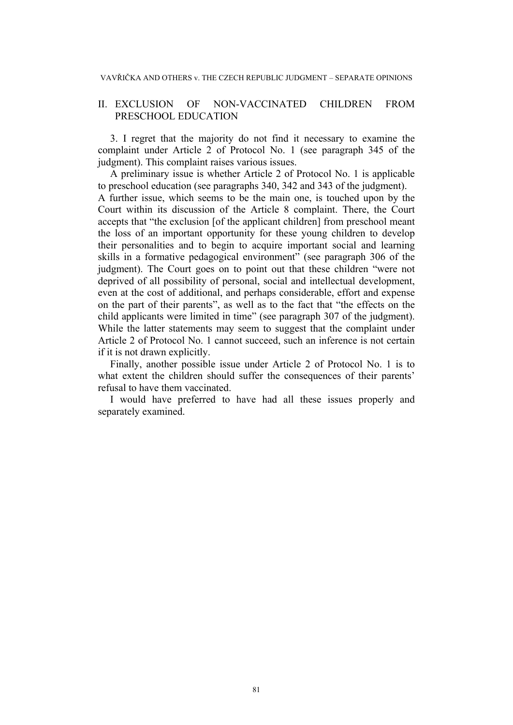## II. EXCLUSION OF NON-VACCINATED CHILDREN FROM PRESCHOOL EDUCATION

3. I regret that the majority do not find it necessary to examine the complaint under Article 2 of Protocol No. 1 (see paragraph 345 of the judgment). This complaint raises various issues.

A preliminary issue is whether Article 2 of Protocol No. 1 is applicable to preschool education (see paragraphs 340, 342 and 343 of the judgment). A further issue, which seems to be the main one, is touched upon by the Court within its discussion of the Article 8 complaint. There, the Court accepts that "the exclusion [of the applicant children] from preschool meant the loss of an important opportunity for these young children to develop their personalities and to begin to acquire important social and learning skills in a formative pedagogical environment" (see paragraph 306 of the judgment). The Court goes on to point out that these children "were not deprived of all possibility of personal, social and intellectual development, even at the cost of additional, and perhaps considerable, effort and expense on the part of their parents", as well as to the fact that "the effects on the child applicants were limited in time" (see paragraph 307 of the judgment). While the latter statements may seem to suggest that the complaint under Article 2 of Protocol No. 1 cannot succeed, such an inference is not certain if it is not drawn explicitly.

Finally, another possible issue under Article 2 of Protocol No. 1 is to what extent the children should suffer the consequences of their parents' refusal to have them vaccinated.

I would have preferred to have had all these issues properly and separately examined.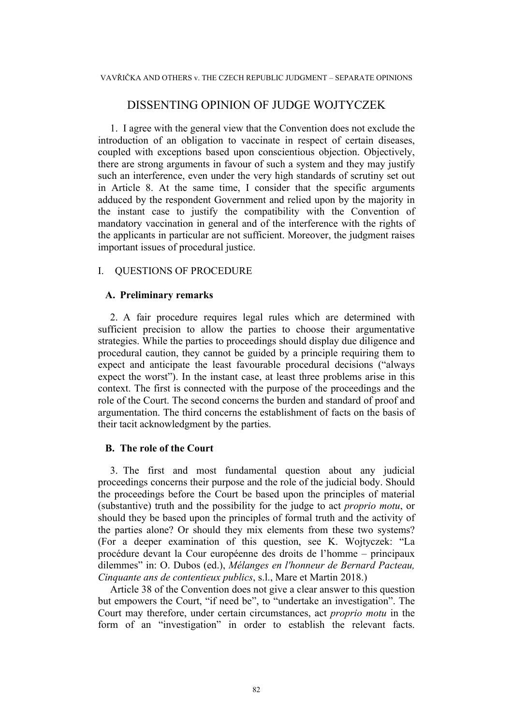# DISSENTING OPINION OF JUDGE WOJTYCZEK

1. I agree with the general view that the Convention does not exclude the introduction of an obligation to vaccinate in respect of certain diseases, coupled with exceptions based upon conscientious objection. Objectively, there are strong arguments in favour of such a system and they may justify such an interference, even under the very high standards of scrutiny set out in Article 8. At the same time, I consider that the specific arguments adduced by the respondent Government and relied upon by the majority in the instant case to justify the compatibility with the Convention of mandatory vaccination in general and of the interference with the rights of the applicants in particular are not sufficient. Moreover, the judgment raises important issues of procedural justice.

# I. QUESTIONS OF PROCEDURE

# **A. Preliminary remarks**

2. A fair procedure requires legal rules which are determined with sufficient precision to allow the parties to choose their argumentative strategies. While the parties to proceedings should display due diligence and procedural caution, they cannot be guided by a principle requiring them to expect and anticipate the least favourable procedural decisions ("always expect the worst"). In the instant case, at least three problems arise in this context. The first is connected with the purpose of the proceedings and the role of the Court. The second concerns the burden and standard of proof and argumentation. The third concerns the establishment of facts on the basis of their tacit acknowledgment by the parties.

# **B. The role of the Court**

3. The first and most fundamental question about any judicial proceedings concerns their purpose and the role of the judicial body. Should the proceedings before the Court be based upon the principles of material (substantive) truth and the possibility for the judge to act *proprio motu*, or should they be based upon the principles of formal truth and the activity of the parties alone? Or should they mix elements from these two systems? (For a deeper examination of this question, see K. Wojtyczek: "La procédure devant la Cour européenne des droits de l'homme – principaux dilemmes" in: O. Dubos (ed.), *Mélanges en l'honneur de Bernard Pacteau, Cinquante ans de contentieux publics*, s.l., Mare et Martin 2018.)

Article 38 of the Convention does not give a clear answer to this question but empowers the Court, "if need be", to "undertake an investigation". The Court may therefore, under certain circumstances, act *proprio motu* in the form of an "investigation" in order to establish the relevant facts.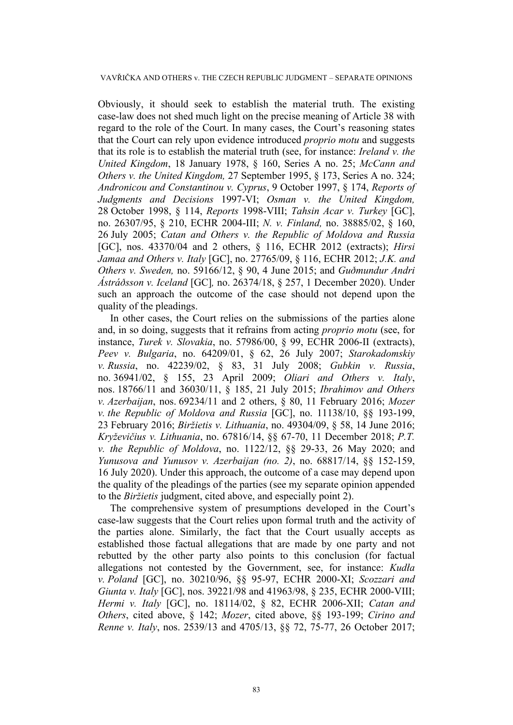Obviously, it should seek to establish the material truth. The existing case-law does not shed much light on the precise meaning of Article 38 with regard to the role of the Court. In many cases, the Court's reasoning states that the Court can rely upon evidence introduced *proprio motu* and suggests that its role is to establish the material truth (see, for instance: *Ireland v. the United Kingdom*, 18 January 1978, § 160, Series A no. 25; *McCann and Others v. the United Kingdom,* 27 September 1995, § 173, Series A no. 324; *Andronicou and Constantinou v. Cyprus*, 9 October 1997, § 174, *Reports of Judgments and Decisions* 1997-VI; *Osman v. the United Kingdom,* 28 October 1998, § 114, *Reports* 1998-VIII; *Tahsin Acar v. Turkey* [GC], no. 26307/95, § 210, ECHR 2004-III; *N. v. Finland,* no. 38885/02, § 160, 26 July 2005; *Catan and Others v. the Republic of Moldova and Russia* [GC], nos. 43370/04 and 2 others, § 116, ECHR 2012 (extracts); *Hirsi Jamaa and Others v. Italy* [GC], no. 27765/09, § 116, ECHR 2012; *J.K. and Others v. Sweden,* no. 59166/12, § 90, 4 June 2015; and *Guðmundur Andri Ástráðsson v. Iceland* [GC]*,* no. 26374/18, § 257, 1 December 2020). Under such an approach the outcome of the case should not depend upon the quality of the pleadings.

In other cases, the Court relies on the submissions of the parties alone and, in so doing, suggests that it refrains from acting *proprio motu* (see, for instance, *Turek v. Slovakia*, no. 57986/00, § 99, ECHR 2006-II (extracts), *Peev v. Bulgaria*, no. 64209/01, § 62, 26 July 2007; *Starokadomskiy v. Russia*, no. 42239/02, § 83, 31 July 2008; *Gubkin v. Russia*, no. 36941/02, § 155, 23 April 2009; *Oliari and Others v. Italy*, nos. 18766/11 and 36030/11, § 185, 21 July 2015; *Ibrahimov and Others v. Azerbaijan*, nos. 69234/11 and 2 others, § 80, 11 February 2016; *Mozer v. the Republic of Moldova and Russia* [GC], no. 11138/10, §§ 193-199, 23 February 2016; *Biržietis v. Lithuania*, no. 49304/09, § 58, 14 June 2016; *Kryževičius v. Lithuania*, no. 67816/14, §§ 67-70, 11 December 2018; *P.T. v. the Republic of Moldova*, no. 1122/12, §§ 29-33, 26 May 2020; and *Yunusova and Yunusov v. Azerbaijan (no. 2)*, no. 68817/14, §§ 152-159, 16 July 2020). Under this approach, the outcome of a case may depend upon the quality of the pleadings of the parties (see my separate opinion appended to the *Biržietis* judgment, cited above, and especially point 2).

The comprehensive system of presumptions developed in the Court's case-law suggests that the Court relies upon formal truth and the activity of the parties alone. Similarly, the fact that the Court usually accepts as established those factual allegations that are made by one party and not rebutted by the other party also points to this conclusion (for factual allegations not contested by the Government, see, for instance: *Kudła v. Poland* [GC], no. 30210/96, §§ 95-97, ECHR 2000-XI; *Scozzari and Giunta v. Italy* [GC], nos. 39221/98 and 41963/98, § 235, ECHR 2000-VIII; *Hermi v. Italy* [GC], no. 18114/02, § 82, ECHR 2006-XII; *Catan and Others*, cited above, § 142; *Mozer*, cited above, §§ 193-199; *Cirino and Renne v. Italy*, nos. 2539/13 and 4705/13, §§ 72, 75-77, 26 October 2017;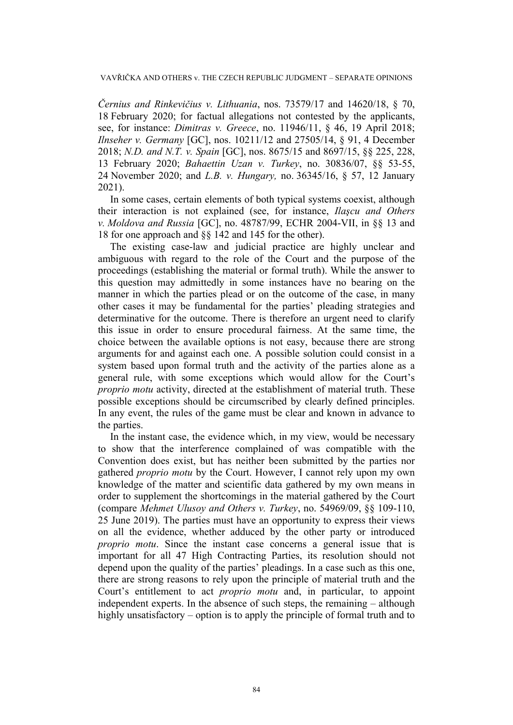*Černius and Rinkevičius v. Lithuania*, nos. 73579/17 and 14620/18, § 70, 18 February 2020; for factual allegations not contested by the applicants, see, for instance: *Dimitras v. Greece*, no. 11946/11, § 46, 19 April 2018; *Ilnseher v. Germany* [GC], nos. 10211/12 and 27505/14, § 91, 4 December 2018; *N.D. and N.T. v. Spain* [GC], nos. 8675/15 and 8697/15, §§ 225, 228, 13 February 2020; *Bahaettin Uzan v. Turkey*, no. 30836/07, §§ 53-55, 24 November 2020; and *L.B. v. Hungary,* no. 36345/16, § 57, 12 January 2021).

In some cases, certain elements of both typical systems coexist, although their interaction is not explained (see, for instance, *Ilaşcu and Others v. Moldova and Russia* [GC], no. 48787/99, ECHR 2004-VII, in §§ 13 and 18 for one approach and §§ 142 and 145 for the other).

The existing case-law and judicial practice are highly unclear and ambiguous with regard to the role of the Court and the purpose of the proceedings (establishing the material or formal truth). While the answer to this question may admittedly in some instances have no bearing on the manner in which the parties plead or on the outcome of the case, in many other cases it may be fundamental for the parties' pleading strategies and determinative for the outcome. There is therefore an urgent need to clarify this issue in order to ensure procedural fairness. At the same time, the choice between the available options is not easy, because there are strong arguments for and against each one. A possible solution could consist in a system based upon formal truth and the activity of the parties alone as a general rule, with some exceptions which would allow for the Court's *proprio motu* activity, directed at the establishment of material truth. These possible exceptions should be circumscribed by clearly defined principles. In any event, the rules of the game must be clear and known in advance to the parties.

In the instant case, the evidence which, in my view, would be necessary to show that the interference complained of was compatible with the Convention does exist, but has neither been submitted by the parties nor gathered *proprio motu* by the Court. However, I cannot rely upon my own knowledge of the matter and scientific data gathered by my own means in order to supplement the shortcomings in the material gathered by the Court (compare *Mehmet Ulusoy and Others v. Turkey*, no. 54969/09, §§ 109-110, 25 June 2019). The parties must have an opportunity to express their views on all the evidence, whether adduced by the other party or introduced *proprio motu*. Since the instant case concerns a general issue that is important for all 47 High Contracting Parties, its resolution should not depend upon the quality of the parties' pleadings. In a case such as this one, there are strong reasons to rely upon the principle of material truth and the Court's entitlement to act *proprio motu* and, in particular, to appoint independent experts. In the absence of such steps, the remaining – although highly unsatisfactory – option is to apply the principle of formal truth and to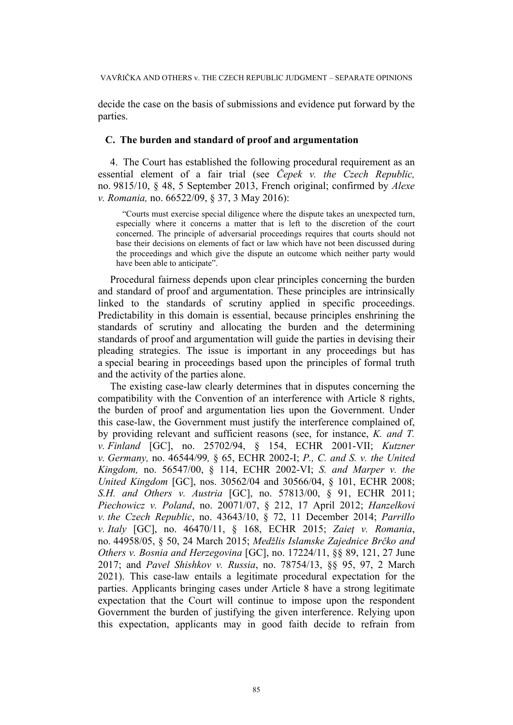decide the case on the basis of submissions and evidence put forward by the parties.

### **C. The burden and standard of proof and argumentation**

4. The Court has established the following procedural requirement as an essential element of a fair trial (see *Čepek v. the Czech Republic,* no. 9815/10, § 48, 5 September 2013, French original; confirmed by *Alexe v. Romania,* no. 66522/09, § 37, 3 May 2016):

"Courts must exercise special diligence where the dispute takes an unexpected turn, especially where it concerns a matter that is left to the discretion of the court concerned. The principle of adversarial proceedings requires that courts should not base their decisions on elements of fact or law which have not been discussed during the proceedings and which give the dispute an outcome which neither party would have been able to anticipate".

Procedural fairness depends upon clear principles concerning the burden and standard of proof and argumentation. These principles are intrinsically linked to the standards of scrutiny applied in specific proceedings. Predictability in this domain is essential, because principles enshrining the standards of scrutiny and allocating the burden and the determining standards of proof and argumentation will guide the parties in devising their pleading strategies. The issue is important in any proceedings but has a special bearing in proceedings based upon the principles of formal truth and the activity of the parties alone.

The existing case-law clearly determines that in disputes concerning the compatibility with the Convention of an interference with Article 8 rights, the burden of proof and argumentation lies upon the Government. Under this case-law, the Government must justify the interference complained of, by providing relevant and sufficient reasons (see, for instance, *K. and T. v. Finland* [GC], no. 25702/94, § 154, ECHR 2001-VII; *Kutzner v. Germany,* no. 46544/99*,* § 65, ECHR 2002-I; *P., C. and S. v. the United Kingdom,* no. 56547/00, § 114, ECHR 2002-VI; *S. and Marper v. the United Kingdom* [GC], nos. 30562/04 and 30566/04, § 101, ECHR 2008; *S.H. and Others v. Austria* [GC], no. 57813/00, § 91, ECHR 2011; *Piechowicz v. Poland*, no. 20071/07, § 212, 17 April 2012; *Hanzelkovi v. the Czech Republic*, no. 43643/10, § 72, 11 December 2014; *Parrillo v. Italy* [GC], no. 46470/11, § 168, ECHR 2015; *Zaieţ v. Romania*, no. 44958/05, § 50, 24 March 2015; *Medžlis Islamske Zajednice Brčko and Others v. Bosnia and Herzegovina* [GC], no. 17224/11, §§ 89, 121, 27 June 2017; and *Pavel Shishkov v. Russia*, no. 78754/13, §§ 95, 97, 2 March 2021). This case-law entails a legitimate procedural expectation for the parties. Applicants bringing cases under Article 8 have a strong legitimate expectation that the Court will continue to impose upon the respondent Government the burden of justifying the given interference. Relying upon this expectation, applicants may in good faith decide to refrain from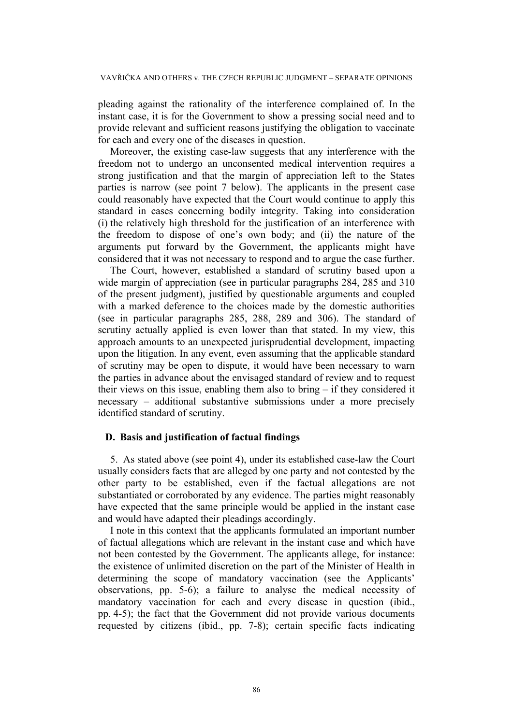pleading against the rationality of the interference complained of. In the instant case, it is for the Government to show a pressing social need and to provide relevant and sufficient reasons justifying the obligation to vaccinate for each and every one of the diseases in question.

Moreover, the existing case-law suggests that any interference with the freedom not to undergo an unconsented medical intervention requires a strong justification and that the margin of appreciation left to the States parties is narrow (see point 7 below). The applicants in the present case could reasonably have expected that the Court would continue to apply this standard in cases concerning bodily integrity. Taking into consideration (i) the relatively high threshold for the justification of an interference with the freedom to dispose of one's own body; and (ii) the nature of the arguments put forward by the Government, the applicants might have considered that it was not necessary to respond and to argue the case further.

The Court, however, established a standard of scrutiny based upon a wide margin of appreciation (see in particular paragraphs 284, 285 and 310 of the present judgment), justified by questionable arguments and coupled with a marked deference to the choices made by the domestic authorities (see in particular paragraphs 285, 288, 289 and 306). The standard of scrutiny actually applied is even lower than that stated. In my view, this approach amounts to an unexpected jurisprudential development, impacting upon the litigation. In any event, even assuming that the applicable standard of scrutiny may be open to dispute, it would have been necessary to warn the parties in advance about the envisaged standard of review and to request their views on this issue, enabling them also to bring – if they considered it necessary – additional substantive submissions under a more precisely identified standard of scrutiny.

## **D. Basis and justification of factual findings**

5. As stated above (see point 4), under its established case-law the Court usually considers facts that are alleged by one party and not contested by the other party to be established, even if the factual allegations are not substantiated or corroborated by any evidence. The parties might reasonably have expected that the same principle would be applied in the instant case and would have adapted their pleadings accordingly.

I note in this context that the applicants formulated an important number of factual allegations which are relevant in the instant case and which have not been contested by the Government. The applicants allege, for instance: the existence of unlimited discretion on the part of the Minister of Health in determining the scope of mandatory vaccination (see the Applicants' observations, pp. 5-6); a failure to analyse the medical necessity of mandatory vaccination for each and every disease in question (ibid., pp. 4-5); the fact that the Government did not provide various documents requested by citizens (ibid., pp. 7-8); certain specific facts indicating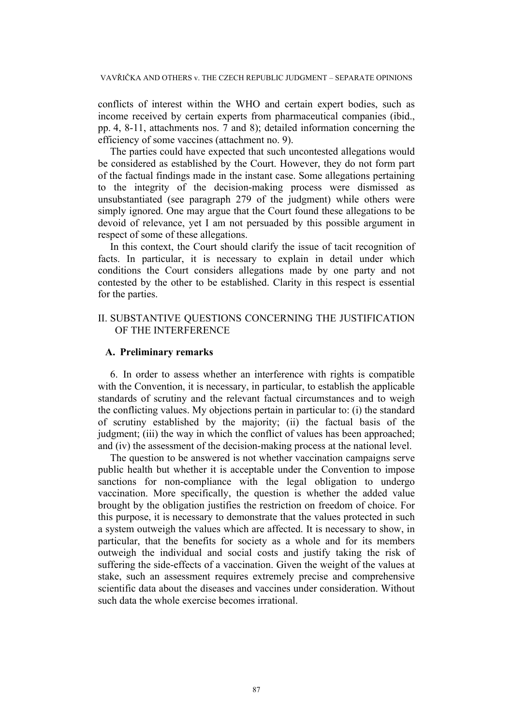conflicts of interest within the WHO and certain expert bodies, such as income received by certain experts from pharmaceutical companies (ibid., pp. 4, 8-11, attachments nos. 7 and 8); detailed information concerning the efficiency of some vaccines (attachment no. 9).

The parties could have expected that such uncontested allegations would be considered as established by the Court. However, they do not form part of the factual findings made in the instant case. Some allegations pertaining to the integrity of the decision-making process were dismissed as unsubstantiated (see paragraph 279 of the judgment) while others were simply ignored. One may argue that the Court found these allegations to be devoid of relevance, yet I am not persuaded by this possible argument in respect of some of these allegations.

In this context, the Court should clarify the issue of tacit recognition of facts. In particular, it is necessary to explain in detail under which conditions the Court considers allegations made by one party and not contested by the other to be established. Clarity in this respect is essential for the parties.

# II. SUBSTANTIVE QUESTIONS CONCERNING THE JUSTIFICATION OF THE INTERFERENCE

### **A. Preliminary remarks**

6. In order to assess whether an interference with rights is compatible with the Convention, it is necessary, in particular, to establish the applicable standards of scrutiny and the relevant factual circumstances and to weigh the conflicting values. My objections pertain in particular to: (i) the standard of scrutiny established by the majority; (ii) the factual basis of the judgment; (iii) the way in which the conflict of values has been approached; and (iv) the assessment of the decision-making process at the national level.

The question to be answered is not whether vaccination campaigns serve public health but whether it is acceptable under the Convention to impose sanctions for non-compliance with the legal obligation to undergo vaccination. More specifically, the question is whether the added value brought by the obligation justifies the restriction on freedom of choice. For this purpose, it is necessary to demonstrate that the values protected in such a system outweigh the values which are affected. It is necessary to show, in particular, that the benefits for society as a whole and for its members outweigh the individual and social costs and justify taking the risk of suffering the side-effects of a vaccination. Given the weight of the values at stake, such an assessment requires extremely precise and comprehensive scientific data about the diseases and vaccines under consideration. Without such data the whole exercise becomes irrational.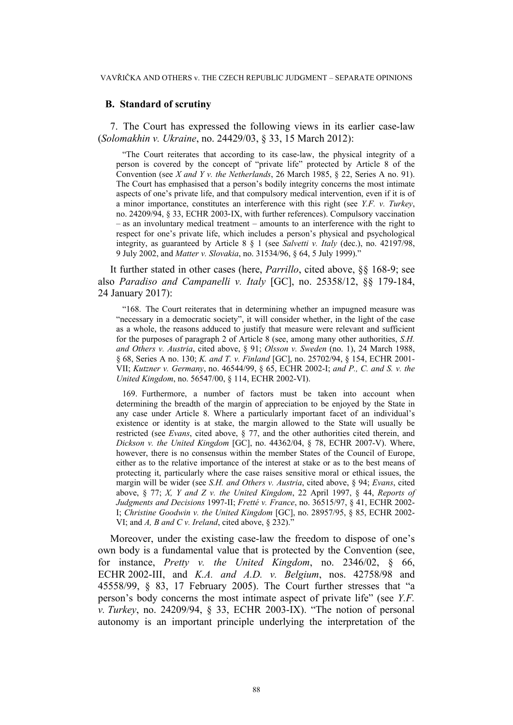### **B. Standard of scrutiny**

7. The Court has expressed the following views in its earlier case-law (*Solomakhin v. Ukraine*, no. 24429/03, § 33, 15 March 2012):

"The Court reiterates that according to its case-law, the physical integrity of a person is covered by the concept of "private life" protected by Article 8 of the Convention (see *X and Y v. the Netherlands*, 26 March 1985, § 22, Series A no. 91). The Court has emphasised that a person's bodily integrity concerns the most intimate aspects of one's private life, and that compulsory medical intervention, even if it is of a minor importance, constitutes an interference with this right (see *Y.F. v. Turkey*, no. 24209/94, § 33, ECHR 2003‑IX, with further references). Compulsory vaccination – as an involuntary medical treatment – amounts to an interference with the right to respect for one's private life, which includes a person's physical and psychological integrity, as guaranteed by Article 8 § 1 (see *Salvetti v. Italy* (dec.), no. 42197/98, 9 July 2002, and *Matter v. Slovakia*, no. 31534/96, § 64, 5 July 1999)."

It further stated in other cases (here, *Parrillo*, cited above, §§ 168-9; see also *Paradiso and Campanelli v. Italy* [GC], no. 25358/12, §§ 179-184, 24 January 2017):

"168. The Court reiterates that in determining whether an impugned measure was "necessary in a democratic society", it will consider whether, in the light of the case as a whole, the reasons adduced to justify that measure were relevant and sufficient for the purposes of paragraph 2 of Article 8 (see, among many other authorities, *S.H. and Others v. Austria*, cited above, § 91; *Olsson v. Sweden* (no. 1), 24 March 1988, § 68, Series A no. 130; *K. and T. v. Finland* [GC], no. 25702/94, § 154, ECHR 2001- VII; *Kutzner v. Germany*, no. 46544/99, § 65, ECHR 2002-I; *and P., C. and S. v. the United Kingdom*, no. 56547/00, § 114, ECHR 2002-VI).

169. Furthermore, a number of factors must be taken into account when determining the breadth of the margin of appreciation to be enjoyed by the State in any case under Article 8. Where a particularly important facet of an individual's existence or identity is at stake, the margin allowed to the State will usually be restricted (see *Evans*, cited above, § 77, and the other authorities cited therein, and *Dickson v. the United Kingdom* [GC], no. 44362/04, § 78, ECHR 2007-V). Where, however, there is no consensus within the member States of the Council of Europe, either as to the relative importance of the interest at stake or as to the best means of protecting it, particularly where the case raises sensitive moral or ethical issues, the margin will be wider (see *S.H. and Others v. Austria*, cited above, § 94; *Evans*, cited above, § 77; *X, Y and Z v. the United Kingdom*, 22 April 1997, § 44, *Reports of Judgments and Decisions* 1997-II; *Fretté v. France*, no. 36515/97, § 41, ECHR 2002- I; *Christine Goodwin v. the United Kingdom* [GC], no. 28957/95, § 85, ECHR 2002- VI; and *A, B and C v. Ireland*, cited above, § 232)."

Moreover, under the existing case-law the freedom to dispose of one's own body is a fundamental value that is protected by the Convention (see, for instance, *Pretty v. the United Kingdom*, no. 2346/02, § 66, ECHR 2002-III, and *K.A. and A.D. v. Belgium*, nos. 42758/98 and 45558/99, § 83, 17 February 2005). The Court further stresses that "a person's body concerns the most intimate aspect of private life" (see *Y.F. v. Turkey*, no. 24209/94, § 33, ECHR 2003-IX). "The notion of personal autonomy is an important principle underlying the interpretation of the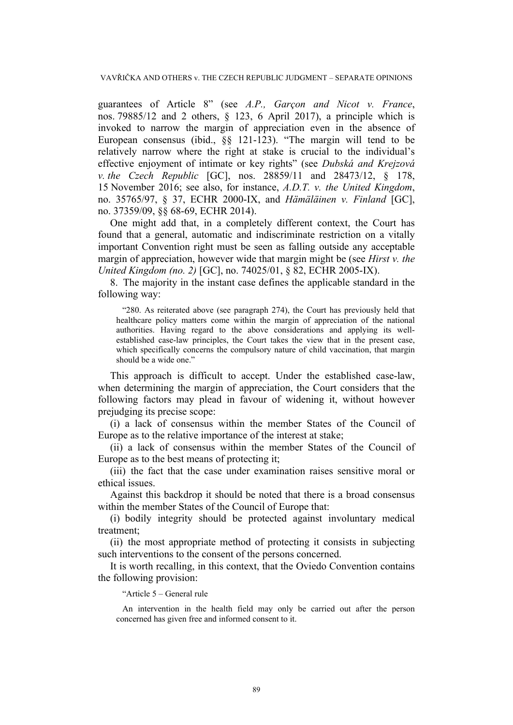guarantees of Article 8" (see *A.P., Garçon and Nicot v. France*, nos. 79885/12 and 2 others, § 123, 6 April 2017), a principle which is invoked to narrow the margin of appreciation even in the absence of European consensus (ibid., §§ 121-123). "The margin will tend to be relatively narrow where the right at stake is crucial to the individual's effective enjoyment of intimate or key rights" (see *Dubská and Krejzová v. the Czech Republic* [GC], nos. 28859/11 and 28473/12, § 178, 15 November 2016; see also, for instance, *A.D.T. v. the United Kingdom*, no. 35765/97, § 37, ECHR 2000-IX, and *Hämäläinen v. Finland* [GC], no. 37359/09, §§ 68-69, ECHR 2014).

One might add that, in a completely different context, the Court has found that a general, automatic and indiscriminate restriction on a vitally important Convention right must be seen as falling outside any acceptable margin of appreciation, however wide that margin might be (see *Hirst v. the United Kingdom (no. 2)* [GC], no. 74025/01, § 82, ECHR 2005-IX).

8. The majority in the instant case defines the applicable standard in the following way:

"280. As reiterated above (see paragraph 274), the Court has previously held that healthcare policy matters come within the margin of appreciation of the national authorities. Having regard to the above considerations and applying its wellestablished case-law principles, the Court takes the view that in the present case, which specifically concerns the compulsory nature of child vaccination, that margin should be a wide one."

This approach is difficult to accept. Under the established case-law, when determining the margin of appreciation, the Court considers that the following factors may plead in favour of widening it, without however prejudging its precise scope:

(i) a lack of consensus within the member States of the Council of Europe as to the relative importance of the interest at stake;

(ii) a lack of consensus within the member States of the Council of Europe as to the best means of protecting it;

(iii) the fact that the case under examination raises sensitive moral or ethical issues.

Against this backdrop it should be noted that there is a broad consensus within the member States of the Council of Europe that:

(i) bodily integrity should be protected against involuntary medical treatment;

(ii) the most appropriate method of protecting it consists in subjecting such interventions to the consent of the persons concerned.

It is worth recalling, in this context, that the Oviedo Convention contains the following provision:

"Article 5 – General rule

An intervention in the health field may only be carried out after the person concerned has given free and informed consent to it.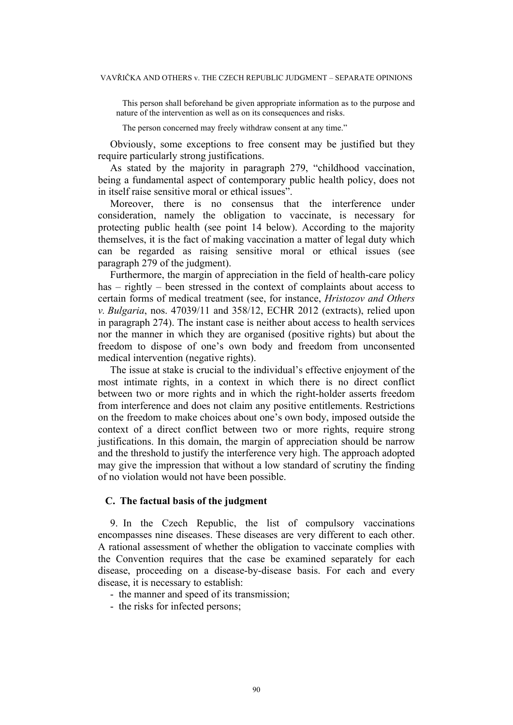This person shall beforehand be given appropriate information as to the purpose and nature of the intervention as well as on its consequences and risks.

The person concerned may freely withdraw consent at any time."

Obviously, some exceptions to free consent may be justified but they require particularly strong justifications.

As stated by the majority in paragraph 279, "childhood vaccination, being a fundamental aspect of contemporary public health policy, does not in itself raise sensitive moral or ethical issues".

Moreover, there is no consensus that the interference under consideration, namely the obligation to vaccinate, is necessary for protecting public health (see point 14 below). According to the majority themselves, it is the fact of making vaccination a matter of legal duty which can be regarded as raising sensitive moral or ethical issues (see paragraph 279 of the judgment).

Furthermore, the margin of appreciation in the field of health-care policy has – rightly – been stressed in the context of complaints about access to certain forms of medical treatment (see, for instance, *Hristozov and Others v. Bulgaria*, nos. 47039/11 and 358/12, ECHR 2012 (extracts), relied upon in paragraph 274). The instant case is neither about access to health services nor the manner in which they are organised (positive rights) but about the freedom to dispose of one's own body and freedom from unconsented medical intervention (negative rights).

The issue at stake is crucial to the individual's effective enjoyment of the most intimate rights, in a context in which there is no direct conflict between two or more rights and in which the right-holder asserts freedom from interference and does not claim any positive entitlements. Restrictions on the freedom to make choices about one's own body, imposed outside the context of a direct conflict between two or more rights, require strong justifications. In this domain, the margin of appreciation should be narrow and the threshold to justify the interference very high. The approach adopted may give the impression that without a low standard of scrutiny the finding of no violation would not have been possible.

### **C. The factual basis of the judgment**

9. In the Czech Republic, the list of compulsory vaccinations encompasses nine diseases. These diseases are very different to each other. A rational assessment of whether the obligation to vaccinate complies with the Convention requires that the case be examined separately for each disease, proceeding on a disease-by-disease basis. For each and every disease, it is necessary to establish:

- the manner and speed of its transmission;
- the risks for infected persons;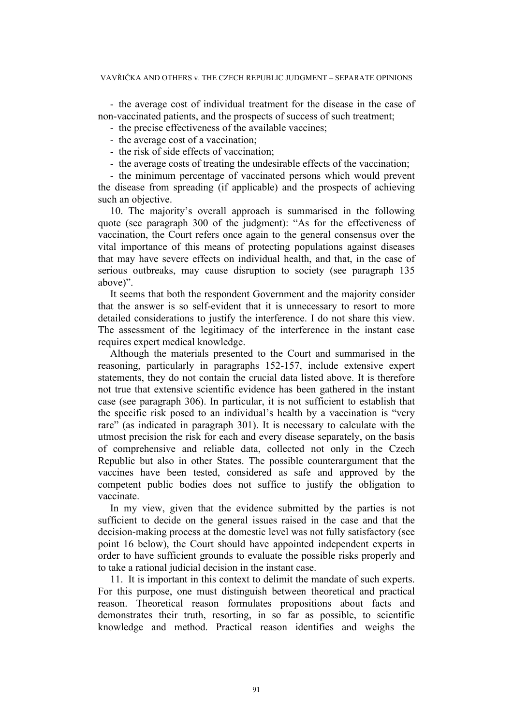- the average cost of individual treatment for the disease in the case of non-vaccinated patients, and the prospects of success of such treatment;

- the precise effectiveness of the available vaccines;

- the average cost of a vaccination;
- the risk of side effects of vaccination;
- the average costs of treating the undesirable effects of the vaccination;

- the minimum percentage of vaccinated persons which would prevent the disease from spreading (if applicable) and the prospects of achieving such an objective.

10. The majority's overall approach is summarised in the following quote (see paragraph 300 of the judgment): "As for the effectiveness of vaccination, the Court refers once again to the general consensus over the vital importance of this means of protecting populations against diseases that may have severe effects on individual health, and that, in the case of serious outbreaks, may cause disruption to society (see paragraph 135 above)".

It seems that both the respondent Government and the majority consider that the answer is so self-evident that it is unnecessary to resort to more detailed considerations to justify the interference. I do not share this view. The assessment of the legitimacy of the interference in the instant case requires expert medical knowledge.

Although the materials presented to the Court and summarised in the reasoning, particularly in paragraphs 152-157, include extensive expert statements, they do not contain the crucial data listed above. It is therefore not true that extensive scientific evidence has been gathered in the instant case (see paragraph 306). In particular, it is not sufficient to establish that the specific risk posed to an individual's health by a vaccination is "very rare" (as indicated in paragraph 301). It is necessary to calculate with the utmost precision the risk for each and every disease separately, on the basis of comprehensive and reliable data, collected not only in the Czech Republic but also in other States. The possible counterargument that the vaccines have been tested, considered as safe and approved by the competent public bodies does not suffice to justify the obligation to vaccinate.

In my view, given that the evidence submitted by the parties is not sufficient to decide on the general issues raised in the case and that the decision-making process at the domestic level was not fully satisfactory (see point 16 below), the Court should have appointed independent experts in order to have sufficient grounds to evaluate the possible risks properly and to take a rational judicial decision in the instant case.

11. It is important in this context to delimit the mandate of such experts. For this purpose, one must distinguish between theoretical and practical reason. Theoretical reason formulates propositions about facts and demonstrates their truth, resorting, in so far as possible, to scientific knowledge and method. Practical reason identifies and weighs the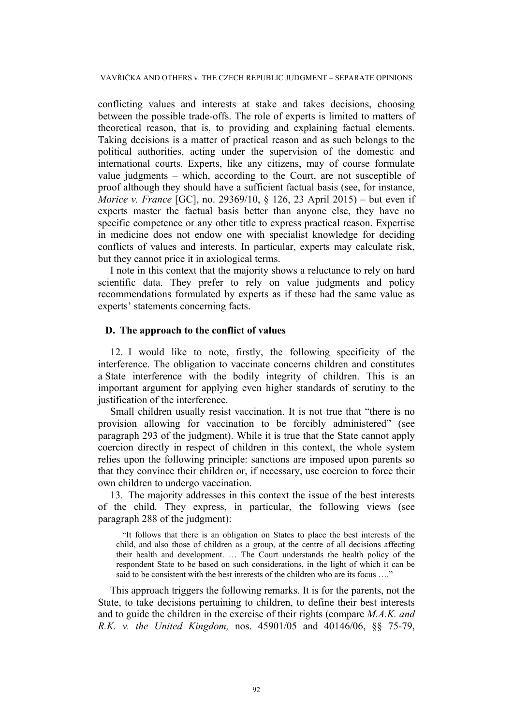conflicting values and interests at stake and takes decisions, choosing between the possible trade-offs. The role of experts is limited to matters of theoretical reason, that is, to providing and explaining factual elements. Taking decisions is a matter of practical reason and as such belongs to the political authorities, acting under the supervision of the domestic and international courts. Experts, like any citizens, may of course formulate value judgments – which, according to the Court, are not susceptible of proof although they should have a sufficient factual basis (see, for instance, *Morice v. France* [GC], no. 29369/10, § 126, 23 April 2015) – but even if experts master the factual basis better than anyone else, they have no specific competence or any other title to express practical reason. Expertise in medicine does not endow one with specialist knowledge for deciding conflicts of values and interests. In particular, experts may calculate risk, but they cannot price it in axiological terms.

I note in this context that the majority shows a reluctance to rely on hard scientific data. They prefer to rely on value judgments and policy recommendations formulated by experts as if these had the same value as experts' statements concerning facts.

### **D. The approach to the conflict of values**

12. I would like to note, firstly, the following specificity of the interference. The obligation to vaccinate concerns children and constitutes a State interference with the bodily integrity of children. This is an important argument for applying even higher standards of scrutiny to the justification of the interference.

Small children usually resist vaccination. It is not true that "there is no provision allowing for vaccination to be forcibly administered" (see paragraph 293 of the judgment). While it is true that the State cannot apply coercion directly in respect of children in this context, the whole system relies upon the following principle: sanctions are imposed upon parents so that they convince their children or, if necessary, use coercion to force their own children to undergo vaccination.

13. The majority addresses in this context the issue of the best interests of the child. They express, in particular, the following views (see paragraph 288 of the judgment):

"It follows that there is an obligation on States to place the best interests of the child, and also those of children as a group, at the centre of all decisions affecting their health and development. … The Court understands the health policy of the respondent State to be based on such considerations, in the light of which it can be said to be consistent with the best interests of the children who are its focus ...."

This approach triggers the following remarks. It is for the parents, not the State, to take decisions pertaining to children, to define their best interests and to guide the children in the exercise of their rights (compare *M.A.K. and R.K. v. the United Kingdom,* nos. 45901/05 and 40146/06, §§ 75-79,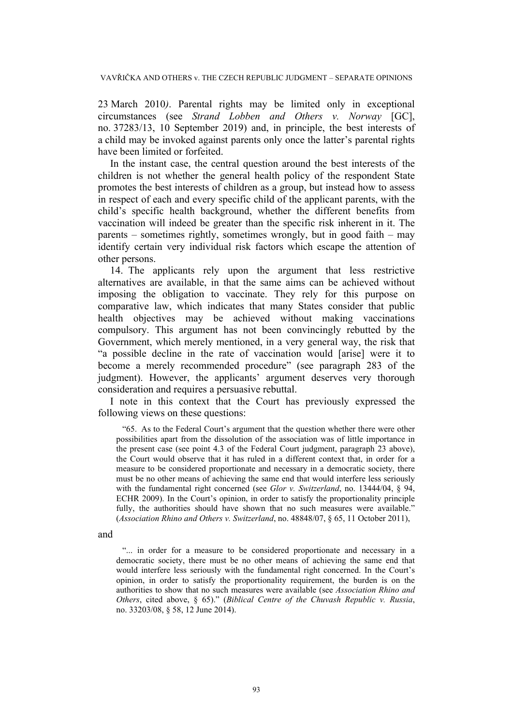23 March 2010*)*. Parental rights may be limited only in exceptional circumstances (see *Strand Lobben and Others v. Norway* [GC], no. 37283/13, 10 September 2019) and, in principle, the best interests of a child may be invoked against parents only once the latter's parental rights have been limited or forfeited.

In the instant case, the central question around the best interests of the children is not whether the general health policy of the respondent State promotes the best interests of children as a group, but instead how to assess in respect of each and every specific child of the applicant parents, with the child's specific health background, whether the different benefits from vaccination will indeed be greater than the specific risk inherent in it. The parents – sometimes rightly, sometimes wrongly, but in good faith – may identify certain very individual risk factors which escape the attention of other persons.

14. The applicants rely upon the argument that less restrictive alternatives are available, in that the same aims can be achieved without imposing the obligation to vaccinate. They rely for this purpose on comparative law, which indicates that many States consider that public health objectives may be achieved without making vaccinations compulsory. This argument has not been convincingly rebutted by the Government, which merely mentioned, in a very general way, the risk that "a possible decline in the rate of vaccination would [arise] were it to become a merely recommended procedure" (see paragraph 283 of the judgment). However, the applicants' argument deserves very thorough consideration and requires a persuasive rebuttal.

I note in this context that the Court has previously expressed the following views on these questions:

"65. As to the Federal Court's argument that the question whether there were other possibilities apart from the dissolution of the association was of little importance in the present case (see point 4.3 of the Federal Court judgment, paragraph 23 above), the Court would observe that it has ruled in a different context that, in order for a measure to be considered proportionate and necessary in a democratic society, there must be no other means of achieving the same end that would interfere less seriously with the fundamental right concerned (see *Glor v. Switzerland*, no. 13444/04, § 94, ECHR 2009). In the Court's opinion, in order to satisfy the proportionality principle fully, the authorities should have shown that no such measures were available." (*Association Rhino and Others v. Switzerland*, no. 48848/07, § 65, 11 October 2011),

and

"... in order for a measure to be considered proportionate and necessary in a democratic society, there must be no other means of achieving the same end that would interfere less seriously with the fundamental right concerned. In the Court's opinion, in order to satisfy the proportionality requirement, the burden is on the authorities to show that no such measures were available (see *Association Rhino and Others*, cited above, § 65)." (*Biblical Centre of the Chuvash Republic v. Russia*, no. 33203/08, § 58, 12 June 2014).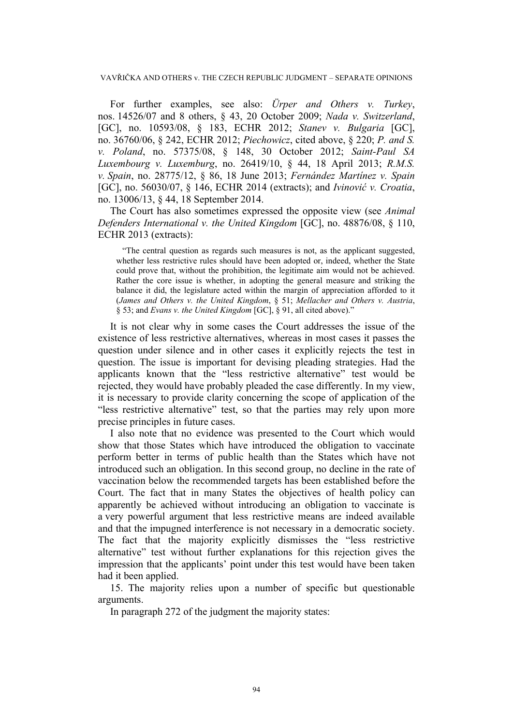For further examples, see also: *Ürper and Others v. Turkey*, nos. 14526/07 and 8 others, § 43, 20 October 2009; *Nada v. Switzerland*, [GC], no. 10593/08, § 183, ECHR 2012; *Stanev v. Bulgaria* [GC], no. 36760/06, § 242, ECHR 2012; *Piechowicz*, cited above, § 220; *P. and S. v. Poland*, no. 57375/08, § 148, 30 October 2012; *Saint-Paul SA Luxembourg v. Luxemburg*, no. 26419/10, § 44, 18 April 2013; *R.M.S. v. Spain*, no. 28775/12, § 86, 18 June 2013; *Fernández Martínez v. Spain* [GC], no. 56030/07, § 146, ECHR 2014 (extracts); and *Ivinović v. Croatia*, no. 13006/13, § 44, 18 September 2014.

The Court has also sometimes expressed the opposite view (see *Animal Defenders International v. the United Kingdom* [GC], no. 48876/08, § 110, ECHR 2013 (extracts):

"The central question as regards such measures is not, as the applicant suggested, whether less restrictive rules should have been adopted or, indeed, whether the State could prove that, without the prohibition, the legitimate aim would not be achieved. Rather the core issue is whether, in adopting the general measure and striking the balance it did, the legislature acted within the margin of appreciation afforded to it (*James and Others v. the United Kingdom*, § 51; *Mellacher and Others v. Austria*, § 53; and *Evans v. the United Kingdom* [GC], § 91, all cited above)."

It is not clear why in some cases the Court addresses the issue of the existence of less restrictive alternatives, whereas in most cases it passes the question under silence and in other cases it explicitly rejects the test in question. The issue is important for devising pleading strategies. Had the applicants known that the "less restrictive alternative" test would be rejected, they would have probably pleaded the case differently. In my view, it is necessary to provide clarity concerning the scope of application of the "less restrictive alternative" test, so that the parties may rely upon more precise principles in future cases.

I also note that no evidence was presented to the Court which would show that those States which have introduced the obligation to vaccinate perform better in terms of public health than the States which have not introduced such an obligation. In this second group, no decline in the rate of vaccination below the recommended targets has been established before the Court. The fact that in many States the objectives of health policy can apparently be achieved without introducing an obligation to vaccinate is a very powerful argument that less restrictive means are indeed available and that the impugned interference is not necessary in a democratic society. The fact that the majority explicitly dismisses the "less restrictive alternative" test without further explanations for this rejection gives the impression that the applicants' point under this test would have been taken had it been applied.

15. The majority relies upon a number of specific but questionable arguments.

In paragraph 272 of the judgment the majority states: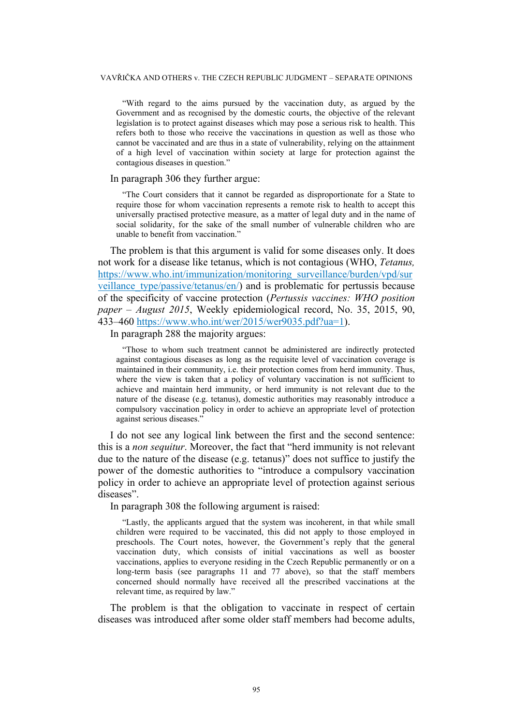"With regard to the aims pursued by the vaccination duty, as argued by the Government and as recognised by the domestic courts, the objective of the relevant legislation is to protect against diseases which may pose a serious risk to health. This refers both to those who receive the vaccinations in question as well as those who cannot be vaccinated and are thus in a state of vulnerability, relying on the attainment of a high level of vaccination within society at large for protection against the contagious diseases in question."

### In paragraph 306 they further argue:

"The Court considers that it cannot be regarded as disproportionate for a State to require those for whom vaccination represents a remote risk to health to accept this universally practised protective measure, as a matter of legal duty and in the name of social solidarity, for the sake of the small number of vulnerable children who are unable to benefit from vaccination."

The problem is that this argument is valid for some diseases only. It does not work for a disease like tetanus, which is not contagious (WHO, *Tetanus,* [https://www.who.int/immunization/monitoring\\_surveillance/burden/vpd/sur](https://www.who.int/immunization/monitoring_surveillance/burden/vpd/surveillance_type/passive/tetanus/en/) veillance type/passive/tetanus/en/) and is problematic for pertussis because of the specificity of vaccine protection (*Pertussis vaccines: WHO position paper – August 2015*, Weekly epidemiological record, No. 35, 2015, 90, 433–460 [https://www.who.int/wer/2015/wer9035.pdf?ua=1\)](https://www.who.int/wer/2015/wer9035.pdf?ua=1).

In paragraph 288 the majority argues:

"Those to whom such treatment cannot be administered are indirectly protected against contagious diseases as long as the requisite level of vaccination coverage is maintained in their community, i.e. their protection comes from herd immunity. Thus, where the view is taken that a policy of voluntary vaccination is not sufficient to achieve and maintain herd immunity, or herd immunity is not relevant due to the nature of the disease (e.g. tetanus), domestic authorities may reasonably introduce a compulsory vaccination policy in order to achieve an appropriate level of protection against serious diseases."

I do not see any logical link between the first and the second sentence: this is a *non sequitur*. Moreover, the fact that "herd immunity is not relevant due to the nature of the disease (e.g. tetanus)" does not suffice to justify the power of the domestic authorities to "introduce a compulsory vaccination policy in order to achieve an appropriate level of protection against serious diseases".

In paragraph 308 the following argument is raised:

"Lastly, the applicants argued that the system was incoherent, in that while small children were required to be vaccinated, this did not apply to those employed in preschools. The Court notes, however, the Government's reply that the general vaccination duty, which consists of initial vaccinations as well as booster vaccinations, applies to everyone residing in the Czech Republic permanently or on a long-term basis (see paragraphs 11 and 77 above), so that the staff members concerned should normally have received all the prescribed vaccinations at the relevant time, as required by law."

The problem is that the obligation to vaccinate in respect of certain diseases was introduced after some older staff members had become adults,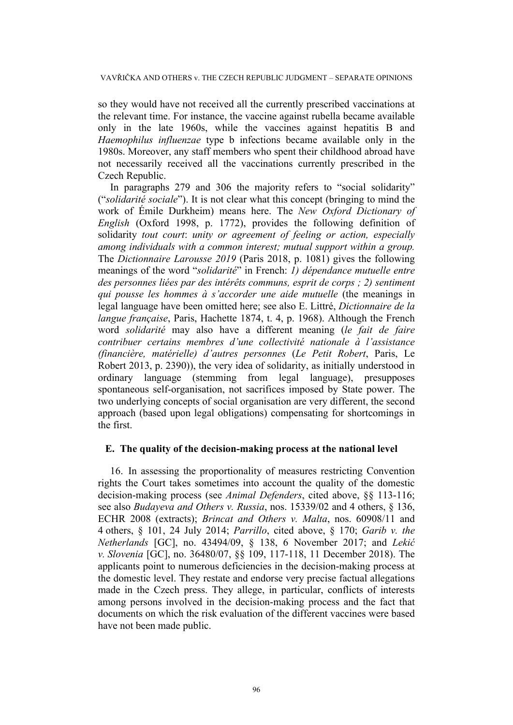so they would have not received all the currently prescribed vaccinations at the relevant time. For instance, the vaccine against rubella became available only in the late 1960s, while the vaccines against hepatitis B and *Haemophilus influenzae* type b infections became available only in the 1980s. Moreover, any staff members who spent their childhood abroad have not necessarily received all the vaccinations currently prescribed in the Czech Republic.

In paragraphs 279 and 306 the majority refers to "social solidarity" ("*solidarité sociale*"). It is not clear what this concept (bringing to mind the work of Émile Durkheim) means here. The *New Oxford Dictionary of English* (Oxford 1998, p. 1772), provides the following definition of solidarity *tout court*: *unity or agreement of feeling or action, especially among individuals with a common interest; mutual support within a group.* The *Dictionnaire Larousse 2019* (Paris 2018, p. 1081) gives the following meanings of the word "*solidarité*" in French: *1) dépendance mutuelle entre des personnes liées par des intérêts communs, esprit de corps ; 2) sentiment qui pousse les hommes à s'accorder une aide mutuelle* (the meanings in legal language have been omitted here; see also E. Littré, *Dictionnaire de la langue française*, Paris, Hachette 1874, t. 4, p. 1968). Although the French word *solidarité* may also have a different meaning (*le fait de faire contribuer certains membres d'une collectivité nationale à l'assistance (financière, matérielle) d'autres personnes* (*Le Petit Robert*, Paris, Le Robert 2013, p. 2390)), the very idea of solidarity, as initially understood in ordinary language (stemming from legal language), presupposes spontaneous self-organisation, not sacrifices imposed by State power. The two underlying concepts of social organisation are very different, the second approach (based upon legal obligations) compensating for shortcomings in the first.

### **E. The quality of the decision-making process at the national level**

16. In assessing the proportionality of measures restricting Convention rights the Court takes sometimes into account the quality of the domestic decision-making process (see *Animal Defenders*, cited above, §§ 113-116; see also *Budayeva and Others v. Russia*, nos. 15339/02 and 4 others, § 136, ECHR 2008 (extracts); *Brincat and Others v. Malta*, nos. 60908/11 and 4 others, § 101, 24 July 2014; *Parrillo*, cited above, § 170; *Garib v. the Netherlands* [GC], no. 43494/09, § 138, 6 November 2017; and *Lekić v. Slovenia* [GC], no. 36480/07, §§ 109, 117-118, 11 December 2018). The applicants point to numerous deficiencies in the decision-making process at the domestic level. They restate and endorse very precise factual allegations made in the Czech press. They allege, in particular, conflicts of interests among persons involved in the decision-making process and the fact that documents on which the risk evaluation of the different vaccines were based have not been made public.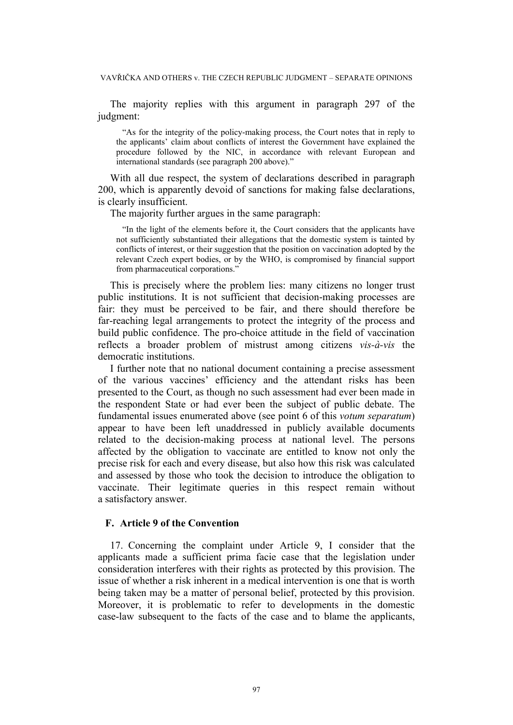The majority replies with this argument in paragraph 297 of the judgment:

"As for the integrity of the policy-making process, the Court notes that in reply to the applicants' claim about conflicts of interest the Government have explained the procedure followed by the NIC, in accordance with relevant European and international standards (see paragraph 200 above)."

With all due respect, the system of declarations described in paragraph 200, which is apparently devoid of sanctions for making false declarations, is clearly insufficient.

The majority further argues in the same paragraph:

"In the light of the elements before it, the Court considers that the applicants have not sufficiently substantiated their allegations that the domestic system is tainted by conflicts of interest, or their suggestion that the position on vaccination adopted by the relevant Czech expert bodies, or by the WHO, is compromised by financial support from pharmaceutical corporations."

This is precisely where the problem lies: many citizens no longer trust public institutions. It is not sufficient that decision-making processes are fair: they must be perceived to be fair, and there should therefore be far-reaching legal arrangements to protect the integrity of the process and build public confidence. The pro-choice attitude in the field of vaccination reflects a broader problem of mistrust among citizens *vis-à-vis* the democratic institutions.

I further note that no national document containing a precise assessment of the various vaccines' efficiency and the attendant risks has been presented to the Court, as though no such assessment had ever been made in the respondent State or had ever been the subject of public debate. The fundamental issues enumerated above (see point 6 of this *votum separatum*) appear to have been left unaddressed in publicly available documents related to the decision-making process at national level. The persons affected by the obligation to vaccinate are entitled to know not only the precise risk for each and every disease, but also how this risk was calculated and assessed by those who took the decision to introduce the obligation to vaccinate. Their legitimate queries in this respect remain without a satisfactory answer.

# **F. Article 9 of the Convention**

17. Concerning the complaint under Article 9, I consider that the applicants made a sufficient prima facie case that the legislation under consideration interferes with their rights as protected by this provision. The issue of whether a risk inherent in a medical intervention is one that is worth being taken may be a matter of personal belief, protected by this provision. Moreover, it is problematic to refer to developments in the domestic case-law subsequent to the facts of the case and to blame the applicants,